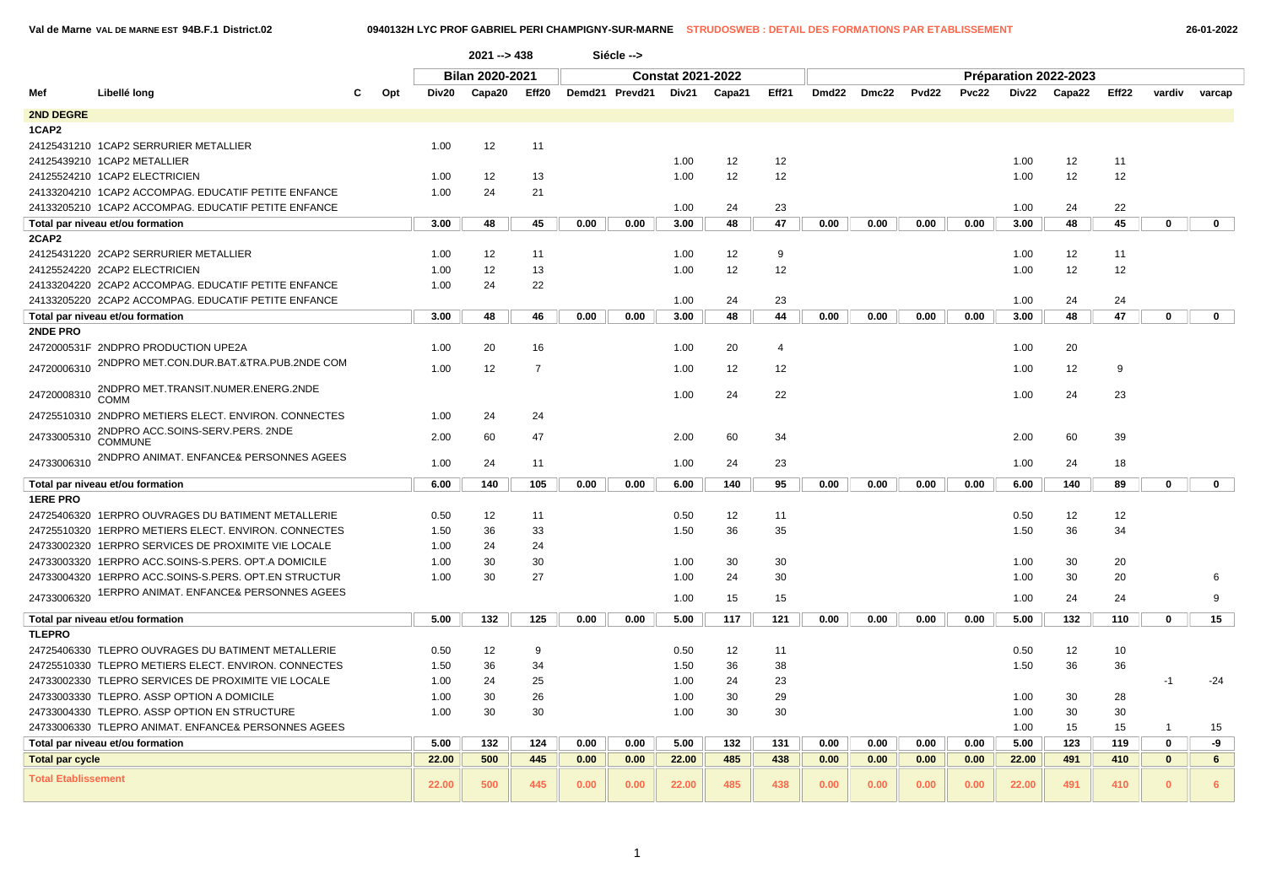|                            |                                                      |    |              | 2021 --> 438    |                |      | Siécle -->     |                          |        |                |      |             |       |              |       |                       |       |              |                |
|----------------------------|------------------------------------------------------|----|--------------|-----------------|----------------|------|----------------|--------------------------|--------|----------------|------|-------------|-------|--------------|-------|-----------------------|-------|--------------|----------------|
|                            |                                                      |    |              | Bilan 2020-2021 |                |      |                | <b>Constat 2021-2022</b> |        |                |      |             |       |              |       | Préparation 2022-2023 |       |              |                |
| Mef                        | Libellé long                                         | C. | Opt<br>Div20 | Capa20          | Eff20          |      | Demd21 Prevd21 | Div21                    | Capa21 | Eff21          |      | Dmd22 Dmc22 | Pvd22 | <b>Pvc22</b> | Div22 | Capa22                | Eff22 | vardiv       | varcap         |
| 2ND DEGRE                  |                                                      |    |              |                 |                |      |                |                          |        |                |      |             |       |              |       |                       |       |              |                |
| 1CAP2                      |                                                      |    |              |                 |                |      |                |                          |        |                |      |             |       |              |       |                       |       |              |                |
|                            | 24125431210 1CAP2 SERRURIER METALLIER                |    | 1.00         | 12              | 11             |      |                |                          |        |                |      |             |       |              |       |                       |       |              |                |
|                            | 24125439210 1CAP2 METALLIER                          |    |              |                 |                |      |                | 1.00                     | 12     | 12             |      |             |       |              | 1.00  | 12                    | 11    |              |                |
|                            | 24125524210 1CAP2 ELECTRICIEN                        |    | 1.00         | 12              | 13             |      |                | 1.00                     | 12     | 12             |      |             |       |              | 1.00  | 12                    | 12    |              |                |
|                            | 24133204210 1CAP2 ACCOMPAG. EDUCATIF PETITE ENFANCE  |    | 1.00         | 24              | 21             |      |                |                          |        |                |      |             |       |              |       |                       |       |              |                |
|                            | 24133205210 1CAP2 ACCOMPAG. EDUCATIF PETITE ENFANCE  |    |              |                 |                |      |                | 1.00                     | 24     | 23             |      |             |       |              | 1.00  | 24                    | 22    |              |                |
|                            | Total par niveau et/ou formation                     |    | 3.00         | 48              | 45             | 0.00 | 0.00           | 3.00                     | 48     | 47             | 0.00 | 0.00        | 0.00  | 0.00         | 3.00  | 48                    | 45    | $\mathbf 0$  | $\mathbf{0}$   |
| 2CAP2                      |                                                      |    |              |                 |                |      |                |                          |        |                |      |             |       |              |       |                       |       |              |                |
|                            | 24125431220 2CAP2 SERRURIER METALLIER                |    | 1.00         | 12              | 11             |      |                | 1.00                     | 12     | 9              |      |             |       |              | 1.00  | 12                    | 11    |              |                |
|                            | 24125524220 2CAP2 ELECTRICIEN                        |    | 1.00         | 12              | 13             |      |                | 1.00                     | 12     | 12             |      |             |       |              | 1.00  | 12                    | 12    |              |                |
|                            | 24133204220 2CAP2 ACCOMPAG. EDUCATIF PETITE ENFANCE  |    | 1.00         | 24              | 22             |      |                |                          |        |                |      |             |       |              |       |                       |       |              |                |
|                            | 24133205220 2CAP2 ACCOMPAG. EDUCATIF PETITE ENFANCE  |    |              |                 |                |      |                | 1.00                     | 24     | 23             |      |             |       |              | 1.00  | 24                    | 24    |              |                |
|                            | Total par niveau et/ou formation                     |    | 3.00         | 48              | 46             | 0.00 | 0.00           | 3.00                     | 48     | 44             | 0.00 | 0.00        | 0.00  | 0.00         | 3.00  | 48                    | 47    | $\mathbf 0$  | $\mathbf 0$    |
| 2NDE PRO                   |                                                      |    |              |                 |                |      |                |                          |        |                |      |             |       |              |       |                       |       |              |                |
|                            | 2472000531F 2NDPRO PRODUCTION UPE2A                  |    | 1.00         | 20              | 16             |      |                | 1.00                     | 20     | $\overline{4}$ |      |             |       |              | 1.00  | 20                    |       |              |                |
| 24720006310                | 2NDPRO MET.CON.DUR.BAT.&TRA.PUB.2NDE COM             |    | 1.00         | 12              | $\overline{7}$ |      |                | 1.00                     | 12     | 12             |      |             |       |              | 1.00  | 12                    | 9     |              |                |
| 24720008310                | 2NDPRO MET.TRANSIT.NUMER.ENERG.2NDE<br><b>COMM</b>   |    |              |                 |                |      |                | 1.00                     | 24     | 22             |      |             |       |              | 1.00  | 24                    | 23    |              |                |
|                            | 24725510310 2NDPRO METIERS ELECT. ENVIRON. CONNECTES |    | 1.00         | 24              | 24             |      |                |                          |        |                |      |             |       |              |       |                       |       |              |                |
| 24733005310                | 2NDPRO ACC.SOINS-SERV.PERS. 2NDE<br><b>COMMUNE</b>   |    | 2.00         | 60              | 47             |      |                | 2.00                     | 60     | 34             |      |             |       |              | 2.00  | 60                    | 39    |              |                |
| 24733006310                | 2NDPRO ANIMAT. ENFANCE& PERSONNES AGEES              |    | 1.00         | 24              | 11             |      |                | 1.00                     | 24     | 23             |      |             |       |              | 1.00  | 24                    | 18    |              |                |
|                            | Total par niveau et/ou formation                     |    | 6.00         | 140             | 105            | 0.00 | 0.00           | 6.00                     | 140    | 95             | 0.00 | 0.00        | 0.00  | 0.00         | 6.00  | 140                   | 89    | $\mathbf 0$  | $\mathbf 0$    |
| <b>1ERE PRO</b>            |                                                      |    |              |                 |                |      |                |                          |        |                |      |             |       |              |       |                       |       |              |                |
|                            | 24725406320 1ERPRO OUVRAGES DU BATIMENT METALLERIE   |    | 0.50         | 12              | 11             |      |                | 0.50                     | 12     | 11             |      |             |       |              | 0.50  | 12                    | 12    |              |                |
|                            | 24725510320 1ERPRO METIERS ELECT. ENVIRON. CONNECTES |    | 1.50         | 36              | 33             |      |                | 1.50                     | 36     | 35             |      |             |       |              | 1.50  | 36                    | 34    |              |                |
|                            | 24733002320 1ERPRO SERVICES DE PROXIMITE VIE LOCALE  |    | 1.00         | 24              | 24             |      |                |                          |        |                |      |             |       |              |       |                       |       |              |                |
|                            | 24733003320 1ERPRO ACC.SOINS-S.PERS. OPT.A DOMICILE  |    | 1.00         | 30              | 30             |      |                | 1.00                     | 30     | 30             |      |             |       |              | 1.00  | 30                    | 20    |              |                |
|                            | 24733004320 1ERPRO ACC.SOINS-S.PERS. OPT.EN STRUCTUR |    | 1.00         | 30              | 27             |      |                | 1.00                     | 24     | 30             |      |             |       |              | 1.00  | 30                    | 20    |              | 6              |
| 24733006320                | 1ERPRO ANIMAT. ENFANCE& PERSONNES AGEES              |    |              |                 |                |      |                | 1.00                     | 15     | 15             |      |             |       |              | 1.00  | 24                    | 24    |              | 9              |
|                            |                                                      |    |              |                 |                | 0.00 |                |                          |        |                |      | 0.00        | 0.00  |              |       |                       |       |              |                |
| <b>TLEPRO</b>              | Total par niveau et/ou formation                     |    | 5.00         | 132             | 125            |      | 0.00           | 5.00                     | 117    | 121            | 0.00 |             |       | 0.00         | 5.00  | 132                   | 110   | $\mathbf 0$  | 15             |
|                            | 24725406330 TLEPRO OUVRAGES DU BATIMENT METALLERIE   |    | 0.50         | 12              | 9              |      |                | 0.50                     | 12     | 11             |      |             |       |              | 0.50  | 12                    | 10    |              |                |
|                            | 24725510330 TLEPRO METIERS ELECT. ENVIRON. CONNECTES |    | 1.50         | 36              | 34             |      |                | 1.50                     | 36     | 38             |      |             |       |              | 1.50  | 36                    | 36    |              |                |
|                            | 24733002330 TLEPRO SERVICES DE PROXIMITE VIE LOCALE  |    |              |                 |                |      |                |                          | 24     | 23             |      |             |       |              |       |                       |       |              |                |
|                            |                                                      |    | 1.00         | 24              | 25             |      |                | 1.00                     | 30     | 29             |      |             |       |              |       |                       |       | $-1$         | $-24$          |
|                            | 24733003330 TLEPRO. ASSP OPTION A DOMICILE           |    | 1.00         | 30              | 26             |      |                | 1.00                     |        |                |      |             |       |              | 1.00  | 30                    | 28    |              |                |
|                            | 24733004330 TLEPRO. ASSP OPTION EN STRUCTURE         |    | 1.00         | 30              | 30             |      |                | 1.00                     | 30     | 30             |      |             |       |              | 1.00  | 30                    | 30    |              |                |
|                            | 24733006330 TLEPRO ANIMAT. ENFANCE& PERSONNES AGEES  |    |              |                 |                |      |                |                          |        |                |      |             |       |              | 1.00  | 15                    | 15    | -1           | 15             |
|                            | Total par niveau et/ou formation                     |    | 5.00         | 132             | 124            | 0.00 | 0.00           | 5.00                     | 132    | 131            | 0.00 | 0.00        | 0.00  | 0.00         | 5.00  | 123                   | 119   | $\mathbf 0$  | -9             |
| <b>Total par cycle</b>     |                                                      |    | 22.00        | 500             | 445            | 0.00 | 0.00           | 22.00                    | 485    | 438            | 0.00 | 0.00        | 0.00  | 0.00         | 22.00 | 491                   | 410   | $\mathbf{0}$ | 6              |
| <b>Total Etablissement</b> |                                                      |    | 22.00        | 500             | 445            | 0.00 | 0.00           | 22.00                    | 485    | 438            | 0.00 | 0.00        | 0.00  | 0.00         | 22.00 | 491                   | 410   | $\mathbf{0}$ | $6\phantom{1}$ |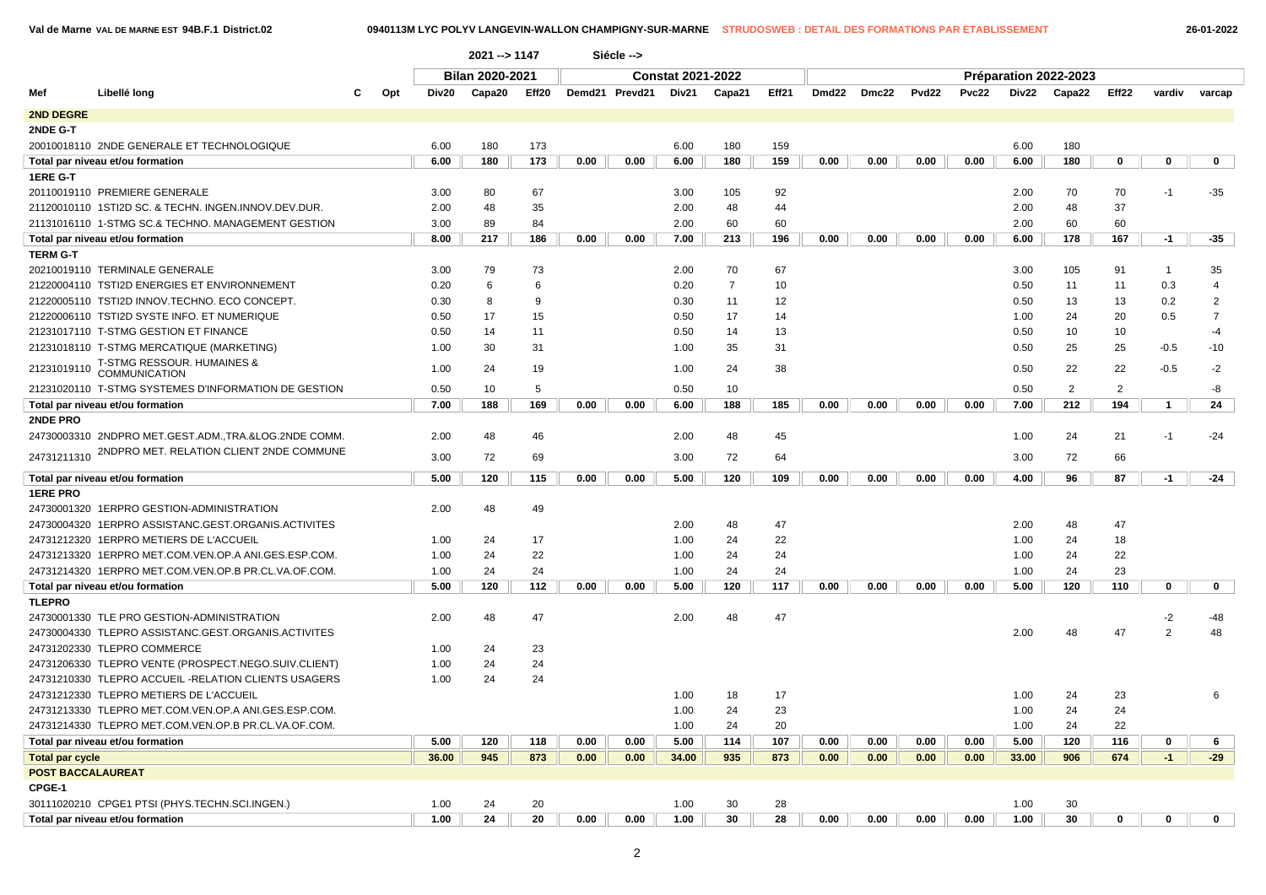| 26-01-2022 |  |  |  |
|------------|--|--|--|
|            |  |  |  |

|                          |                                                      |     |       | 2021 -- > 1147  |       |      | Siécle -->     |                          |                |       |                   |       |       |       |       |                       |                   |              |                |
|--------------------------|------------------------------------------------------|-----|-------|-----------------|-------|------|----------------|--------------------------|----------------|-------|-------------------|-------|-------|-------|-------|-----------------------|-------------------|--------------|----------------|
|                          |                                                      |     |       | Bilan 2020-2021 |       |      |                | <b>Constat 2021-2022</b> |                |       |                   |       |       |       |       | Préparation 2022-2023 |                   |              |                |
| Mef                      | Libellé long                                         | Opt | Div20 | Capa20          | Eff20 |      | Demd21 Prevd21 | Div21                    | Capa21         | Eff21 | Dmd <sub>22</sub> | Dmc22 | Pvd22 | Pvc22 | Div22 | Capa22                | Eff <sub>22</sub> | vardiv       | varcap         |
| <b>2ND DEGRE</b>         |                                                      |     |       |                 |       |      |                |                          |                |       |                   |       |       |       |       |                       |                   |              |                |
| 2NDE G-T                 |                                                      |     |       |                 |       |      |                |                          |                |       |                   |       |       |       |       |                       |                   |              |                |
|                          | 20010018110 2NDE GENERALE ET TECHNOLOGIQUE           |     | 6.00  | 180             | 173   |      |                | 6.00                     | 180            | 159   |                   |       |       |       | 6.00  | 180                   |                   |              |                |
|                          | Total par niveau et/ou formation                     |     | 6.00  | 180             | 173   | 0.00 | 0.00           | 6.00                     | 180            | 159   | 0.00              | 0.00  | 0.00  | 0.00  | 6.00  | 180                   | 0                 | 0            | 0              |
| <b>1ERE G-T</b>          |                                                      |     |       |                 |       |      |                |                          |                |       |                   |       |       |       |       |                       |                   |              |                |
|                          | 20110019110 PREMIERE GENERALE                        |     | 3.00  | 80              | 67    |      |                | 3.00                     | 105            | 92    |                   |       |       |       | 2.00  | 70                    | 70                | $-1$         | $-35$          |
|                          | 21120010110 1STI2D SC. & TECHN. INGEN.INNOV.DEV.DUR. |     | 2.00  | 48              | 35    |      |                | 2.00                     | 48             | 44    |                   |       |       |       | 2.00  | 48                    | 37                |              |                |
|                          | 21131016110 1-STMG SC.& TECHNO. MANAGEMENT GESTION   |     | 3.00  | 89              | 84    |      |                | 2.00                     | 60             | 60    |                   |       |       |       | 2.00  | 60                    | 60                |              |                |
|                          | Total par niveau et/ou formation                     |     | 8.00  | 217             | 186   | 0.00 | 0.00           | 7.00                     | 213            | 196   | 0.00              | 0.00  | 0.00  | 0.00  | 6.00  | 178                   | 167               | $-1$         | $-35$          |
| <b>TERM G-T</b>          |                                                      |     |       |                 |       |      |                |                          |                |       |                   |       |       |       |       |                       |                   |              |                |
|                          | 20210019110 TERMINALE GENERALE                       |     | 3.00  | 79              | 73    |      |                | 2.00                     | 70             | 67    |                   |       |       |       | 3.00  | 105                   | 91                | $\mathbf{1}$ | 35             |
|                          | 21220004110 TSTI2D ENERGIES ET ENVIRONNEMENT         |     | 0.20  | 6               | 6     |      |                | 0.20                     | $\overline{7}$ | 10    |                   |       |       |       | 0.50  | 11                    | 11                | 0.3          | $\overline{4}$ |
|                          | 21220005110 TSTI2D INNOV.TECHNO. ECO CONCEPT.        |     | 0.30  | 8               | 9     |      |                | 0.30                     | 11             | 12    |                   |       |       |       | 0.50  | 13                    | 13                | 0.2          | $\overline{2}$ |
|                          | 21220006110 TSTI2D SYSTE INFO. ET NUMERIQUE          |     | 0.50  | 17              | 15    |      |                | 0.50                     | 17             | 14    |                   |       |       |       | 1.00  | 24                    | 20                | 0.5          | $\overline{7}$ |
|                          | 21231017110 T-STMG GESTION ET FINANCE                |     | 0.50  | 14              | 11    |      |                | 0.50                     | 14             | 13    |                   |       |       |       | 0.50  | 10                    | 10                |              | $-4$           |
|                          | 21231018110 T-STMG MERCATIQUE (MARKETING)            |     | 1.00  | 30              | 31    |      |                | 1.00                     | 35             | 31    |                   |       |       |       | 0.50  | 25                    | 25                | $-0.5$       | $-10$          |
|                          | T-STMG RESSOUR. HUMAINES &                           |     |       |                 |       |      |                |                          |                |       |                   |       |       |       |       |                       |                   |              |                |
| 21231019110              | <b>COMMUNICATION</b>                                 |     | 1.00  | 24              | 19    |      |                | 1.00                     | 24             | 38    |                   |       |       |       | 0.50  | 22                    | 22                | $-0.5$       | $-2$           |
|                          | 21231020110 T-STMG SYSTEMES D'INFORMATION DE GESTION |     | 0.50  | 10              | 5     |      |                | 0.50                     | 10             |       |                   |       |       |       | 0.50  | $\overline{2}$        | 2                 |              | -8             |
|                          | Total par niveau et/ou formation                     |     | 7.00  | 188             | 169   | 0.00 | 0.00           | 6.00                     | 188            | 185   | 0.00              | 0.00  | 0.00  | 0.00  | 7.00  | 212                   | 194               | $\mathbf{1}$ | 24             |
| <b>2NDE PRO</b>          |                                                      |     |       |                 |       |      |                |                          |                |       |                   |       |       |       |       |                       |                   |              |                |
|                          | 24730003310 2NDPRO MET.GEST.ADM.,TRA.&LOG.2NDE COMM. |     | 2.00  | 48              | 46    |      |                | 2.00                     | 48             | 45    |                   |       |       |       | 1.00  | 24                    | 21                | $-1$         | $-24$          |
| 24731211310              | 2NDPRO MET. RELATION CLIENT 2NDE COMMUNE             |     | 3.00  | 72              | 69    |      |                | 3.00                     | 72             | 64    |                   |       |       |       | 3.00  | 72                    | 66                |              |                |
|                          | Total par niveau et/ou formation                     |     | 5.00  | 120             | 115   | 0.00 | 0.00           | 5.00                     | 120            | 109   | 0.00              | 0.00  | 0.00  | 0.00  | 4.00  | 96                    | 87                | $-1$         | $-24$          |
| <b>1ERE PRO</b>          |                                                      |     |       |                 |       |      |                |                          |                |       |                   |       |       |       |       |                       |                   |              |                |
|                          | 24730001320 1ERPRO GESTION-ADMINISTRATION            |     | 2.00  | 48              | 49    |      |                |                          |                |       |                   |       |       |       |       |                       |                   |              |                |
|                          | 24730004320 1ERPRO ASSISTANC.GEST.ORGANIS.ACTIVITES  |     |       |                 |       |      |                | 2.00                     | 48             | 47    |                   |       |       |       | 2.00  | 48                    | 47                |              |                |
|                          | 24731212320 1ERPRO METIERS DE L'ACCUEIL              |     | 1.00  | 24              | 17    |      |                | 1.00                     | 24             | 22    |                   |       |       |       | 1.00  | 24                    | 18                |              |                |
|                          | 24731213320 1ERPRO MET.COM.VEN.OP.A ANI.GES.ESP.COM. |     | 1.00  | 24              | 22    |      |                | 1.00                     | 24             | 24    |                   |       |       |       | 1.00  | 24                    | 22                |              |                |
|                          | 24731214320 1ERPRO MET.COM.VEN.OP.B PR.CL.VA.OF.COM. |     | 1.00  | 24              | 24    |      |                | 1.00                     | 24             | 24    |                   |       |       |       | 1.00  | 24                    | 23                |              |                |
|                          | Total par niveau et/ou formation                     |     | 5.00  | 120             | 112   | 0.00 | 0.00           | 5.00                     | 120            | 117   | 0.00              | 0.00  | 0.00  | 0.00  | 5.00  | 120                   | 110               | 0            | 0              |
| <b>TLEPRO</b>            |                                                      |     |       |                 |       |      |                |                          |                |       |                   |       |       |       |       |                       |                   |              |                |
|                          | 24730001330 TLE PRO GESTION-ADMINISTRATION           |     | 2.00  | 48              | 47    |      |                | 2.00                     | 48             | 47    |                   |       |       |       |       |                       |                   | $-2$         | -48            |
|                          | 24730004330 TLEPRO ASSISTANC.GEST.ORGANIS.ACTIVITES  |     |       |                 |       |      |                |                          |                |       |                   |       |       |       | 2.00  | 48                    | 47                | 2            | 48             |
|                          | 24731202330 TLEPRO COMMERCE                          |     | 1.00  | 24              | 23    |      |                |                          |                |       |                   |       |       |       |       |                       |                   |              |                |
|                          | 24731206330 TLEPRO VENTE (PROSPECT.NEGO.SUIV.CLIENT) |     | 1.00  | 24              | 24    |      |                |                          |                |       |                   |       |       |       |       |                       |                   |              |                |
|                          | 24731210330 TLEPRO ACCUEIL -RELATION CLIENTS USAGERS |     | 1.00  | 24              | 24    |      |                |                          |                |       |                   |       |       |       |       |                       |                   |              |                |
|                          | 24731212330 TLEPRO METIERS DE L'ACCUEIL              |     |       |                 |       |      |                | 1.00                     | 18             | 17    |                   |       |       |       | 1.00  | 24                    | 23                |              | 6              |
|                          | 24731213330 TLEPRO MET.COM.VEN.OP.A ANI.GES.ESP.COM. |     |       |                 |       |      |                | 1.00                     | 24             | 23    |                   |       |       |       | 1.00  | 24                    | 24                |              |                |
|                          | 24731214330 TLEPRO MET.COM.VEN.OP.B PR.CL.VA.OF.COM. |     |       |                 |       |      |                | 1.00                     | 24             | 20    |                   |       |       |       | 1.00  | 24                    | 22                |              |                |
|                          | Total par niveau et/ou formation                     |     | 5.00  | 120             | 118   | 0.00 | 0.00           | 5.00                     | 114            | 107   | 0.00              | 0.00  | 0.00  | 0.00  | 5.00  | 120                   | 116               | 0            | 6              |
| <b>Total par cycle</b>   |                                                      |     | 36.00 | 945             | 873   | 0.00 | 0.00           | 34.00                    | 935            | 873   | 0.00              | 0.00  | 0.00  | 0.00  | 33.00 | 906                   | 674               | $-1$         | $-29$          |
| <b>POST BACCALAUREAT</b> |                                                      |     |       |                 |       |      |                |                          |                |       |                   |       |       |       |       |                       |                   |              |                |
| CPGE-1                   |                                                      |     |       |                 |       |      |                |                          |                |       |                   |       |       |       |       |                       |                   |              |                |
|                          | 30111020210 CPGE1 PTSI (PHYS.TECHN.SCI.INGEN.)       |     | 1.00  | 24              | 20    |      |                | 1.00                     | 30             | 28    |                   |       |       |       | 1.00  | 30                    |                   |              |                |
|                          | Total par niveau et/ou formation                     |     | 1.00  | 24              | 20    | 0.00 | 0.00           | 1.00                     | 30             | 28    | 0.00              | 0.00  | 0.00  | 0.00  | 1.00  | 30                    | $\mathbf 0$       | $\mathbf{0}$ | $\mathbf{0}$   |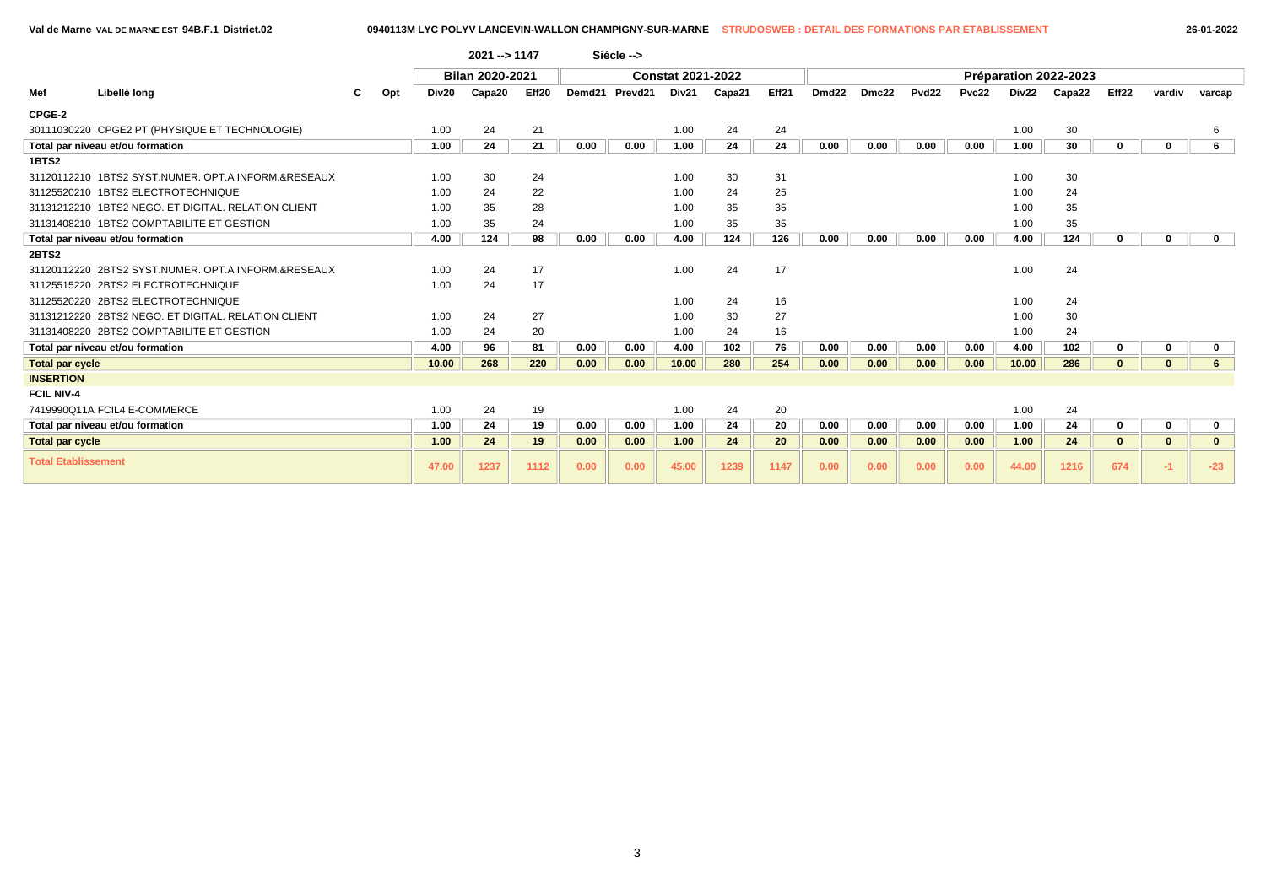|                            |                                                     |     |       | 2021 -- > 1147  |       |      | Siécle -->     |                          |        |       |                   |       |                   |       |       |                       |              |              |              |
|----------------------------|-----------------------------------------------------|-----|-------|-----------------|-------|------|----------------|--------------------------|--------|-------|-------------------|-------|-------------------|-------|-------|-----------------------|--------------|--------------|--------------|
|                            |                                                     |     |       | Bilan 2020-2021 |       |      |                | <b>Constat 2021-2022</b> |        |       |                   |       |                   |       |       | Préparation 2022-2023 |              |              |              |
| Mef                        | Libellé long                                        | Opt | Div20 | Capa20          | Eff20 |      | Demd21 Prevd21 | Div21                    | Capa21 | Eff21 | Dmd <sub>22</sub> | Dmc22 | Pvd <sub>22</sub> | Pvc22 | Div22 | Capa22                | Eff22        | vardiv       | varcap       |
| CPGE-2                     |                                                     |     |       |                 |       |      |                |                          |        |       |                   |       |                   |       |       |                       |              |              |              |
|                            | 30111030220 CPGE2 PT (PHYSIQUE ET TECHNOLOGIE)      |     | 1.00  | 24              | 21    |      |                | 1.00                     | 24     | 24    |                   |       |                   |       | 1.00  | 30                    |              |              | 6            |
|                            | Total par niveau et/ou formation                    |     | 1.00  | 24              | 21    | 0.00 | 0.00           | 1.00                     | 24     | 24    | 0.00              | 0.00  | 0.00              | 0.00  | 1.00  | 30                    | $\Omega$     | $\Omega$     | 6            |
| 1BTS2                      |                                                     |     |       |                 |       |      |                |                          |        |       |                   |       |                   |       |       |                       |              |              |              |
|                            | 31120112210 1BTS2 SYST.NUMER, OPT.A INFORM.&RESEAUX |     | 1.00  | 30              | 24    |      |                | 1.00                     | 30     | 31    |                   |       |                   |       | 1.00  | 30                    |              |              |              |
|                            | 31125520210 1BTS2 ELECTROTECHNIQUE                  |     | 1.00  | 24              | 22    |      |                | 1.00                     | 24     | 25    |                   |       |                   |       | 1.00  | 24                    |              |              |              |
|                            | 31131212210 1BTS2 NEGO, ET DIGITAL, RELATION CLIENT |     | 1.00  | 35              | 28    |      |                | 1.00                     | 35     | 35    |                   |       |                   |       | 1.00  | 35                    |              |              |              |
|                            | 31131408210 1BTS2 COMPTABILITE ET GESTION           |     | 1.00  | 35              | 24    |      |                | 1.00                     | 35     | 35    |                   |       |                   |       | 1.00  | 35                    |              |              |              |
|                            | Total par niveau et/ou formation                    |     | 4.00  | 124             | 98    | 0.00 | 0.00           | 4.00                     | 124    | 126   | 0.00              | 0.00  | 0.00              | 0.00  | 4.00  | 124                   | $\Omega$     | $\Omega$     | $\mathbf{0}$ |
| 2BTS2                      |                                                     |     |       |                 |       |      |                |                          |        |       |                   |       |                   |       |       |                       |              |              |              |
|                            | 31120112220 2BTS2 SYST.NUMER, OPT.A INFORM.&RESEAUX |     | 1.00  | 24              | 17    |      |                | 1.00                     | 24     | 17    |                   |       |                   |       | 1.00  | 24                    |              |              |              |
|                            | 31125515220 2BTS2 ELECTROTECHNIQUE                  |     | 1.00  | 24              | 17    |      |                |                          |        |       |                   |       |                   |       |       |                       |              |              |              |
|                            | 31125520220 2BTS2 ELECTROTECHNIQUE                  |     |       |                 |       |      |                | 1.00                     | 24     | 16    |                   |       |                   |       | 1.00  | 24                    |              |              |              |
|                            | 31131212220 2BTS2 NEGO, ET DIGITAL, RELATION CLIENT |     | 1.00  | 24              | 27    |      |                | 1.00                     | 30     | 27    |                   |       |                   |       | 1.00  | 30                    |              |              |              |
|                            | 31131408220 2BTS2 COMPTABILITE ET GESTION           |     | 1.00  | 24              | 20    |      |                | 1.00                     | 24     | 16    |                   |       |                   |       | 1.00  | 24                    |              |              |              |
|                            | Total par niveau et/ou formation                    |     | 4.00  | 96              | 81    | 0.00 | 0.00           | 4.00                     | 102    | 76    | 0.00              | 0.00  | 0.00              | 0.00  | 4.00  | 102                   | $\Omega$     | $\Omega$     | 0            |
| <b>Total par cycle</b>     |                                                     |     | 10.00 | 268             | 220   | 0.00 | 0.00           | 10.00                    | 280    | 254   | 0.00              | 0.00  | 0.00              | 0.00  | 10.00 | 286                   | $\Omega$     | $\Omega$     | 6            |
| <b>INSERTION</b>           |                                                     |     |       |                 |       |      |                |                          |        |       |                   |       |                   |       |       |                       |              |              |              |
| <b>FCIL NIV-4</b>          |                                                     |     |       |                 |       |      |                |                          |        |       |                   |       |                   |       |       |                       |              |              |              |
|                            | 7419990Q11A FCIL4 E-COMMERCE                        |     | 1.00  | 24              | 19    |      |                | 1.00                     | 24     | 20    |                   |       |                   |       | 1.00  | 24                    |              |              |              |
|                            | Total par niveau et/ou formation                    |     | 1.00  | 24              | 19    | 0.00 | 0.00           | 1.00                     | 24     | 20    | 0.00              | 0.00  | 0.00              | 0.00  | 1.00  | 24                    | $\bf{0}$     | $\Omega$     | 0            |
| <b>Total par cycle</b>     |                                                     |     | 1.00  | 24              | 19    | 0.00 | 0.00           | 1.00                     | 24     | 20    | 0.00              | 0.00  | 0.00              | 0.00  | 1.00  | 24                    | $\mathbf{0}$ | $\mathbf{0}$ | $\mathbf{0}$ |
| <b>Total Etablissement</b> |                                                     |     | 47.00 | 1237            | 1112  | 0.00 | 0.00           | 45.00                    | 1239   | 1147  | 0.00              | 0.00  | 0.00              | 0.00  | 44.00 | 1216                  | 674          | $-1$         | $-23$        |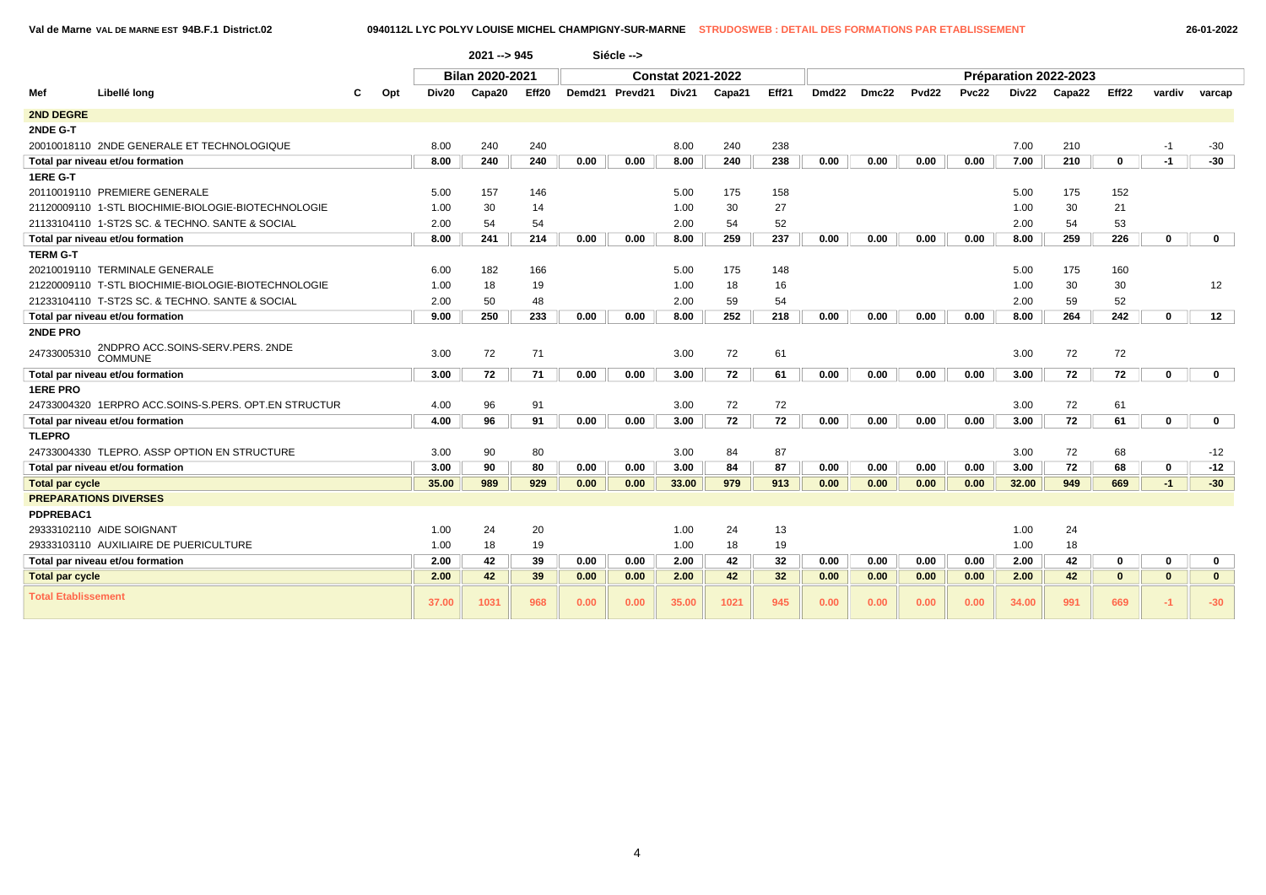**Val de Marne VAL DE MARNE EST 94B.F.1 District.02 0940112L LYC POLYV LOUISE MICHEL CHAMPIGNY-SUR-MARNE STRUDOSWEB : DETAIL DES FORMATIONS PAR ETABLISSEMENT 26-01-2022**

|                            |                                                      |     |       | 2021 --> 945           |       |      | Siécle -->     |                          |        |                 |                   |       |       |       |       |                       |                   |              |              |  |
|----------------------------|------------------------------------------------------|-----|-------|------------------------|-------|------|----------------|--------------------------|--------|-----------------|-------------------|-------|-------|-------|-------|-----------------------|-------------------|--------------|--------------|--|
|                            |                                                      |     |       | <b>Bilan 2020-2021</b> |       |      |                | <b>Constat 2021-2022</b> |        |                 |                   |       |       |       |       | Préparation 2022-2023 |                   |              |              |  |
| Mef                        | Libellé long                                         | Opt | Div20 | Capa20                 | Eff20 |      | Demd21 Prevd21 | Div21                    | Capa21 | Eff21           | Dmd <sub>22</sub> | Dmc22 | Pvd22 | Pvc22 | Div22 | Capa22                | Eff <sub>22</sub> | vardiv       | varcap       |  |
| <b>2ND DEGRE</b>           |                                                      |     |       |                        |       |      |                |                          |        |                 |                   |       |       |       |       |                       |                   |              |              |  |
| 2NDE G-T                   |                                                      |     |       |                        |       |      |                |                          |        |                 |                   |       |       |       |       |                       |                   |              |              |  |
|                            | 20010018110 2NDE GENERALE ET TECHNOLOGIQUE           |     | 8.00  | 240                    | 240   |      |                | 8.00                     | 240    | 238             |                   |       |       |       | 7.00  | 210                   |                   | $-1$         | $-30$        |  |
|                            | Total par niveau et/ou formation                     |     | 8.00  | 240                    | 240   | 0.00 | 0.00           | 8.00                     | 240    | 238             | 0.00              | 0.00  | 0.00  | 0.00  | 7.00  | 210                   | 0                 | $-1$         | $-30$        |  |
| 1ERE G-T                   |                                                      |     |       |                        |       |      |                |                          |        |                 |                   |       |       |       |       |                       |                   |              |              |  |
|                            | 20110019110 PREMIERE GENERALE                        |     | 5.00  | 157                    | 146   |      |                | 5.00                     | 175    | 158             |                   |       |       |       | 5.00  | 175                   | 152               |              |              |  |
|                            | 21120009110 1-STL BIOCHIMIE-BIOLOGIE-BIOTECHNOLOGIE  |     | 1.00  | 30                     | 14    |      |                | 1.00                     | 30     | 27              |                   |       |       |       | 1.00  | 30                    | 21                |              |              |  |
|                            | 21133104110 1-ST2S SC. & TECHNO. SANTE & SOCIAL      |     | 2.00  | 54                     | 54    |      |                | 2.00                     | 54     | 52              |                   |       |       |       | 2.00  | 54                    | 53                |              |              |  |
|                            | Total par niveau et/ou formation                     |     | 8.00  | 241                    | 214   | 0.00 | 0.00           | 8.00                     | 259    | 237             | 0.00              | 0.00  | 0.00  | 0.00  | 8.00  | 259                   | 226               | $\mathbf 0$  | $\mathbf{0}$ |  |
| <b>TERM G-T</b>            |                                                      |     |       |                        |       |      |                |                          |        |                 |                   |       |       |       |       |                       |                   |              |              |  |
|                            | 20210019110 TERMINALE GENERALE                       |     | 6.00  | 182                    | 166   |      |                | 5.00                     | 175    | 148             |                   |       |       |       | 5.00  | 175                   | 160               |              |              |  |
|                            | 21220009110 T-STL BIOCHIMIE-BIOLOGIE-BIOTECHNOLOGIE  |     | 1.00  | 18                     | 19    |      |                | 1.00                     | 18     | 16              |                   |       |       |       | 1.00  | 30                    | 30                |              | 12           |  |
|                            | 21233104110 T-ST2S SC. & TECHNO. SANTE & SOCIAL      |     | 2.00  | 50                     | 48    |      |                | 2.00                     | 59     | 54              |                   |       |       |       | 2.00  | 59                    | 52                |              |              |  |
|                            | Total par niveau et/ou formation                     |     | 9.00  | 250                    | 233   | 0.00 | 0.00           | 8.00                     | 252    | 218             | 0.00              | 0.00  | 0.00  | 0.00  | 8.00  | 264                   | 242               | $\mathbf{0}$ | 12           |  |
| 2NDE PRO                   |                                                      |     |       |                        |       |      |                |                          |        |                 |                   |       |       |       |       |                       |                   |              |              |  |
| 24733005310                | 2NDPRO ACC.SOINS-SERV.PERS. 2NDE<br><b>COMMUNE</b>   |     | 3.00  | 72                     | 71    |      |                | 3.00                     | 72     | 61              |                   |       |       |       | 3.00  | 72                    | 72                |              |              |  |
|                            | Total par niveau et/ou formation                     |     | 3.00  | 72                     | 71    | 0.00 | 0.00           | 3.00                     | 72     | 61              | 0.00              | 0.00  | 0.00  | 0.00  | 3.00  | 72                    | 72                | 0            | $\mathbf{0}$ |  |
| <b>1ERE PRO</b>            |                                                      |     |       |                        |       |      |                |                          |        |                 |                   |       |       |       |       |                       |                   |              |              |  |
|                            | 24733004320 1ERPRO ACC.SOINS-S.PERS. OPT.EN STRUCTUR |     | 4.00  | 96                     | 91    |      |                | 3.00                     | 72     | 72              |                   |       |       |       | 3.00  | 72                    | 61                |              |              |  |
|                            | Total par niveau et/ou formation                     |     | 4.00  | 96                     | 91    | 0.00 | 0.00           | 3.00                     | 72     | 72              | 0.00              | 0.00  | 0.00  | 0.00  | 3.00  | 72                    | 61                | 0            | $\mathbf 0$  |  |
| <b>TLEPRO</b>              |                                                      |     |       |                        |       |      |                |                          |        |                 |                   |       |       |       |       |                       |                   |              |              |  |
|                            | 24733004330 TLEPRO. ASSP OPTION EN STRUCTURE         |     | 3.00  | 90                     | 80    |      |                | 3.00                     | 84     | 87              |                   |       |       |       | 3.00  | 72                    | 68                |              | $-12$        |  |
|                            | Total par niveau et/ou formation                     |     | 3.00  | 90                     | 80    | 0.00 | 0.00           | 3.00                     | 84     | 87              | 0.00              | 0.00  | 0.00  | 0.00  | 3.00  | 72                    | 68                | 0            | $-12$        |  |
| <b>Total par cycle</b>     |                                                      |     | 35.00 | 989                    | 929   | 0.00 | 0.00           | 33.00                    | 979    | 913             | 0.00              | 0.00  | 0.00  | 0.00  | 32.00 | 949                   | 669               | $-1$         | $-30$        |  |
|                            | <b>PREPARATIONS DIVERSES</b>                         |     |       |                        |       |      |                |                          |        |                 |                   |       |       |       |       |                       |                   |              |              |  |
| PDPREBAC1                  |                                                      |     |       |                        |       |      |                |                          |        |                 |                   |       |       |       |       |                       |                   |              |              |  |
|                            | 29333102110 AIDE SOIGNANT                            |     | 1.00  | 24                     | 20    |      |                | 1.00                     | 24     | 13              |                   |       |       |       | 1.00  | 24                    |                   |              |              |  |
|                            | 29333103110 AUXILIAIRE DE PUERICULTURE               |     | 1.00  | 18                     | 19    |      |                | 1.00                     | 18     | 19              |                   |       |       |       | 1.00  | 18                    |                   |              |              |  |
|                            | Total par niveau et/ou formation                     |     | 2.00  | 42                     | 39    | 0.00 | 0.00           | 2.00                     | 42     | 32              | 0.00              | 0.00  | 0.00  | 0.00  | 2.00  | 42                    | 0                 | $\mathbf 0$  | $\mathbf 0$  |  |
| <b>Total par cycle</b>     |                                                      |     | 2.00  | 42                     | 39    | 0.00 | 0.00           | 2.00                     | 42     | 32 <sub>2</sub> | 0.00              | 0.00  | 0.00  | 0.00  | 2.00  | 42                    | $\mathbf{0}$      | $\mathbf{0}$ | $\mathbf{0}$ |  |
| <b>Total Etablissement</b> |                                                      |     | 37.00 | 1031                   | 968   | 0.00 | 0.00           | 35.00                    | 1021   | 945             | 0.00              | 0.00  | 0.00  | 0.00  | 34.00 | 991                   | 669               | $-1$         | $-30$        |  |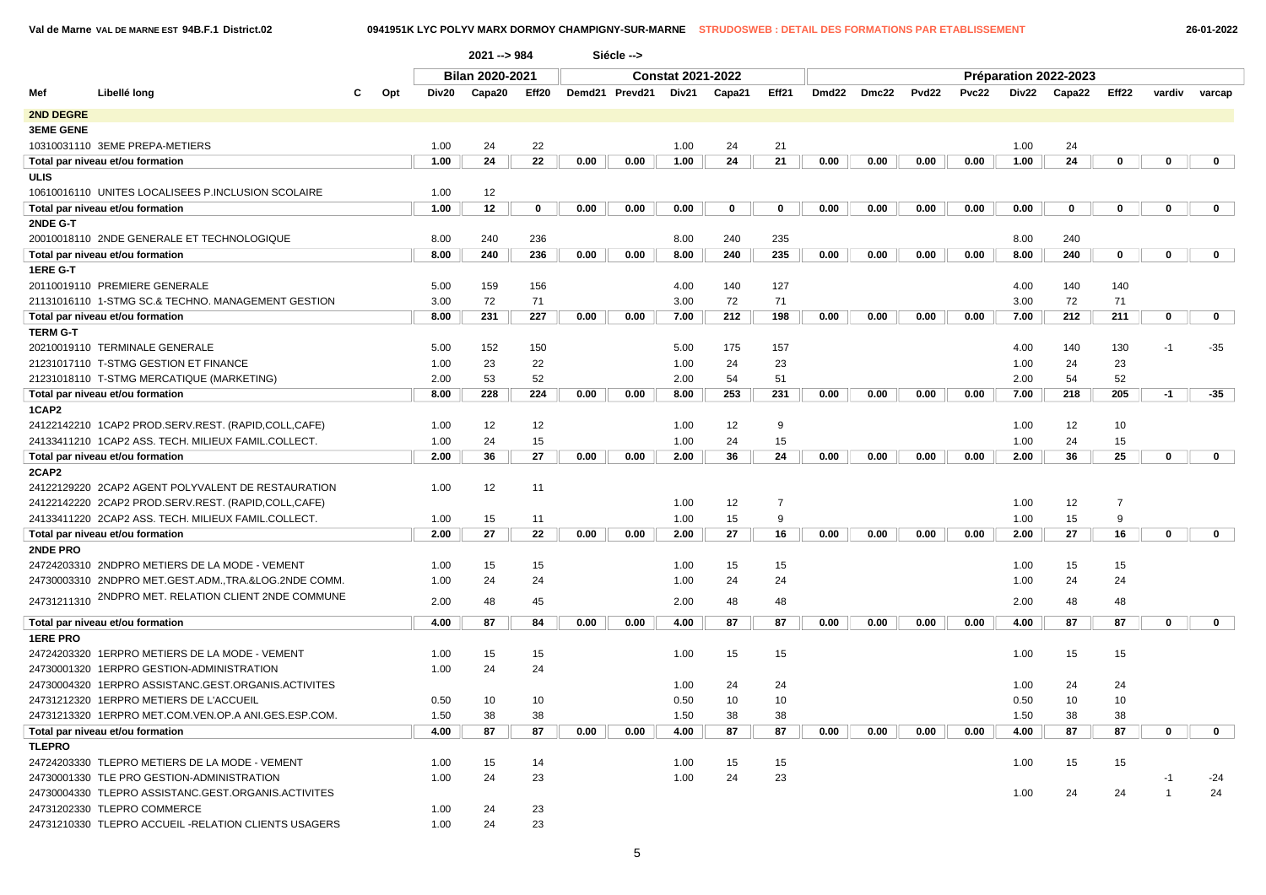|  |  | 26-01-2022 |
|--|--|------------|
|  |  |            |

|                  |                                                       |          |       | $2021 - 984$           |                 |      | Siécle -->     |                          |             |                |       |       |                   |       |       |                       |                |              |              |
|------------------|-------------------------------------------------------|----------|-------|------------------------|-----------------|------|----------------|--------------------------|-------------|----------------|-------|-------|-------------------|-------|-------|-----------------------|----------------|--------------|--------------|
|                  |                                                       |          |       | <b>Bilan 2020-2021</b> |                 |      |                | <b>Constat 2021-2022</b> |             |                |       |       |                   |       |       | Préparation 2022-2023 |                |              |              |
| Mef              | Libellé long                                          | Opt<br>С | Div20 | Capa20                 | Eff20           |      | Demd21 Prevd21 | Div21                    | Capa21      | Eff21          | Dmd22 | Dmc22 | Pvd <sub>22</sub> | Pvc22 | Div22 | Capa22                | Eff22          | vardiv       | varcap       |
| 2ND DEGRE        |                                                       |          |       |                        |                 |      |                |                          |             |                |       |       |                   |       |       |                       |                |              |              |
| <b>3EME GENE</b> |                                                       |          |       |                        |                 |      |                |                          |             |                |       |       |                   |       |       |                       |                |              |              |
|                  | 10310031110 3EME PREPA-METIERS                        |          | 1.00  | 24                     | 22              |      |                | 1.00                     | 24          | 21             |       |       |                   |       | 1.00  | 24                    |                |              |              |
|                  | Total par niveau et/ou formation                      |          | 1.00  | 24                     | $\overline{22}$ | 0.00 | 0.00           | 1.00                     | 24          | 21             | 0.00  | 0.00  | 0.00              | 0.00  | 1.00  | 24                    | 0              | 0            | $\mathbf 0$  |
| <b>ULIS</b>      |                                                       |          |       |                        |                 |      |                |                          |             |                |       |       |                   |       |       |                       |                |              |              |
|                  | 10610016110 UNITES LOCALISEES P.INCLUSION SCOLAIRE    |          | 1.00  | 12                     |                 |      |                |                          |             |                |       |       |                   |       |       |                       |                |              |              |
|                  | Total par niveau et/ou formation                      |          | 1.00  | 12                     | 0               | 0.00 | 0.00           | 0.00                     | $\mathbf 0$ | 0              | 0.00  | 0.00  | 0.00              | 0.00  | 0.00  | 0                     | 0              | 0            | $\mathbf{0}$ |
| 2NDE G-T         |                                                       |          |       |                        |                 |      |                |                          |             |                |       |       |                   |       |       |                       |                |              |              |
|                  | 20010018110 2NDE GENERALE ET TECHNOLOGIQUE            |          | 8.00  | 240                    | 236             |      |                | 8.00                     | 240         | 235            |       |       |                   |       | 8.00  | 240                   |                |              |              |
|                  | Total par niveau et/ou formation                      |          | 8.00  | 240                    | 236             | 0.00 | 0.00           | 8.00                     | 240         | 235            | 0.00  | 0.00  | 0.00              | 0.00  | 8.00  | 240                   | $\mathbf 0$    | 0            | $\mathbf{0}$ |
| 1ERE G-T         |                                                       |          |       |                        |                 |      |                |                          |             |                |       |       |                   |       |       |                       |                |              |              |
|                  | 20110019110 PREMIERE GENERALE                         |          | 5.00  | 159                    | 156             |      |                | 4.00                     | 140         | 127            |       |       |                   |       | 4.00  | 140                   | 140            |              |              |
|                  | 21131016110 1-STMG SC.& TECHNO. MANAGEMENT GESTION    |          | 3.00  | 72                     | 71              |      |                | 3.00                     | 72          | 71             |       |       |                   |       | 3.00  | 72                    | 71             |              |              |
|                  | Total par niveau et/ou formation                      |          | 8.00  | 231                    | 227             | 0.00 | 0.00           | 7.00                     | 212         | 198            | 0.00  | 0.00  | 0.00              | 0.00  | 7.00  | 212                   | 211            | $\mathbf 0$  | $\mathbf{0}$ |
| <b>TERM G-T</b>  |                                                       |          |       |                        |                 |      |                |                          |             |                |       |       |                   |       |       |                       |                |              |              |
|                  | 20210019110 TERMINALE GENERALE                        |          | 5.00  | 152                    | 150             |      |                | 5.00                     | 175         | 157            |       |       |                   |       | 4.00  | 140                   | 130            | $-1$         | $-35$        |
|                  | 21231017110 T-STMG GESTION ET FINANCE                 |          | 1.00  | 23                     | 22              |      |                | 1.00                     | 24          | 23             |       |       |                   |       | 1.00  | 24                    | 23             |              |              |
|                  | 21231018110 T-STMG MERCATIQUE (MARKETING)             |          | 2.00  | 53                     | 52              |      |                | 2.00                     | 54          | 51             |       |       |                   |       | 2.00  | 54                    | 52             |              |              |
|                  | Total par niveau et/ou formation                      |          | 8.00  | 228                    | 224             | 0.00 | 0.00           | 8.00                     | 253         | 231            | 0.00  | 0.00  | 0.00              | 0.00  | 7.00  | 218                   | 205            | $-1$         | $-35$        |
| 1CAP2            |                                                       |          |       |                        |                 |      |                |                          |             |                |       |       |                   |       |       |                       |                |              |              |
|                  | 24122142210 1CAP2 PROD.SERV.REST. (RAPID,COLL,CAFE)   |          | 1.00  | 12                     | 12              |      |                | 1.00                     | 12          | 9              |       |       |                   |       | 1.00  | 12                    | 10             |              |              |
|                  | 24133411210 1CAP2 ASS. TECH. MILIEUX FAMIL.COLLECT.   |          | 1.00  | 24                     | 15              |      |                | 1.00                     | 24          | 15             |       |       |                   |       | 1.00  | 24                    | 15             |              |              |
|                  | Total par niveau et/ou formation                      |          | 2.00  | 36                     | 27              | 0.00 | 0.00           | 2.00                     | 36          | 24             | 0.00  | 0.00  | 0.00              | 0.00  | 2.00  | 36                    | 25             | 0            | $\mathbf 0$  |
| 2CAP2            |                                                       |          |       |                        |                 |      |                |                          |             |                |       |       |                   |       |       |                       |                |              |              |
|                  | 24122129220 2CAP2 AGENT POLYVALENT DE RESTAURATION    |          | 1.00  | 12                     | 11              |      |                |                          |             |                |       |       |                   |       |       |                       |                |              |              |
|                  | 24122142220 2CAP2 PROD.SERV.REST. (RAPID,COLL,CAFE)   |          |       |                        |                 |      |                | 1.00                     | 12          | $\overline{7}$ |       |       |                   |       | 1.00  | 12                    | $\overline{7}$ |              |              |
|                  | 24133411220 2CAP2 ASS. TECH. MILIEUX FAMIL.COLLECT.   |          | 1.00  | 15                     | 11              |      |                | 1.00                     | 15          | 9              |       |       |                   |       | 1.00  | 15                    | 9              |              |              |
|                  | Total par niveau et/ou formation                      |          | 2.00  | 27                     | 22              | 0.00 | 0.00           | 2.00                     | 27          | 16             | 0.00  | 0.00  | 0.00              | 0.00  | 2.00  | 27                    | 16             | $\mathbf 0$  | $\mathbf 0$  |
| 2NDE PRO         |                                                       |          |       |                        |                 |      |                |                          |             |                |       |       |                   |       |       |                       |                |              |              |
|                  | 24724203310 2NDPRO METIERS DE LA MODE - VEMENT        |          | 1.00  | 15                     | 15              |      |                | 1.00                     | 15          | 15             |       |       |                   |       | 1.00  | 15                    | 15             |              |              |
|                  | 24730003310 2NDPRO MET.GEST.ADM., TRA.&LOG.2NDE COMM. |          | 1.00  | 24                     | 24              |      |                | 1.00                     | 24          | 24             |       |       |                   |       | 1.00  | 24                    | 24             |              |              |
|                  | 24731211310 2NDPRO MET. RELATION CLIENT 2NDE COMMUNE  |          | 2.00  | 48                     | 45              |      |                | 2.00                     | 48          | 48             |       |       |                   |       | 2.00  | 48                    | 48             |              |              |
|                  | Total par niveau et/ou formation                      |          | 4.00  | 87                     | 84              | 0.00 | 0.00           | 4.00                     | 87          | 87             | 0.00  | 0.00  | 0.00              | 0.00  | 4.00  | 87                    | 87             | 0            | $\mathbf{0}$ |
| <b>1ERE PRO</b>  |                                                       |          |       |                        |                 |      |                |                          |             |                |       |       |                   |       |       |                       |                |              |              |
|                  | 24724203320 1ERPRO METIERS DE LA MODE - VEMENT        |          | 1.00  | 15                     | 15              |      |                | 1.00                     | 15          | 15             |       |       |                   |       | 1.00  | 15                    | 15             |              |              |
|                  | 24730001320 1ERPRO GESTION-ADMINISTRATION             |          | 1.00  | 24                     | 24              |      |                |                          |             |                |       |       |                   |       |       |                       |                |              |              |
|                  | 24730004320 1ERPRO ASSISTANC.GEST.ORGANIS.ACTIVITES   |          |       |                        |                 |      |                | 1.00                     | 24          | 24             |       |       |                   |       | 1.00  | 24                    | 24             |              |              |
|                  | 24731212320 1ERPRO METIERS DE L'ACCUEIL               |          | 0.50  | 10                     | 10              |      |                | 0.50                     | 10          | 10             |       |       |                   |       | 0.50  | 10                    | 10             |              |              |
|                  | 24731213320 1ERPRO MET.COM.VEN.OP.A ANI.GES.ESP.COM.  |          | 1.50  | 38                     | 38              |      |                | 1.50                     | 38          | 38             |       |       |                   |       | 1.50  | 38                    | 38             |              |              |
|                  | Total par niveau et/ou formation                      |          | 4.00  | 87                     | 87              | 0.00 | 0.00           | 4.00                     | 87          | 87             | 0.00  | 0.00  | 0.00              | 0.00  | 4.00  | 87                    | 87             | 0            | $\mathbf{0}$ |
| <b>TLEPRO</b>    |                                                       |          |       |                        |                 |      |                |                          |             |                |       |       |                   |       |       |                       |                |              |              |
|                  | 24724203330 TLEPRO METIERS DE LA MODE - VEMENT        |          | 1.00  | 15                     | 14              |      |                | 1.00                     | 15          | 15             |       |       |                   |       | 1.00  | 15                    | 15             |              |              |
|                  | 24730001330 TLE PRO GESTION-ADMINISTRATION            |          | 1.00  | 24                     | 23              |      |                | 1.00                     | 24          | 23             |       |       |                   |       |       |                       |                | $-1$         | $-24$        |
|                  | 24730004330 TLEPRO ASSISTANC.GEST.ORGANIS.ACTIVITES   |          |       |                        |                 |      |                |                          |             |                |       |       |                   |       | 1.00  | 24                    | 24             | $\mathbf{1}$ | 24           |
|                  | 24731202330 TLEPRO COMMERCE                           |          | 1.00  | 24                     | 23              |      |                |                          |             |                |       |       |                   |       |       |                       |                |              |              |
|                  | 24731210330 TLEPRO ACCUEIL -RELATION CLIENTS USAGERS  |          | 1.00  | 24                     | 23              |      |                |                          |             |                |       |       |                   |       |       |                       |                |              |              |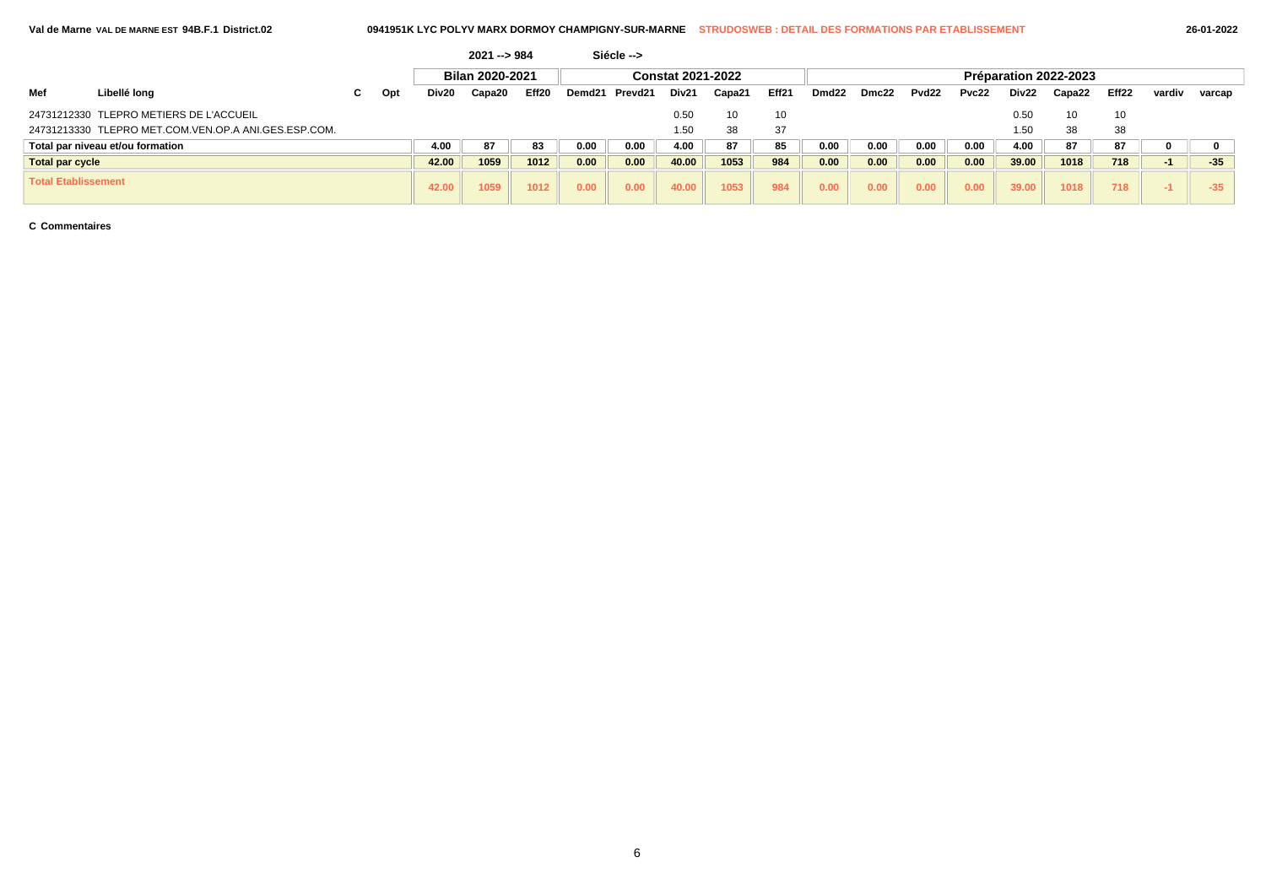|                            |                                                      |   |     |       | 2021 --> 984           |       |      | Siécle -->     |                          |        |                 |                   |       |                   |       |       |                       |       |        |        |
|----------------------------|------------------------------------------------------|---|-----|-------|------------------------|-------|------|----------------|--------------------------|--------|-----------------|-------------------|-------|-------------------|-------|-------|-----------------------|-------|--------|--------|
|                            |                                                      |   |     |       | <b>Bilan 2020-2021</b> |       |      |                | <b>Constat 2021-2022</b> |        |                 |                   |       |                   |       |       | Préparation 2022-2023 |       |        |        |
| Mef                        | Libellé long                                         | C | Opt | Div20 | Capa20                 | Eff20 |      | Demd21 Prevd21 | Div21                    | Capa21 | Eff21           | Dmd <sub>22</sub> | Dmc22 | Pvd <sub>22</sub> | Pvc22 | Div22 | Capa22                | Eff22 | vardiv | varcap |
|                            | 24731212330 TLEPRO METIERS DE L'ACCUEIL              |   |     |       |                        |       |      |                | 0.50                     | 10     | 10 <sup>1</sup> |                   |       |                   |       | 0.50  | 10                    | 10    |        |        |
|                            | 24731213330 TLEPRO MET.COM.VEN.OP.A ANI.GES.ESP.COM. |   |     |       |                        |       |      |                | 1.50                     | 38     | 37              |                   |       |                   |       | .50   | 38                    | 38    |        |        |
|                            | Total par niveau et/ou formation                     |   |     | 4.00  | 87                     | 83    | 0.00 | 0.00           | 4.00                     | 87     | 85              | 0.00              | 0.00  | 0.00              | 0.00  | 4.00  | 87                    | 87    |        |        |
| <b>Total par cycle</b>     |                                                      |   |     | 42.00 | 1059                   | 1012  | 0.00 | 0.00           | 40.00                    | 1053   | 984             | 0.00              | 0.00  | 0.00              | 0.00  | 39.00 | 1018                  | 718   | -1     | $-35$  |
| <b>Total Etablissement</b> |                                                      |   |     | 42.00 | 1059                   | 1012  | 0.00 | 0.00           | 40.00                    | 1053   | 984             | 0.00              | 0.00  | 0.00              | 0.00  | 39.00 | 1018                  | 718   |        | $-35$  |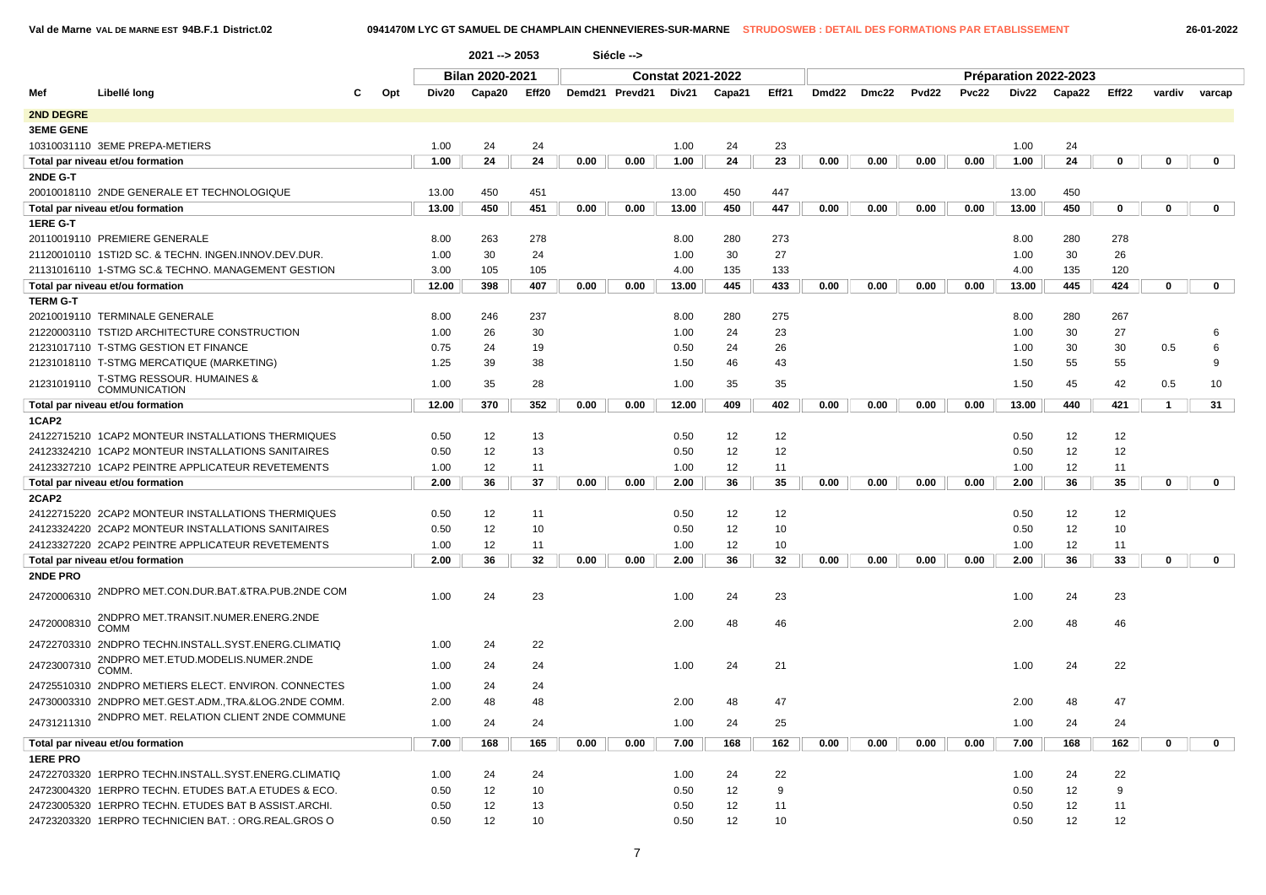|                  |                                                      |     |       | $2021 - 2053$          |       |      | Siécle -->     |                          |        |       |                   |       |              |              |       |                       |             |              |             |
|------------------|------------------------------------------------------|-----|-------|------------------------|-------|------|----------------|--------------------------|--------|-------|-------------------|-------|--------------|--------------|-------|-----------------------|-------------|--------------|-------------|
|                  |                                                      |     |       | <b>Bilan 2020-2021</b> |       |      |                | <b>Constat 2021-2022</b> |        |       |                   |       |              |              |       | Préparation 2022-2023 |             |              |             |
| Mef              | Libellé long                                         | Opt | Div20 | Capa20                 | Eff20 |      | Demd21 Prevd21 | Div21                    | Capa21 | Eff21 | Dmd <sub>22</sub> | Dmc22 | <b>Pvd22</b> | <b>Pvc22</b> | Div22 | Capa22                | Eff22       | vardiv       | varcap      |
| 2ND DEGRE        |                                                      |     |       |                        |       |      |                |                          |        |       |                   |       |              |              |       |                       |             |              |             |
| <b>3EME GENE</b> |                                                      |     |       |                        |       |      |                |                          |        |       |                   |       |              |              |       |                       |             |              |             |
|                  | 10310031110 3EME PREPA-METIERS                       |     | 1.00  | 24                     | 24    |      |                | 1.00                     | 24     | 23    |                   |       |              |              | 1.00  | 24                    |             |              |             |
|                  | Total par niveau et/ou formation                     |     | 1.00  | 24                     | 24    | 0.00 | 0.00           | 1.00                     | 24     | 23    | 0.00              | 0.00  | 0.00         | 0.00         | 1.00  | 24                    | $\mathbf 0$ | $\mathbf 0$  | $\mathbf 0$ |
| 2NDE G-T         |                                                      |     |       |                        |       |      |                |                          |        |       |                   |       |              |              |       |                       |             |              |             |
|                  | 20010018110 2NDE GENERALE ET TECHNOLOGIQUE           |     | 13.00 | 450                    | 451   |      |                | 13.00                    | 450    | 447   |                   |       |              |              | 13.00 | 450                   |             |              |             |
|                  | Total par niveau et/ou formation                     |     | 13.00 | 450                    | 451   | 0.00 | 0.00           | 13.00                    | 450    | 447   | 0.00              | 0.00  | 0.00         | 0.00         | 13.00 | 450                   | 0           | 0            | $\mathbf 0$ |
| 1ERE G-T         |                                                      |     |       |                        |       |      |                |                          |        |       |                   |       |              |              |       |                       |             |              |             |
|                  | 20110019110 PREMIERE GENERALE                        |     | 8.00  | 263                    | 278   |      |                | 8.00                     | 280    | 273   |                   |       |              |              | 8.00  | 280                   | 278         |              |             |
|                  | 21120010110 1STI2D SC. & TECHN. INGEN.INNOV.DEV.DUR. |     | 1.00  | 30                     | 24    |      |                | 1.00                     | 30     | 27    |                   |       |              |              | 1.00  | 30                    | 26          |              |             |
|                  | 21131016110 1-STMG SC.& TECHNO, MANAGEMENT GESTION   |     | 3.00  | 105                    | 105   |      |                | 4.00                     | 135    | 133   |                   |       |              |              | 4.00  | 135                   | 120         |              |             |
|                  | Total par niveau et/ou formation                     |     | 12.00 | 398                    | 407   | 0.00 | 0.00           | 13.00                    | 445    | 433   | 0.00              | 0.00  | 0.00         | 0.00         | 13.00 | 445                   | 424         | $\mathbf 0$  | $\mathbf 0$ |
| <b>TERM G-T</b>  |                                                      |     |       |                        |       |      |                |                          |        |       |                   |       |              |              |       |                       |             |              |             |
|                  | 20210019110 TERMINALE GENERALE                       |     | 8.00  | 246                    | 237   |      |                | 8.00                     | 280    | 275   |                   |       |              |              | 8.00  | 280                   | 267         |              |             |
|                  | 21220003110 TSTI2D ARCHITECTURE CONSTRUCTION         |     | 1.00  | 26                     | 30    |      |                | 1.00                     | 24     | 23    |                   |       |              |              | 1.00  | 30                    | 27          |              | 6           |
|                  | 21231017110 T-STMG GESTION ET FINANCE                |     | 0.75  | 24                     | 19    |      |                | 0.50                     | 24     | 26    |                   |       |              |              | 1.00  | 30                    | 30          | 0.5          | 6           |
|                  | 21231018110 T-STMG MERCATIQUE (MARKETING)            |     | 1.25  | 39                     | 38    |      |                | 1.50                     | 46     | 43    |                   |       |              |              | 1.50  | 55                    | 55          |              | 9           |
| 21231019110      | T-STMG RESSOUR. HUMAINES &<br><b>COMMUNICATION</b>   |     | 1.00  | 35                     | 28    |      |                | 1.00                     | 35     | 35    |                   |       |              |              | 1.50  | 45                    | 42          | 0.5          | 10          |
|                  | Total par niveau et/ou formation                     |     | 12.00 | 370                    | 352   | 0.00 | 0.00           | 12.00                    | 409    | 402   | 0.00              | 0.00  | 0.00         | 0.00         | 13.00 | 440                   | 421         | $\mathbf{1}$ | 31          |
| 1CAP2            |                                                      |     |       |                        |       |      |                |                          |        |       |                   |       |              |              |       |                       |             |              |             |
|                  | 24122715210 1CAP2 MONTEUR INSTALLATIONS THERMIQUES   |     | 0.50  | 12                     | 13    |      |                | 0.50                     | 12     | 12    |                   |       |              |              | 0.50  | 12                    | 12          |              |             |
|                  | 24123324210 1CAP2 MONTEUR INSTALLATIONS SANITAIRES   |     | 0.50  | 12                     | 13    |      |                | 0.50                     | 12     | 12    |                   |       |              |              | 0.50  | 12                    | 12          |              |             |
|                  | 24123327210 1CAP2 PEINTRE APPLICATEUR REVETEMENTS    |     | 1.00  | 12                     | 11    |      |                | 1.00                     | 12     | 11    |                   |       |              |              | 1.00  | 12                    | 11          |              |             |
|                  | Total par niveau et/ou formation                     |     | 2.00  | 36                     | 37    | 0.00 | 0.00           | 2.00                     | 36     | 35    | 0.00              | 0.00  | 0.00         | 0.00         | 2.00  | 36                    | 35          | $\mathbf 0$  | $\mathbf 0$ |
| 2CAP2            |                                                      |     |       |                        |       |      |                |                          |        |       |                   |       |              |              |       |                       |             |              |             |
|                  | 24122715220 2CAP2 MONTEUR INSTALLATIONS THERMIQUES   |     | 0.50  | 12                     | 11    |      |                | 0.50                     | 12     | 12    |                   |       |              |              | 0.50  | 12                    | 12          |              |             |
|                  | 24123324220 2CAP2 MONTEUR INSTALLATIONS SANITAIRES   |     | 0.50  | 12                     | 10    |      |                | 0.50                     | 12     | 10    |                   |       |              |              | 0.50  | 12                    | 10          |              |             |
|                  | 24123327220 2CAP2 PEINTRE APPLICATEUR REVETEMENTS    |     | 1.00  | 12                     | 11    |      |                | 1.00                     | 12     | 10    |                   |       |              |              | 1.00  | 12                    | 11          |              |             |
|                  | Total par niveau et/ou formation                     |     | 2.00  | 36                     | 32    | 0.00 | 0.00           | 2.00                     | 36     | 32    | 0.00              | 0.00  | 0.00         | 0.00         | 2.00  | 36                    | 33          | $\mathbf 0$  | $\mathbf 0$ |
| 2NDE PRO         |                                                      |     |       |                        |       |      |                |                          |        |       |                   |       |              |              |       |                       |             |              |             |
|                  | 24720006310 2NDPRO MET.CON.DUR.BAT.&TRA.PUB.2NDE COM |     | 1.00  | 24                     | 23    |      |                | 1.00                     | 24     | 23    |                   |       |              |              | 1.00  | 24                    | 23          |              |             |
| 24720008310      | 2NDPRO MET.TRANSIT.NUMER.ENERG.2NDE<br>COMM          |     |       |                        |       |      |                | 2.00                     | 48     | 46    |                   |       |              |              | 2.00  | 48                    | 46          |              |             |
|                  | 24722703310 2NDPRO TECHN.INSTALL.SYST.ENERG.CLIMATIQ |     | 1.00  | 24                     | 22    |      |                |                          |        |       |                   |       |              |              |       |                       |             |              |             |
| 24723007310      | 2NDPRO MET.ETUD.MODELIS.NUMER.2NDE<br><b>COMM</b>    |     | 1.00  | 24                     | 24    |      |                | 1.00                     | 24     | 21    |                   |       |              |              | 1.00  | 24                    | 22          |              |             |
|                  | 24725510310 2NDPRO METIERS ELECT. ENVIRON. CONNECTES |     | 1.00  | 24                     | 24    |      |                |                          |        |       |                   |       |              |              |       |                       |             |              |             |
|                  | 24730003310 2NDPRO MET.GEST.ADM.,TRA.&LOG.2NDE COMM. |     | 2.00  | 48                     | 48    |      |                | 2.00                     | 48     | 47    |                   |       |              |              | 2.00  | 48                    | 47          |              |             |
| 24731211310      | 2NDPRO MET. RELATION CLIENT 2NDE COMMUNE             |     | 1.00  | 24                     | 24    |      |                | 1.00                     | 24     | 25    |                   |       |              |              | 1.00  | 24                    | 24          |              |             |
|                  | Total par niveau et/ou formation                     |     | 7.00  | 168                    | 165   | 0.00 | 0.00           | 7.00                     | 168    | 162   | 0.00              | 0.00  | 0.00         | 0.00         | 7.00  | 168                   | 162         | $\mathbf 0$  | $\mathbf 0$ |
| <b>1ERE PRO</b>  |                                                      |     |       |                        |       |      |                |                          |        |       |                   |       |              |              |       |                       |             |              |             |
|                  | 24722703320 1ERPRO TECHN.INSTALL.SYST.ENERG.CLIMATIQ |     | 1.00  | 24                     | 24    |      |                | 1.00                     | 24     | 22    |                   |       |              |              | 1.00  | 24                    | 22          |              |             |
|                  | 24723004320 1ERPRO TECHN. ETUDES BAT.A ETUDES & ECO. |     | 0.50  | 12                     | 10    |      |                | 0.50                     | 12     | 9     |                   |       |              |              | 0.50  | 12                    | 9           |              |             |
|                  | 24723005320 1ERPRO TECHN. ETUDES BAT B ASSIST.ARCHI. |     | 0.50  | 12                     | 13    |      |                | 0.50                     | 12     | 11    |                   |       |              |              | 0.50  | 12                    | 11          |              |             |
|                  | 24723203320 1ERPRO TECHNICIEN BAT.: ORG.REAL.GROS O  |     | 0.50  | 12                     | 10    |      |                | 0.50                     | 12     | 10    |                   |       |              |              | 0.50  | 12                    | 12          |              |             |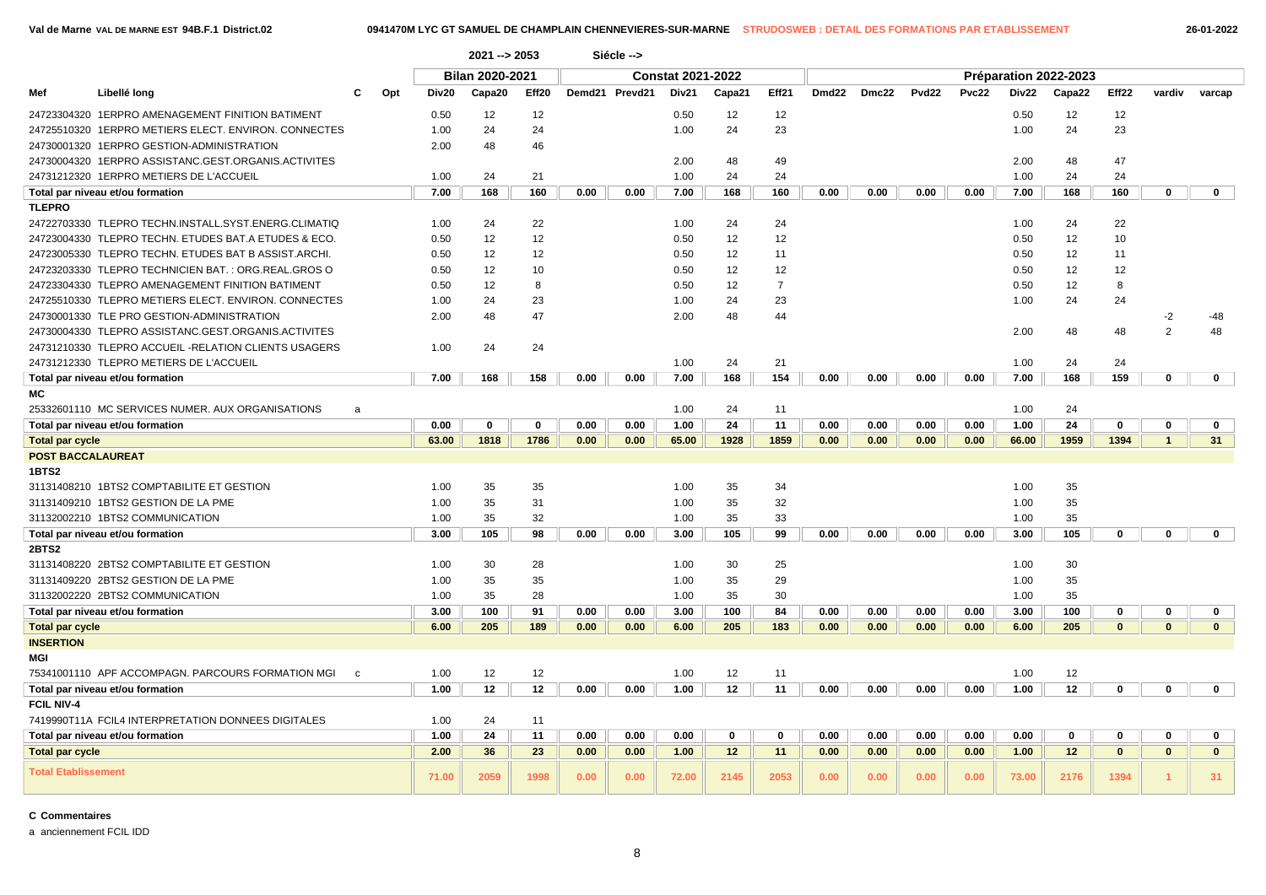| Libellé long<br>Mef<br>c<br>Opt                                                                                                                                                                                                                                                                                                                                                                                                                                                                                                                                                                                                                                                                                                                                                                                                                                                                                                                                                                                                                                                                                                                                                                                                                                                                                                                                                                                                                                                                                                                                                                                                                                                                                                                                                                                                                                                                                                                                                                                                                                                                                                                                                                                                                                                                                                                                                                                                                                                                                                                                                                                                                                                                                                                                                                                                                                                                                                                                                                                                                                                                                                                                                                                                                                                                                                                                                                                                                                                                                                                                                                                                                                                                                                                                                                                                                                                                                                                                                                                                                                                                                                                                                              | Div20 | Capa20 | Eff20 |      |      | Div21 | Capa21 | Eff21 | Dmd22 | Dmc22 | Pvd22 | Pvc22 | Div22 | Capa22 | Eff <sub>22</sub> | vardiv            | varcap                       |
|----------------------------------------------------------------------------------------------------------------------------------------------------------------------------------------------------------------------------------------------------------------------------------------------------------------------------------------------------------------------------------------------------------------------------------------------------------------------------------------------------------------------------------------------------------------------------------------------------------------------------------------------------------------------------------------------------------------------------------------------------------------------------------------------------------------------------------------------------------------------------------------------------------------------------------------------------------------------------------------------------------------------------------------------------------------------------------------------------------------------------------------------------------------------------------------------------------------------------------------------------------------------------------------------------------------------------------------------------------------------------------------------------------------------------------------------------------------------------------------------------------------------------------------------------------------------------------------------------------------------------------------------------------------------------------------------------------------------------------------------------------------------------------------------------------------------------------------------------------------------------------------------------------------------------------------------------------------------------------------------------------------------------------------------------------------------------------------------------------------------------------------------------------------------------------------------------------------------------------------------------------------------------------------------------------------------------------------------------------------------------------------------------------------------------------------------------------------------------------------------------------------------------------------------------------------------------------------------------------------------------------------------------------------------------------------------------------------------------------------------------------------------------------------------------------------------------------------------------------------------------------------------------------------------------------------------------------------------------------------------------------------------------------------------------------------------------------------------------------------------------------------------------------------------------------------------------------------------------------------------------------------------------------------------------------------------------------------------------------------------------------------------------------------------------------------------------------------------------------------------------------------------------------------------------------------------------------------------------------------------------------------------------------------------------------------------------------------------------------------------------------------------------------------------------------------------------------------------------------------------------------------------------------------------------------------------------------------------------------------------------------------------------------------------------------------------------------------------------------------------------------------------------------------------------------------------|-------|--------|-------|------|------|-------|--------|-------|-------|-------|-------|-------|-------|--------|-------------------|-------------------|------------------------------|
| 2021 -- > 2053<br>Siécle --><br><b>Bilan 2020-2021</b><br><b>Constat 2021-2022</b><br>Préparation 2022-2023<br>Demd21 Prevd21<br>24723304320 1ERPRO AMENAGEMENT FINITION BATIMENT<br>12<br>0.50<br>12<br>12<br>0.50<br>12<br>0.50<br>12<br>24<br>24<br>24<br>23<br>24725510320 1ERPRO METIERS ELECT. ENVIRON. CONNECTES<br>1.00<br>1.00<br>1.00<br>24<br>24730001320 1ERPRO GESTION-ADMINISTRATION<br>2.00<br>48<br>46<br>24730004320 1ERPRO ASSISTANC.GEST.ORGANIS.ACTIVITES<br>2.00<br>48<br>49<br>2.00<br>48<br>24731212320 1ERPRO METIERS DE L'ACCUEIL<br>24<br>21<br>1.00<br>24<br>24<br>24<br>1.00<br>1.00<br>7.00<br>168<br>160<br>0.00<br>0.00<br>7.00<br>168<br>160<br>0.00<br>0.00<br>0.00<br>0.00<br>7.00<br>168<br>Total par niveau et/ou formation<br><b>TLEPRO</b><br>24722703330 TLEPRO TECHN.INSTALL.SYST.ENERG.CLIMATIQ<br>24<br>22<br>1.00<br>24<br>24<br>24<br>1.00<br>1.00<br>12<br>12<br>12<br>12<br>24723004330 TLEPRO TECHN. ETUDES BAT.A ETUDES & ECO.<br>0.50<br>0.50<br>12<br>0.50<br>12<br>12<br>12<br>12<br>24723005330 TLEPRO TECHN. ETUDES BAT B ASSIST.ARCHI.<br>0.50<br>0.50<br>11<br>0.50<br>24723203330 TLEPRO TECHNICIEN BAT.: ORG.REAL.GROS O<br>0.50<br>12<br>10<br>0.50<br>12<br>12<br>0.50<br>12<br>$\overline{7}$<br>24723304330 TLEPRO AMENAGEMENT FINITION BATIMENT<br>12<br>8<br>12<br>12<br>8<br>0.50<br>0.50<br>0.50<br>24725510330 TLEPRO METIERS ELECT. ENVIRON. CONNECTES<br>24<br>23<br>24<br>23<br>24<br>1.00<br>1.00<br>1.00<br>24<br>24730001330 TLE PRO GESTION-ADMINISTRATION<br>48<br>47<br>48<br>44<br>2.00<br>2.00<br>24730004330 TLEPRO ASSISTANC.GEST.ORGANIS.ACTIVITES<br>2.00<br>48<br>48<br>24731210330 TLEPRO ACCUEIL -RELATION CLIENTS USAGERS<br>1.00<br>24<br>24<br>24731212330 TLEPRO METIERS DE L'ACCUEIL<br>1.00<br>24<br>21<br>1.00<br>24<br>24<br>7.00<br>7.00<br>168<br>154<br>0.00<br>7.00<br>168<br>159<br>Total par niveau et/ou formation<br>168<br>158<br>0.00<br>0.00<br>0.00<br>0.00<br>0.00<br>МC<br>25332601110 MC SERVICES NUMER, AUX ORGANISATIONS<br>1.00<br>24<br>11<br>1.00<br>24<br>a<br>24<br>11<br>24<br>0.00<br>0<br>$\mathbf{0}$<br>0.00<br>0.00<br>1.00<br>0.00<br>0.00<br>0.00<br>0.00<br>1.00<br>$\mathbf 0$<br>Total par niveau et/ou formation<br>63.00<br>1818<br>1786<br>0.00<br>0.00<br>65.00<br>1928<br>1859<br>0.00<br>0.00<br>0.00<br>0.00<br>66.00<br>1959<br>1394<br><b>Total par cycle</b><br><b>POST BACCALAUREAT</b><br>1BTS2<br>35<br>31131408210 1BTS2 COMPTABILITE ET GESTION<br>1.00<br>35<br>1.00<br>35<br>34<br>1.00<br>35<br>35<br>31<br>35<br>35<br>31131409210 1BTS2 GESTION DE LA PME<br>1.00<br>1.00<br>32<br>1.00<br>31132002210 1BTS2 COMMUNICATION<br>32<br>33<br>1.00<br>35<br>1.00<br>35<br>1.00<br>35<br>3.00<br>105<br>98<br>0.00<br>105<br>99<br>105<br>Total par niveau et/ou formation<br>0.00<br>3.00<br>0.00<br>0.00<br>0.00<br>0.00<br>3.00<br>0<br>2BTS2<br>31131408220 2BTS2 COMPTABILITE ET GESTION<br>1.00<br>30<br>28<br>1.00<br>30<br>25<br>1.00<br>30<br>31131409220 2BTS2 GESTION DE LA PME<br>1.00<br>35<br>35<br>1.00<br>35<br>29<br>1.00<br>35<br>31132002220 2BTS2 COMMUNICATION<br>28<br>35<br>35<br>1.00<br>35<br>1.00<br>30<br>1.00<br>Total par niveau et/ou formation<br>3.00<br>100<br>100<br>100<br>91<br>0.00<br>0.00<br>3.00<br>84<br>0.00<br>0.00<br>0.00<br>0.00<br>3.00<br>0<br><b>Total par cycle</b><br>6.00<br>205<br>189<br>0.00<br>0.00<br>6.00<br>205<br>183<br>0.00<br>0.00<br>0.00<br>0.00<br>6.00<br>205<br>$\mathbf{0}$<br><b>INSERTION</b><br>MGI<br>75341001110 APF ACCOMPAGN. PARCOURS FORMATION MGI<br>1.00<br>12<br>12<br>1.00<br>12<br>11<br>1.00<br>12<br>$\mathbf{c}$<br>1.00<br>12<br>12<br>0.00<br>0.00<br>1.00<br>12<br>11<br>0.00<br>0.00<br>0.00<br>0.00<br>1.00<br>12<br>0<br>Total par niveau et/ou formation<br><b>FCIL NIV-4</b><br>7419990T11A FCIL4 INTERPRETATION DONNEES DIGITALES<br>1.00<br>24<br>11<br>24<br>1.00<br>11<br>0.00<br>0.00<br>0.00<br>0<br>0<br>0.00<br>0.00<br>0.00<br>0.00<br>0.00<br>0<br>0<br>Total par niveau et/ou formation<br>2.00<br>36<br>23<br>1.00<br>12<br>11<br>12<br>$\mathbf{0}$<br>0.00<br>0.00<br>0.00<br>0.00<br>0.00<br>0.00<br>1.00<br><b>Total par cycle</b> |       | 12     |       |      |      |       |        |       |       |       |       |       |       |        |                   |                   |                              |
|                                                                                                                                                                                                                                                                                                                                                                                                                                                                                                                                                                                                                                                                                                                                                                                                                                                                                                                                                                                                                                                                                                                                                                                                                                                                                                                                                                                                                                                                                                                                                                                                                                                                                                                                                                                                                                                                                                                                                                                                                                                                                                                                                                                                                                                                                                                                                                                                                                                                                                                                                                                                                                                                                                                                                                                                                                                                                                                                                                                                                                                                                                                                                                                                                                                                                                                                                                                                                                                                                                                                                                                                                                                                                                                                                                                                                                                                                                                                                                                                                                                                                                                                                                                              |       |        |       |      |      |       |        |       |       |       |       |       |       |        | 23                |                   |                              |
|                                                                                                                                                                                                                                                                                                                                                                                                                                                                                                                                                                                                                                                                                                                                                                                                                                                                                                                                                                                                                                                                                                                                                                                                                                                                                                                                                                                                                                                                                                                                                                                                                                                                                                                                                                                                                                                                                                                                                                                                                                                                                                                                                                                                                                                                                                                                                                                                                                                                                                                                                                                                                                                                                                                                                                                                                                                                                                                                                                                                                                                                                                                                                                                                                                                                                                                                                                                                                                                                                                                                                                                                                                                                                                                                                                                                                                                                                                                                                                                                                                                                                                                                                                                              |       |        |       |      |      |       |        |       |       |       |       |       |       |        |                   |                   |                              |
|                                                                                                                                                                                                                                                                                                                                                                                                                                                                                                                                                                                                                                                                                                                                                                                                                                                                                                                                                                                                                                                                                                                                                                                                                                                                                                                                                                                                                                                                                                                                                                                                                                                                                                                                                                                                                                                                                                                                                                                                                                                                                                                                                                                                                                                                                                                                                                                                                                                                                                                                                                                                                                                                                                                                                                                                                                                                                                                                                                                                                                                                                                                                                                                                                                                                                                                                                                                                                                                                                                                                                                                                                                                                                                                                                                                                                                                                                                                                                                                                                                                                                                                                                                                              |       |        |       |      |      |       |        |       |       |       |       |       |       |        | 47                |                   |                              |
|                                                                                                                                                                                                                                                                                                                                                                                                                                                                                                                                                                                                                                                                                                                                                                                                                                                                                                                                                                                                                                                                                                                                                                                                                                                                                                                                                                                                                                                                                                                                                                                                                                                                                                                                                                                                                                                                                                                                                                                                                                                                                                                                                                                                                                                                                                                                                                                                                                                                                                                                                                                                                                                                                                                                                                                                                                                                                                                                                                                                                                                                                                                                                                                                                                                                                                                                                                                                                                                                                                                                                                                                                                                                                                                                                                                                                                                                                                                                                                                                                                                                                                                                                                                              |       |        |       |      |      |       |        |       |       |       |       |       |       |        | 24                |                   |                              |
|                                                                                                                                                                                                                                                                                                                                                                                                                                                                                                                                                                                                                                                                                                                                                                                                                                                                                                                                                                                                                                                                                                                                                                                                                                                                                                                                                                                                                                                                                                                                                                                                                                                                                                                                                                                                                                                                                                                                                                                                                                                                                                                                                                                                                                                                                                                                                                                                                                                                                                                                                                                                                                                                                                                                                                                                                                                                                                                                                                                                                                                                                                                                                                                                                                                                                                                                                                                                                                                                                                                                                                                                                                                                                                                                                                                                                                                                                                                                                                                                                                                                                                                                                                                              |       |        |       |      |      |       |        |       |       |       |       |       |       |        | 160               | $\mathbf 0$       | $\mathbf{0}$                 |
|                                                                                                                                                                                                                                                                                                                                                                                                                                                                                                                                                                                                                                                                                                                                                                                                                                                                                                                                                                                                                                                                                                                                                                                                                                                                                                                                                                                                                                                                                                                                                                                                                                                                                                                                                                                                                                                                                                                                                                                                                                                                                                                                                                                                                                                                                                                                                                                                                                                                                                                                                                                                                                                                                                                                                                                                                                                                                                                                                                                                                                                                                                                                                                                                                                                                                                                                                                                                                                                                                                                                                                                                                                                                                                                                                                                                                                                                                                                                                                                                                                                                                                                                                                                              |       |        |       |      |      |       |        |       |       |       |       |       |       |        |                   |                   |                              |
|                                                                                                                                                                                                                                                                                                                                                                                                                                                                                                                                                                                                                                                                                                                                                                                                                                                                                                                                                                                                                                                                                                                                                                                                                                                                                                                                                                                                                                                                                                                                                                                                                                                                                                                                                                                                                                                                                                                                                                                                                                                                                                                                                                                                                                                                                                                                                                                                                                                                                                                                                                                                                                                                                                                                                                                                                                                                                                                                                                                                                                                                                                                                                                                                                                                                                                                                                                                                                                                                                                                                                                                                                                                                                                                                                                                                                                                                                                                                                                                                                                                                                                                                                                                              |       |        |       |      |      |       |        |       |       |       |       |       |       |        | 22                |                   |                              |
|                                                                                                                                                                                                                                                                                                                                                                                                                                                                                                                                                                                                                                                                                                                                                                                                                                                                                                                                                                                                                                                                                                                                                                                                                                                                                                                                                                                                                                                                                                                                                                                                                                                                                                                                                                                                                                                                                                                                                                                                                                                                                                                                                                                                                                                                                                                                                                                                                                                                                                                                                                                                                                                                                                                                                                                                                                                                                                                                                                                                                                                                                                                                                                                                                                                                                                                                                                                                                                                                                                                                                                                                                                                                                                                                                                                                                                                                                                                                                                                                                                                                                                                                                                                              |       |        |       |      |      |       |        |       |       |       |       |       |       |        | 10                |                   |                              |
|                                                                                                                                                                                                                                                                                                                                                                                                                                                                                                                                                                                                                                                                                                                                                                                                                                                                                                                                                                                                                                                                                                                                                                                                                                                                                                                                                                                                                                                                                                                                                                                                                                                                                                                                                                                                                                                                                                                                                                                                                                                                                                                                                                                                                                                                                                                                                                                                                                                                                                                                                                                                                                                                                                                                                                                                                                                                                                                                                                                                                                                                                                                                                                                                                                                                                                                                                                                                                                                                                                                                                                                                                                                                                                                                                                                                                                                                                                                                                                                                                                                                                                                                                                                              |       |        |       |      |      |       |        |       |       |       |       |       |       |        | 11                |                   |                              |
|                                                                                                                                                                                                                                                                                                                                                                                                                                                                                                                                                                                                                                                                                                                                                                                                                                                                                                                                                                                                                                                                                                                                                                                                                                                                                                                                                                                                                                                                                                                                                                                                                                                                                                                                                                                                                                                                                                                                                                                                                                                                                                                                                                                                                                                                                                                                                                                                                                                                                                                                                                                                                                                                                                                                                                                                                                                                                                                                                                                                                                                                                                                                                                                                                                                                                                                                                                                                                                                                                                                                                                                                                                                                                                                                                                                                                                                                                                                                                                                                                                                                                                                                                                                              |       |        |       |      |      |       |        |       |       |       |       |       |       |        | 12                |                   |                              |
|                                                                                                                                                                                                                                                                                                                                                                                                                                                                                                                                                                                                                                                                                                                                                                                                                                                                                                                                                                                                                                                                                                                                                                                                                                                                                                                                                                                                                                                                                                                                                                                                                                                                                                                                                                                                                                                                                                                                                                                                                                                                                                                                                                                                                                                                                                                                                                                                                                                                                                                                                                                                                                                                                                                                                                                                                                                                                                                                                                                                                                                                                                                                                                                                                                                                                                                                                                                                                                                                                                                                                                                                                                                                                                                                                                                                                                                                                                                                                                                                                                                                                                                                                                                              |       |        |       |      |      |       |        |       |       |       |       |       |       |        |                   |                   |                              |
|                                                                                                                                                                                                                                                                                                                                                                                                                                                                                                                                                                                                                                                                                                                                                                                                                                                                                                                                                                                                                                                                                                                                                                                                                                                                                                                                                                                                                                                                                                                                                                                                                                                                                                                                                                                                                                                                                                                                                                                                                                                                                                                                                                                                                                                                                                                                                                                                                                                                                                                                                                                                                                                                                                                                                                                                                                                                                                                                                                                                                                                                                                                                                                                                                                                                                                                                                                                                                                                                                                                                                                                                                                                                                                                                                                                                                                                                                                                                                                                                                                                                                                                                                                                              |       |        |       |      |      |       |        |       |       |       |       |       |       |        |                   |                   |                              |
|                                                                                                                                                                                                                                                                                                                                                                                                                                                                                                                                                                                                                                                                                                                                                                                                                                                                                                                                                                                                                                                                                                                                                                                                                                                                                                                                                                                                                                                                                                                                                                                                                                                                                                                                                                                                                                                                                                                                                                                                                                                                                                                                                                                                                                                                                                                                                                                                                                                                                                                                                                                                                                                                                                                                                                                                                                                                                                                                                                                                                                                                                                                                                                                                                                                                                                                                                                                                                                                                                                                                                                                                                                                                                                                                                                                                                                                                                                                                                                                                                                                                                                                                                                                              |       |        |       |      |      |       |        |       |       |       |       |       |       |        |                   | $-2$              | $-48$                        |
|                                                                                                                                                                                                                                                                                                                                                                                                                                                                                                                                                                                                                                                                                                                                                                                                                                                                                                                                                                                                                                                                                                                                                                                                                                                                                                                                                                                                                                                                                                                                                                                                                                                                                                                                                                                                                                                                                                                                                                                                                                                                                                                                                                                                                                                                                                                                                                                                                                                                                                                                                                                                                                                                                                                                                                                                                                                                                                                                                                                                                                                                                                                                                                                                                                                                                                                                                                                                                                                                                                                                                                                                                                                                                                                                                                                                                                                                                                                                                                                                                                                                                                                                                                                              |       |        |       |      |      |       |        |       |       |       |       |       |       |        |                   | 2                 | 48                           |
|                                                                                                                                                                                                                                                                                                                                                                                                                                                                                                                                                                                                                                                                                                                                                                                                                                                                                                                                                                                                                                                                                                                                                                                                                                                                                                                                                                                                                                                                                                                                                                                                                                                                                                                                                                                                                                                                                                                                                                                                                                                                                                                                                                                                                                                                                                                                                                                                                                                                                                                                                                                                                                                                                                                                                                                                                                                                                                                                                                                                                                                                                                                                                                                                                                                                                                                                                                                                                                                                                                                                                                                                                                                                                                                                                                                                                                                                                                                                                                                                                                                                                                                                                                                              |       |        |       |      |      |       |        |       |       |       |       |       |       |        |                   |                   |                              |
|                                                                                                                                                                                                                                                                                                                                                                                                                                                                                                                                                                                                                                                                                                                                                                                                                                                                                                                                                                                                                                                                                                                                                                                                                                                                                                                                                                                                                                                                                                                                                                                                                                                                                                                                                                                                                                                                                                                                                                                                                                                                                                                                                                                                                                                                                                                                                                                                                                                                                                                                                                                                                                                                                                                                                                                                                                                                                                                                                                                                                                                                                                                                                                                                                                                                                                                                                                                                                                                                                                                                                                                                                                                                                                                                                                                                                                                                                                                                                                                                                                                                                                                                                                                              |       |        |       |      |      |       |        |       |       |       |       |       |       |        |                   |                   |                              |
|                                                                                                                                                                                                                                                                                                                                                                                                                                                                                                                                                                                                                                                                                                                                                                                                                                                                                                                                                                                                                                                                                                                                                                                                                                                                                                                                                                                                                                                                                                                                                                                                                                                                                                                                                                                                                                                                                                                                                                                                                                                                                                                                                                                                                                                                                                                                                                                                                                                                                                                                                                                                                                                                                                                                                                                                                                                                                                                                                                                                                                                                                                                                                                                                                                                                                                                                                                                                                                                                                                                                                                                                                                                                                                                                                                                                                                                                                                                                                                                                                                                                                                                                                                                              |       |        |       |      |      |       |        |       |       |       |       |       |       |        |                   | $\mathbf{0}$      | $\mathbf{0}$                 |
|                                                                                                                                                                                                                                                                                                                                                                                                                                                                                                                                                                                                                                                                                                                                                                                                                                                                                                                                                                                                                                                                                                                                                                                                                                                                                                                                                                                                                                                                                                                                                                                                                                                                                                                                                                                                                                                                                                                                                                                                                                                                                                                                                                                                                                                                                                                                                                                                                                                                                                                                                                                                                                                                                                                                                                                                                                                                                                                                                                                                                                                                                                                                                                                                                                                                                                                                                                                                                                                                                                                                                                                                                                                                                                                                                                                                                                                                                                                                                                                                                                                                                                                                                                                              |       |        |       |      |      |       |        |       |       |       |       |       |       |        |                   |                   |                              |
|                                                                                                                                                                                                                                                                                                                                                                                                                                                                                                                                                                                                                                                                                                                                                                                                                                                                                                                                                                                                                                                                                                                                                                                                                                                                                                                                                                                                                                                                                                                                                                                                                                                                                                                                                                                                                                                                                                                                                                                                                                                                                                                                                                                                                                                                                                                                                                                                                                                                                                                                                                                                                                                                                                                                                                                                                                                                                                                                                                                                                                                                                                                                                                                                                                                                                                                                                                                                                                                                                                                                                                                                                                                                                                                                                                                                                                                                                                                                                                                                                                                                                                                                                                                              |       |        |       |      |      |       |        |       |       |       |       |       |       |        |                   |                   |                              |
|                                                                                                                                                                                                                                                                                                                                                                                                                                                                                                                                                                                                                                                                                                                                                                                                                                                                                                                                                                                                                                                                                                                                                                                                                                                                                                                                                                                                                                                                                                                                                                                                                                                                                                                                                                                                                                                                                                                                                                                                                                                                                                                                                                                                                                                                                                                                                                                                                                                                                                                                                                                                                                                                                                                                                                                                                                                                                                                                                                                                                                                                                                                                                                                                                                                                                                                                                                                                                                                                                                                                                                                                                                                                                                                                                                                                                                                                                                                                                                                                                                                                                                                                                                                              |       |        |       |      |      |       |        |       |       |       |       |       |       |        |                   | $\mathbf 0$       | $\mathbf 0$                  |
|                                                                                                                                                                                                                                                                                                                                                                                                                                                                                                                                                                                                                                                                                                                                                                                                                                                                                                                                                                                                                                                                                                                                                                                                                                                                                                                                                                                                                                                                                                                                                                                                                                                                                                                                                                                                                                                                                                                                                                                                                                                                                                                                                                                                                                                                                                                                                                                                                                                                                                                                                                                                                                                                                                                                                                                                                                                                                                                                                                                                                                                                                                                                                                                                                                                                                                                                                                                                                                                                                                                                                                                                                                                                                                                                                                                                                                                                                                                                                                                                                                                                                                                                                                                              |       |        |       |      |      |       |        |       |       |       |       |       |       |        |                   | $\mathbf{1}$      | 31                           |
|                                                                                                                                                                                                                                                                                                                                                                                                                                                                                                                                                                                                                                                                                                                                                                                                                                                                                                                                                                                                                                                                                                                                                                                                                                                                                                                                                                                                                                                                                                                                                                                                                                                                                                                                                                                                                                                                                                                                                                                                                                                                                                                                                                                                                                                                                                                                                                                                                                                                                                                                                                                                                                                                                                                                                                                                                                                                                                                                                                                                                                                                                                                                                                                                                                                                                                                                                                                                                                                                                                                                                                                                                                                                                                                                                                                                                                                                                                                                                                                                                                                                                                                                                                                              |       |        |       |      |      |       |        |       |       |       |       |       |       |        |                   |                   |                              |
|                                                                                                                                                                                                                                                                                                                                                                                                                                                                                                                                                                                                                                                                                                                                                                                                                                                                                                                                                                                                                                                                                                                                                                                                                                                                                                                                                                                                                                                                                                                                                                                                                                                                                                                                                                                                                                                                                                                                                                                                                                                                                                                                                                                                                                                                                                                                                                                                                                                                                                                                                                                                                                                                                                                                                                                                                                                                                                                                                                                                                                                                                                                                                                                                                                                                                                                                                                                                                                                                                                                                                                                                                                                                                                                                                                                                                                                                                                                                                                                                                                                                                                                                                                                              |       |        |       |      |      |       |        |       |       |       |       |       |       |        |                   |                   |                              |
|                                                                                                                                                                                                                                                                                                                                                                                                                                                                                                                                                                                                                                                                                                                                                                                                                                                                                                                                                                                                                                                                                                                                                                                                                                                                                                                                                                                                                                                                                                                                                                                                                                                                                                                                                                                                                                                                                                                                                                                                                                                                                                                                                                                                                                                                                                                                                                                                                                                                                                                                                                                                                                                                                                                                                                                                                                                                                                                                                                                                                                                                                                                                                                                                                                                                                                                                                                                                                                                                                                                                                                                                                                                                                                                                                                                                                                                                                                                                                                                                                                                                                                                                                                                              |       |        |       |      |      |       |        |       |       |       |       |       |       |        |                   |                   |                              |
|                                                                                                                                                                                                                                                                                                                                                                                                                                                                                                                                                                                                                                                                                                                                                                                                                                                                                                                                                                                                                                                                                                                                                                                                                                                                                                                                                                                                                                                                                                                                                                                                                                                                                                                                                                                                                                                                                                                                                                                                                                                                                                                                                                                                                                                                                                                                                                                                                                                                                                                                                                                                                                                                                                                                                                                                                                                                                                                                                                                                                                                                                                                                                                                                                                                                                                                                                                                                                                                                                                                                                                                                                                                                                                                                                                                                                                                                                                                                                                                                                                                                                                                                                                                              |       |        |       |      |      |       |        |       |       |       |       |       |       |        |                   |                   |                              |
|                                                                                                                                                                                                                                                                                                                                                                                                                                                                                                                                                                                                                                                                                                                                                                                                                                                                                                                                                                                                                                                                                                                                                                                                                                                                                                                                                                                                                                                                                                                                                                                                                                                                                                                                                                                                                                                                                                                                                                                                                                                                                                                                                                                                                                                                                                                                                                                                                                                                                                                                                                                                                                                                                                                                                                                                                                                                                                                                                                                                                                                                                                                                                                                                                                                                                                                                                                                                                                                                                                                                                                                                                                                                                                                                                                                                                                                                                                                                                                                                                                                                                                                                                                                              |       |        |       |      |      |       |        |       |       |       |       |       |       |        |                   |                   |                              |
|                                                                                                                                                                                                                                                                                                                                                                                                                                                                                                                                                                                                                                                                                                                                                                                                                                                                                                                                                                                                                                                                                                                                                                                                                                                                                                                                                                                                                                                                                                                                                                                                                                                                                                                                                                                                                                                                                                                                                                                                                                                                                                                                                                                                                                                                                                                                                                                                                                                                                                                                                                                                                                                                                                                                                                                                                                                                                                                                                                                                                                                                                                                                                                                                                                                                                                                                                                                                                                                                                                                                                                                                                                                                                                                                                                                                                                                                                                                                                                                                                                                                                                                                                                                              |       |        |       |      |      |       |        |       |       |       |       |       |       |        |                   | $\mathbf 0$       | $\mathbf{0}$                 |
|                                                                                                                                                                                                                                                                                                                                                                                                                                                                                                                                                                                                                                                                                                                                                                                                                                                                                                                                                                                                                                                                                                                                                                                                                                                                                                                                                                                                                                                                                                                                                                                                                                                                                                                                                                                                                                                                                                                                                                                                                                                                                                                                                                                                                                                                                                                                                                                                                                                                                                                                                                                                                                                                                                                                                                                                                                                                                                                                                                                                                                                                                                                                                                                                                                                                                                                                                                                                                                                                                                                                                                                                                                                                                                                                                                                                                                                                                                                                                                                                                                                                                                                                                                                              |       |        |       |      |      |       |        |       |       |       |       |       |       |        |                   |                   |                              |
|                                                                                                                                                                                                                                                                                                                                                                                                                                                                                                                                                                                                                                                                                                                                                                                                                                                                                                                                                                                                                                                                                                                                                                                                                                                                                                                                                                                                                                                                                                                                                                                                                                                                                                                                                                                                                                                                                                                                                                                                                                                                                                                                                                                                                                                                                                                                                                                                                                                                                                                                                                                                                                                                                                                                                                                                                                                                                                                                                                                                                                                                                                                                                                                                                                                                                                                                                                                                                                                                                                                                                                                                                                                                                                                                                                                                                                                                                                                                                                                                                                                                                                                                                                                              |       |        |       |      |      |       |        |       |       |       |       |       |       |        |                   |                   |                              |
|                                                                                                                                                                                                                                                                                                                                                                                                                                                                                                                                                                                                                                                                                                                                                                                                                                                                                                                                                                                                                                                                                                                                                                                                                                                                                                                                                                                                                                                                                                                                                                                                                                                                                                                                                                                                                                                                                                                                                                                                                                                                                                                                                                                                                                                                                                                                                                                                                                                                                                                                                                                                                                                                                                                                                                                                                                                                                                                                                                                                                                                                                                                                                                                                                                                                                                                                                                                                                                                                                                                                                                                                                                                                                                                                                                                                                                                                                                                                                                                                                                                                                                                                                                                              |       |        |       |      |      |       |        |       |       |       |       |       |       |        |                   |                   |                              |
|                                                                                                                                                                                                                                                                                                                                                                                                                                                                                                                                                                                                                                                                                                                                                                                                                                                                                                                                                                                                                                                                                                                                                                                                                                                                                                                                                                                                                                                                                                                                                                                                                                                                                                                                                                                                                                                                                                                                                                                                                                                                                                                                                                                                                                                                                                                                                                                                                                                                                                                                                                                                                                                                                                                                                                                                                                                                                                                                                                                                                                                                                                                                                                                                                                                                                                                                                                                                                                                                                                                                                                                                                                                                                                                                                                                                                                                                                                                                                                                                                                                                                                                                                                                              |       |        |       |      |      |       |        |       |       |       |       |       |       |        |                   |                   |                              |
|                                                                                                                                                                                                                                                                                                                                                                                                                                                                                                                                                                                                                                                                                                                                                                                                                                                                                                                                                                                                                                                                                                                                                                                                                                                                                                                                                                                                                                                                                                                                                                                                                                                                                                                                                                                                                                                                                                                                                                                                                                                                                                                                                                                                                                                                                                                                                                                                                                                                                                                                                                                                                                                                                                                                                                                                                                                                                                                                                                                                                                                                                                                                                                                                                                                                                                                                                                                                                                                                                                                                                                                                                                                                                                                                                                                                                                                                                                                                                                                                                                                                                                                                                                                              |       |        |       |      |      |       |        |       |       |       |       |       |       |        |                   |                   |                              |
|                                                                                                                                                                                                                                                                                                                                                                                                                                                                                                                                                                                                                                                                                                                                                                                                                                                                                                                                                                                                                                                                                                                                                                                                                                                                                                                                                                                                                                                                                                                                                                                                                                                                                                                                                                                                                                                                                                                                                                                                                                                                                                                                                                                                                                                                                                                                                                                                                                                                                                                                                                                                                                                                                                                                                                                                                                                                                                                                                                                                                                                                                                                                                                                                                                                                                                                                                                                                                                                                                                                                                                                                                                                                                                                                                                                                                                                                                                                                                                                                                                                                                                                                                                                              |       |        |       |      |      |       |        |       |       |       |       |       |       |        |                   | 0<br>$\mathbf{0}$ | $\mathbf{0}$<br>$\mathbf{0}$ |
|                                                                                                                                                                                                                                                                                                                                                                                                                                                                                                                                                                                                                                                                                                                                                                                                                                                                                                                                                                                                                                                                                                                                                                                                                                                                                                                                                                                                                                                                                                                                                                                                                                                                                                                                                                                                                                                                                                                                                                                                                                                                                                                                                                                                                                                                                                                                                                                                                                                                                                                                                                                                                                                                                                                                                                                                                                                                                                                                                                                                                                                                                                                                                                                                                                                                                                                                                                                                                                                                                                                                                                                                                                                                                                                                                                                                                                                                                                                                                                                                                                                                                                                                                                                              |       |        |       |      |      |       |        |       |       |       |       |       |       |        |                   |                   |                              |
|                                                                                                                                                                                                                                                                                                                                                                                                                                                                                                                                                                                                                                                                                                                                                                                                                                                                                                                                                                                                                                                                                                                                                                                                                                                                                                                                                                                                                                                                                                                                                                                                                                                                                                                                                                                                                                                                                                                                                                                                                                                                                                                                                                                                                                                                                                                                                                                                                                                                                                                                                                                                                                                                                                                                                                                                                                                                                                                                                                                                                                                                                                                                                                                                                                                                                                                                                                                                                                                                                                                                                                                                                                                                                                                                                                                                                                                                                                                                                                                                                                                                                                                                                                                              |       |        |       |      |      |       |        |       |       |       |       |       |       |        |                   |                   |                              |
|                                                                                                                                                                                                                                                                                                                                                                                                                                                                                                                                                                                                                                                                                                                                                                                                                                                                                                                                                                                                                                                                                                                                                                                                                                                                                                                                                                                                                                                                                                                                                                                                                                                                                                                                                                                                                                                                                                                                                                                                                                                                                                                                                                                                                                                                                                                                                                                                                                                                                                                                                                                                                                                                                                                                                                                                                                                                                                                                                                                                                                                                                                                                                                                                                                                                                                                                                                                                                                                                                                                                                                                                                                                                                                                                                                                                                                                                                                                                                                                                                                                                                                                                                                                              |       |        |       |      |      |       |        |       |       |       |       |       |       |        |                   |                   |                              |
|                                                                                                                                                                                                                                                                                                                                                                                                                                                                                                                                                                                                                                                                                                                                                                                                                                                                                                                                                                                                                                                                                                                                                                                                                                                                                                                                                                                                                                                                                                                                                                                                                                                                                                                                                                                                                                                                                                                                                                                                                                                                                                                                                                                                                                                                                                                                                                                                                                                                                                                                                                                                                                                                                                                                                                                                                                                                                                                                                                                                                                                                                                                                                                                                                                                                                                                                                                                                                                                                                                                                                                                                                                                                                                                                                                                                                                                                                                                                                                                                                                                                                                                                                                                              |       |        |       |      |      |       |        |       |       |       |       |       |       |        |                   | $\mathbf 0$       | $\mathbf{0}$                 |
|                                                                                                                                                                                                                                                                                                                                                                                                                                                                                                                                                                                                                                                                                                                                                                                                                                                                                                                                                                                                                                                                                                                                                                                                                                                                                                                                                                                                                                                                                                                                                                                                                                                                                                                                                                                                                                                                                                                                                                                                                                                                                                                                                                                                                                                                                                                                                                                                                                                                                                                                                                                                                                                                                                                                                                                                                                                                                                                                                                                                                                                                                                                                                                                                                                                                                                                                                                                                                                                                                                                                                                                                                                                                                                                                                                                                                                                                                                                                                                                                                                                                                                                                                                                              |       |        |       |      |      |       |        |       |       |       |       |       |       |        |                   |                   |                              |
|                                                                                                                                                                                                                                                                                                                                                                                                                                                                                                                                                                                                                                                                                                                                                                                                                                                                                                                                                                                                                                                                                                                                                                                                                                                                                                                                                                                                                                                                                                                                                                                                                                                                                                                                                                                                                                                                                                                                                                                                                                                                                                                                                                                                                                                                                                                                                                                                                                                                                                                                                                                                                                                                                                                                                                                                                                                                                                                                                                                                                                                                                                                                                                                                                                                                                                                                                                                                                                                                                                                                                                                                                                                                                                                                                                                                                                                                                                                                                                                                                                                                                                                                                                                              |       |        |       |      |      |       |        |       |       |       |       |       |       |        |                   |                   |                              |
|                                                                                                                                                                                                                                                                                                                                                                                                                                                                                                                                                                                                                                                                                                                                                                                                                                                                                                                                                                                                                                                                                                                                                                                                                                                                                                                                                                                                                                                                                                                                                                                                                                                                                                                                                                                                                                                                                                                                                                                                                                                                                                                                                                                                                                                                                                                                                                                                                                                                                                                                                                                                                                                                                                                                                                                                                                                                                                                                                                                                                                                                                                                                                                                                                                                                                                                                                                                                                                                                                                                                                                                                                                                                                                                                                                                                                                                                                                                                                                                                                                                                                                                                                                                              |       |        |       |      |      |       |        |       |       |       |       |       |       |        |                   |                   |                              |
|                                                                                                                                                                                                                                                                                                                                                                                                                                                                                                                                                                                                                                                                                                                                                                                                                                                                                                                                                                                                                                                                                                                                                                                                                                                                                                                                                                                                                                                                                                                                                                                                                                                                                                                                                                                                                                                                                                                                                                                                                                                                                                                                                                                                                                                                                                                                                                                                                                                                                                                                                                                                                                                                                                                                                                                                                                                                                                                                                                                                                                                                                                                                                                                                                                                                                                                                                                                                                                                                                                                                                                                                                                                                                                                                                                                                                                                                                                                                                                                                                                                                                                                                                                                              |       |        |       |      |      |       |        |       |       |       |       |       |       |        |                   | $\mathbf 0$       | 0                            |
|                                                                                                                                                                                                                                                                                                                                                                                                                                                                                                                                                                                                                                                                                                                                                                                                                                                                                                                                                                                                                                                                                                                                                                                                                                                                                                                                                                                                                                                                                                                                                                                                                                                                                                                                                                                                                                                                                                                                                                                                                                                                                                                                                                                                                                                                                                                                                                                                                                                                                                                                                                                                                                                                                                                                                                                                                                                                                                                                                                                                                                                                                                                                                                                                                                                                                                                                                                                                                                                                                                                                                                                                                                                                                                                                                                                                                                                                                                                                                                                                                                                                                                                                                                                              |       |        |       |      |      |       |        |       |       |       |       |       |       |        |                   | $\mathbf{0}$      | $\mathbf{0}$                 |
| <b>Total Etablissement</b>                                                                                                                                                                                                                                                                                                                                                                                                                                                                                                                                                                                                                                                                                                                                                                                                                                                                                                                                                                                                                                                                                                                                                                                                                                                                                                                                                                                                                                                                                                                                                                                                                                                                                                                                                                                                                                                                                                                                                                                                                                                                                                                                                                                                                                                                                                                                                                                                                                                                                                                                                                                                                                                                                                                                                                                                                                                                                                                                                                                                                                                                                                                                                                                                                                                                                                                                                                                                                                                                                                                                                                                                                                                                                                                                                                                                                                                                                                                                                                                                                                                                                                                                                                   | 71.00 | 2059   | 1998  | 0.00 | 0.00 | 72.00 | 2145   | 2053  | 0.00  | 0.00  | 0.00  | 0.00  | 73.00 | 2176   | 1394              |                   | 31                           |

a anciennement FCIL IDD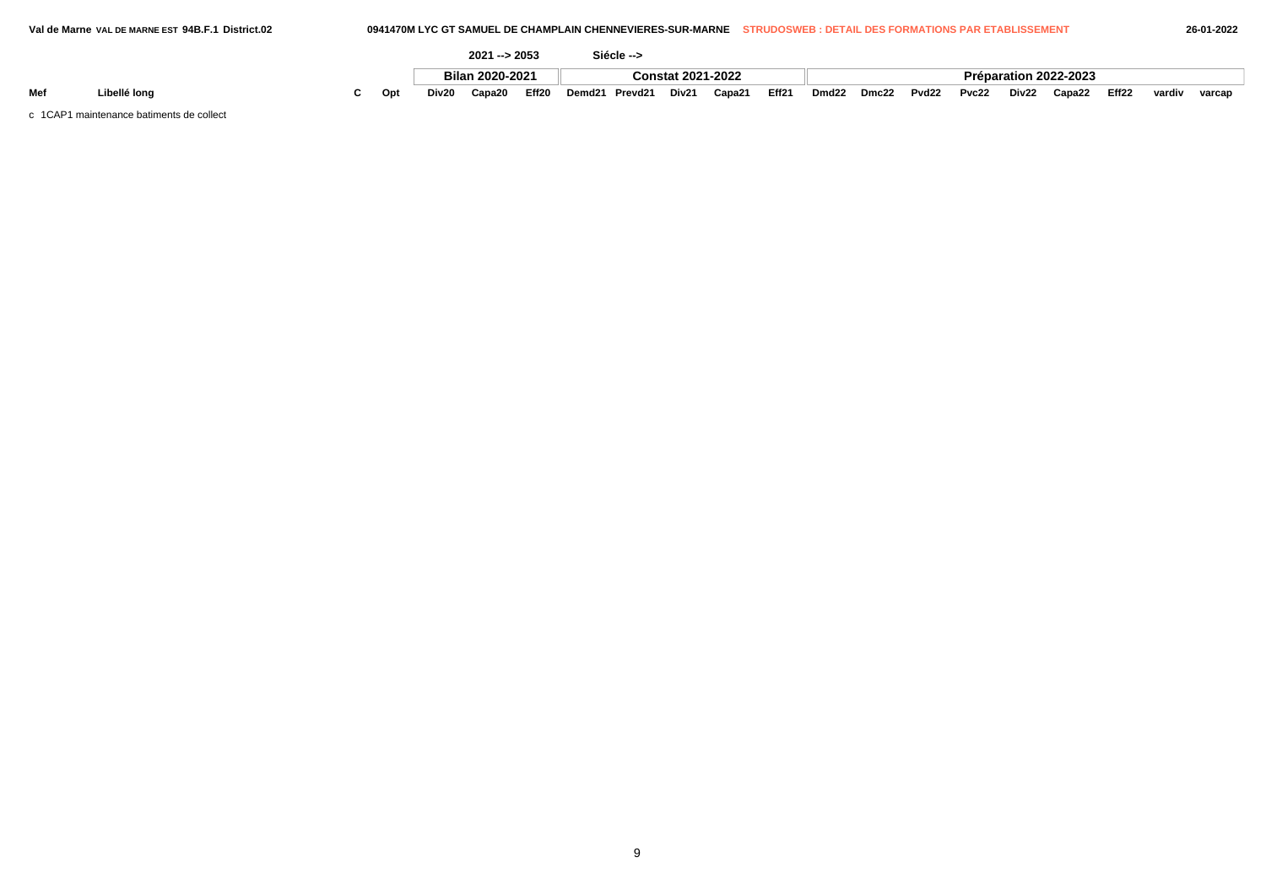|     |              |    |       | $2021 - 2053$   |       |        | Siécle --> |                          |        |       |                   |       |                   |       |       |                       |       |        |        |
|-----|--------------|----|-------|-----------------|-------|--------|------------|--------------------------|--------|-------|-------------------|-------|-------------------|-------|-------|-----------------------|-------|--------|--------|
|     |              |    |       | Bilan 2020-2021 |       |        |            | <b>Constat 2021-2022</b> |        |       |                   |       |                   |       |       | Préparation 2022-2023 |       |        |        |
| Mef | ∟ibellé long | On | Div20 | Capa20          | Eff20 | Demd21 | Prevd21    | Div21                    | Capa21 | Eff21 | Dmd <sub>22</sub> | Dmc22 | Pvd <sub>22</sub> | Pvc22 | Div22 | Capa22                | Eff22 | vardiv | varcap |

c 1CAP1 maintenance batiments de collect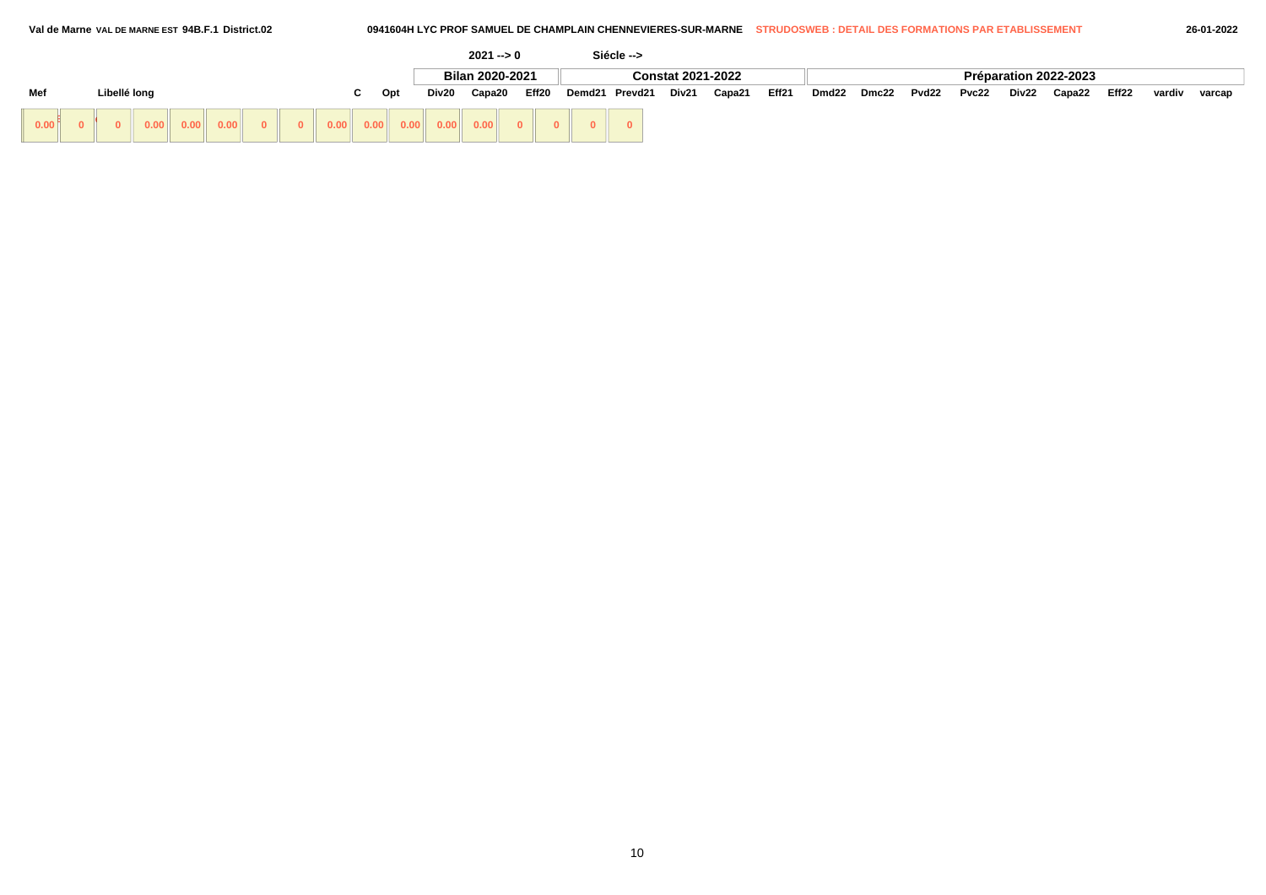|      |                    |  |  |                                     |  |  |  |     |       |        | $2021 - 9$      |                |                      |  | Siécle --> |                          |       |       |       |       |       |       |        |                       |        |        |  |
|------|--------------------|--|--|-------------------------------------|--|--|--|-----|-------|--------|-----------------|----------------|----------------------|--|------------|--------------------------|-------|-------|-------|-------|-------|-------|--------|-----------------------|--------|--------|--|
|      |                    |  |  |                                     |  |  |  |     |       |        | Bilan 2020-2021 |                |                      |  |            | <b>Constat 2021-2022</b> |       |       |       |       |       |       |        | Préparation 2022-2023 |        |        |  |
| Mef  | Libellé long<br>C. |  |  |                                     |  |  |  | Opt | Div20 | Capa20 |                 | Eff20          | Demd21 Prevd21 Div21 |  |            | Capa21                   | Eff21 | Dmd22 | Dmc22 | Pvd22 | Pvc22 | Div22 | Capa22 | Eff22                 | vardiv | varcap |  |
| 0.00 |                    |  |  | $\vert 0.00 \vert \vert 0.00 \vert$ |  |  |  |     |       |        |                 | $\overline{0}$ | $\Omega$             |  |            |                          |       |       |       |       |       |       |        |                       |        |        |  |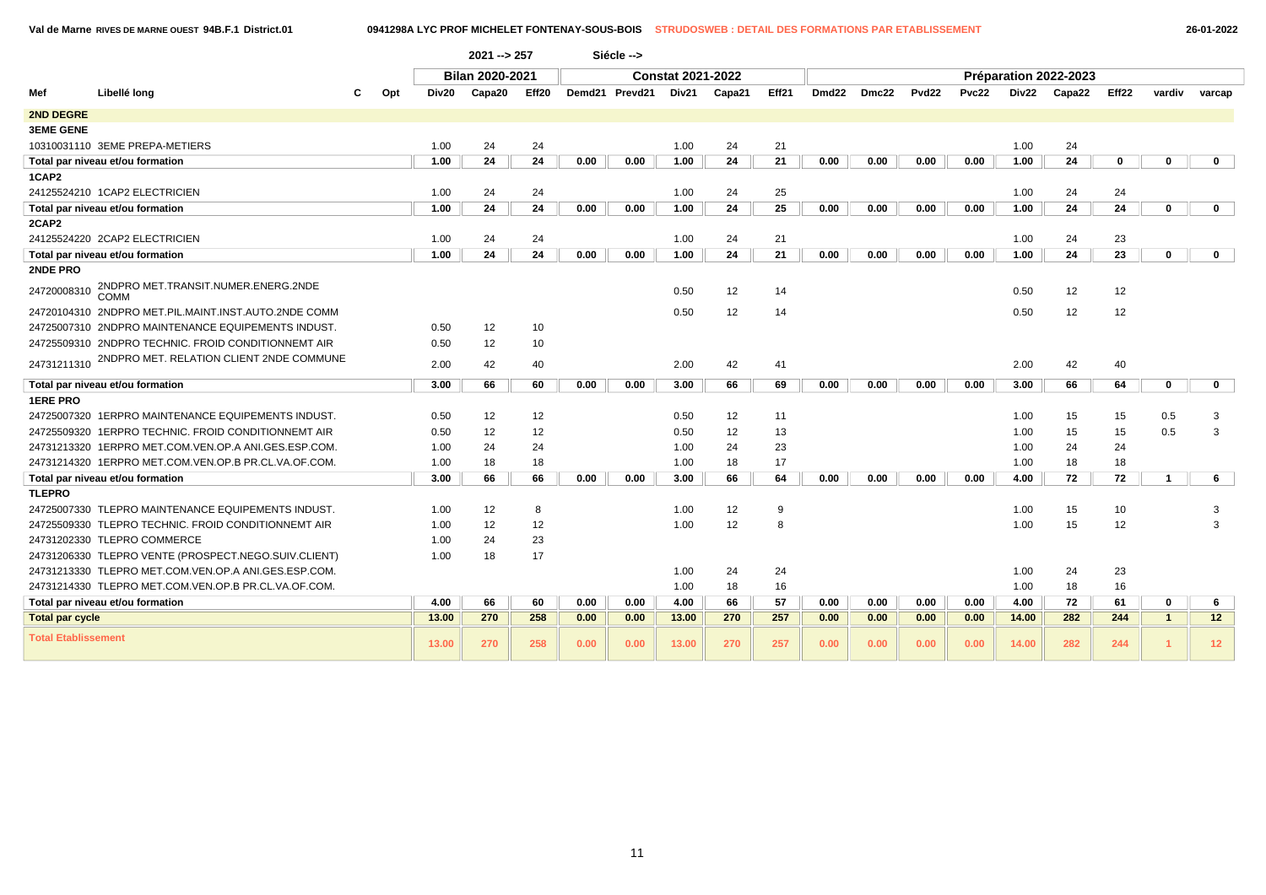**Val de Marne RIVES DE MARNE OUEST 94B.F.1 District.01 0941298A LYC PROF MICHELET FONTENAY-SOUS-BOIS STRUDOSWEB : DETAIL DES FORMATIONS PAR ETABLISSEMENT 26-01-2022**

|                            |                                                      |     |       | $2021 - 257$           |       |      | Siécle -->     |                          |        |       |       |       |                   |              |       |                       |       |              |                 |
|----------------------------|------------------------------------------------------|-----|-------|------------------------|-------|------|----------------|--------------------------|--------|-------|-------|-------|-------------------|--------------|-------|-----------------------|-------|--------------|-----------------|
|                            |                                                      |     |       | <b>Bilan 2020-2021</b> |       |      |                | <b>Constat 2021-2022</b> |        |       |       |       |                   |              |       | Préparation 2022-2023 |       |              |                 |
| Mef                        | Libellé long                                         | Opt | Div20 | Capa20                 | Eff20 |      | Demd21 Prevd21 | Div21                    | Capa21 | Eff21 | Dmd22 | Dmc22 | Pvd <sub>22</sub> | <b>Pvc22</b> | Div22 | Capa22                | Eff22 | vardiv       | varcap          |
| <b>2ND DEGRE</b>           |                                                      |     |       |                        |       |      |                |                          |        |       |       |       |                   |              |       |                       |       |              |                 |
| <b>3EME GENE</b>           |                                                      |     |       |                        |       |      |                |                          |        |       |       |       |                   |              |       |                       |       |              |                 |
|                            | 10310031110 3EME PREPA-METIERS                       |     | 1.00  | 24                     | 24    |      |                | 1.00                     | 24     | 21    |       |       |                   |              | 1.00  | 24                    |       |              |                 |
|                            | Total par niveau et/ou formation                     |     | 1.00  | 24                     | 24    | 0.00 | 0.00           | 1.00                     | 24     | 21    | 0.00  | 0.00  | 0.00              | 0.00         | 1.00  | 24                    | 0     | $\bf{0}$     | $\mathbf{0}$    |
| 1CAP2                      |                                                      |     |       |                        |       |      |                |                          |        |       |       |       |                   |              |       |                       |       |              |                 |
|                            | 24125524210 1CAP2 ELECTRICIEN                        |     | 1.00  | 24                     | 24    |      |                | 1.00                     | 24     | 25    |       |       |                   |              | 1.00  | 24                    | 24    |              |                 |
|                            | Total par niveau et/ou formation                     |     | 1.00  | 24                     | 24    | 0.00 | 0.00           | 1.00                     | 24     | 25    | 0.00  | 0.00  | 0.00              | 0.00         | 1.00  | 24                    | 24    | 0            | $\mathbf 0$     |
| 2CAP2                      |                                                      |     |       |                        |       |      |                |                          |        |       |       |       |                   |              |       |                       |       |              |                 |
|                            | 24125524220 2CAP2 ELECTRICIEN                        |     | 1.00  | 24                     | 24    |      |                | 1.00                     | 24     | 21    |       |       |                   |              | 1.00  | 24                    | 23    |              |                 |
|                            | Total par niveau et/ou formation                     |     | 1.00  | 24                     | 24    | 0.00 | 0.00           | 1.00                     | 24     | 21    | 0.00  | 0.00  | 0.00              | 0.00         | 1.00  | 24                    | 23    | 0            | $\mathbf 0$     |
| <b>2NDE PRO</b>            |                                                      |     |       |                        |       |      |                |                          |        |       |       |       |                   |              |       |                       |       |              |                 |
| 24720008310                | 2NDPRO MET.TRANSIT.NUMER.ENERG.2NDE<br>COMM          |     |       |                        |       |      |                | 0.50                     | 12     | 14    |       |       |                   |              | 0.50  | 12                    | 12    |              |                 |
|                            | 24720104310 2NDPRO MET.PIL.MAINT.INST.AUTO.2NDE COMM |     |       |                        |       |      |                | 0.50                     | 12     | 14    |       |       |                   |              | 0.50  | 12                    | 12    |              |                 |
|                            | 24725007310 2NDPRO MAINTENANCE EQUIPEMENTS INDUST.   |     | 0.50  | 12                     | 10    |      |                |                          |        |       |       |       |                   |              |       |                       |       |              |                 |
|                            | 24725509310 2NDPRO TECHNIC, FROID CONDITIONNEMT AIR  |     | 0.50  | 12                     | 10    |      |                |                          |        |       |       |       |                   |              |       |                       |       |              |                 |
| 24731211310                | 2NDPRO MET. RELATION CLIENT 2NDE COMMUNE             |     | 2.00  | 42                     | 40    |      |                | 2.00                     | 42     | 41    |       |       |                   |              | 2.00  | 42                    | 40    |              |                 |
|                            | Total par niveau et/ou formation                     |     | 3.00  | 66                     | 60    | 0.00 | 0.00           | 3.00                     | 66     | 69    | 0.00  | 0.00  | 0.00              | 0.00         | 3.00  | 66                    | 64    | $\mathbf 0$  | $\mathbf{0}$    |
| <b>1ERE PRO</b>            |                                                      |     |       |                        |       |      |                |                          |        |       |       |       |                   |              |       |                       |       |              |                 |
|                            | 24725007320 1ERPRO MAINTENANCE EQUIPEMENTS INDUST.   |     | 0.50  | 12                     | 12    |      |                | 0.50                     | 12     | 11    |       |       |                   |              | 1.00  | 15                    | 15    | 0.5          | 3               |
|                            | 24725509320 1ERPRO TECHNIC, FROID CONDITIONNEMT AIR  |     | 0.50  | 12                     | 12    |      |                | 0.50                     | 12     | 13    |       |       |                   |              | 1.00  | 15                    | 15    | 0.5          | 3               |
|                            | 24731213320 1ERPRO MET.COM.VEN.OP.A ANI.GES.ESP.COM. |     | 1.00  | 24                     | 24    |      |                | 1.00                     | 24     | 23    |       |       |                   |              | 1.00  | 24                    | 24    |              |                 |
|                            | 24731214320 1ERPRO MET.COM.VEN.OP.B PR.CL.VA.OF.COM. |     | 1.00  | 18                     | 18    |      |                | 1.00                     | 18     | 17    |       |       |                   |              | 1.00  | 18                    | 18    |              |                 |
|                            | Total par niveau et/ou formation                     |     | 3.00  | 66                     | 66    | 0.00 | 0.00           | 3.00                     | 66     | 64    | 0.00  | 0.00  | 0.00              | 0.00         | 4.00  | 72                    | 72    |              | 6               |
| <b>TLEPRO</b>              |                                                      |     |       |                        |       |      |                |                          |        |       |       |       |                   |              |       |                       |       |              |                 |
|                            | 24725007330 TLEPRO MAINTENANCE EQUIPEMENTS INDUST.   |     | 1.00  | 12                     | 8     |      |                | 1.00                     | 12     | 9     |       |       |                   |              | 1.00  | 15                    | 10    |              | 3               |
|                            | 24725509330 TLEPRO TECHNIC. FROID CONDITIONNEMT AIR  |     | 1.00  | 12                     | 12    |      |                | 1.00                     | 12     | 8     |       |       |                   |              | 1.00  | 15                    | 12    |              | 3               |
|                            | 24731202330 TLEPRO COMMERCE                          |     | 1.00  | 24                     | 23    |      |                |                          |        |       |       |       |                   |              |       |                       |       |              |                 |
|                            | 24731206330 TLEPRO VENTE (PROSPECT.NEGO.SUIV.CLIENT) |     | 1.00  | 18                     | 17    |      |                |                          |        |       |       |       |                   |              |       |                       |       |              |                 |
|                            | 24731213330 TLEPRO MET.COM.VEN.OP.A ANI.GES.ESP.COM. |     |       |                        |       |      |                | 1.00                     | 24     | 24    |       |       |                   |              | 1.00  | 24                    | 23    |              |                 |
|                            | 24731214330 TLEPRO MET.COM.VEN.OP.B PR.CL.VA.OF.COM. |     |       |                        |       |      |                | 1.00                     | 18     | 16    |       |       |                   |              | 1.00  | 18                    | 16    |              |                 |
|                            | Total par niveau et/ou formation                     |     | 4.00  | 66                     | 60    | 0.00 | 0.00           | 4.00                     | 66     | 57    | 0.00  | 0.00  | 0.00              | 0.00         | 4.00  | 72                    | 61    | 0            | 6               |
| <b>Total par cycle</b>     |                                                      |     | 13.00 | 270                    | 258   | 0.00 | 0.00           | 13.00                    | 270    | 257   | 0.00  | 0.00  | 0.00              | 0.00         | 14.00 | 282                   | 244   | $\mathbf{1}$ | 12 <sub>2</sub> |
| <b>Total Etablissement</b> |                                                      |     | 13.00 | 270                    | 258   | 0.00 | 0.00           | 13.00                    | 270    | 257   | 0.00  | 0.00  | 0.00              | 0.00         | 14.00 | 282                   | 244   |              | 12 <sub>2</sub> |

11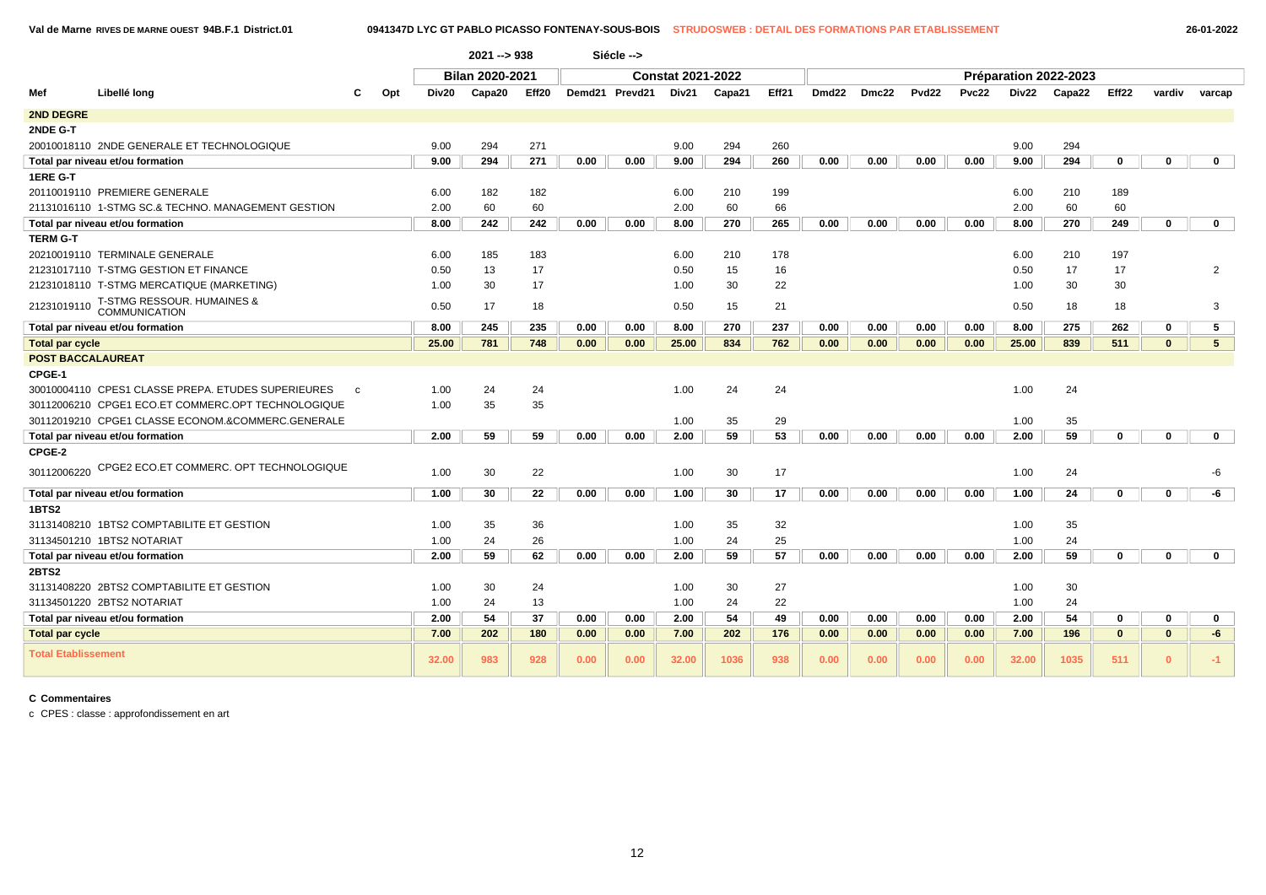|                            |                                                                    |     |       | $2021 - 938$    |       |      | Siécle -->     |                          |        |       |                   |       |                   |       |       |                       |              |              |                |
|----------------------------|--------------------------------------------------------------------|-----|-------|-----------------|-------|------|----------------|--------------------------|--------|-------|-------------------|-------|-------------------|-------|-------|-----------------------|--------------|--------------|----------------|
|                            |                                                                    |     |       | Bilan 2020-2021 |       |      |                | <b>Constat 2021-2022</b> |        |       |                   |       |                   |       |       | Préparation 2022-2023 |              |              |                |
| Mef                        | Libellé long                                                       | Opt | Div20 | Capa20          | Eff20 |      | Demd21 Prevd21 | Div21                    | Capa21 | Eff21 | Dmd <sub>22</sub> | Dmc22 | Pvd <sub>22</sub> | Pvc22 | Div22 | Capa22                | Eff22        | vardiv       | varcap         |
| <b>2ND DEGRE</b>           |                                                                    |     |       |                 |       |      |                |                          |        |       |                   |       |                   |       |       |                       |              |              |                |
| 2NDE G-T                   |                                                                    |     |       |                 |       |      |                |                          |        |       |                   |       |                   |       |       |                       |              |              |                |
|                            | 20010018110 2NDE GENERALE ET TECHNOLOGIQUE                         |     | 9.00  | 294             | 271   |      |                | 9.00                     | 294    | 260   |                   |       |                   |       | 9.00  | 294                   |              |              |                |
|                            | Total par niveau et/ou formation                                   |     | 9.00  | 294             | 271   | 0.00 | 0.00           | 9.00                     | 294    | 260   | 0.00              | 0.00  | 0.00              | 0.00  | 9.00  | 294                   | $\mathbf 0$  | $\mathbf{0}$ | $\mathbf 0$    |
| 1ERE G-T                   |                                                                    |     |       |                 |       |      |                |                          |        |       |                   |       |                   |       |       |                       |              |              |                |
|                            | 20110019110 PREMIERE GENERALE                                      |     | 6.00  | 182             | 182   |      |                | 6.00                     | 210    | 199   |                   |       |                   |       | 6.00  | 210                   | 189          |              |                |
|                            | 21131016110 1-STMG SC.& TECHNO. MANAGEMENT GESTION                 |     | 2.00  | 60              | 60    |      |                | 2.00                     | 60     | 66    |                   |       |                   |       | 2.00  | 60                    | 60           |              |                |
|                            | Total par niveau et/ou formation                                   |     | 8.00  | 242             | 242   | 0.00 | 0.00           | 8.00                     | 270    | 265   | 0.00              | 0.00  | 0.00              | 0.00  | 8.00  | 270                   | 249          | $\mathbf 0$  | $\mathbf{0}$   |
| <b>TERM G-T</b>            |                                                                    |     |       |                 |       |      |                |                          |        |       |                   |       |                   |       |       |                       |              |              |                |
|                            | 20210019110 TERMINALE GENERALE                                     |     | 6.00  | 185             | 183   |      |                | 6.00                     | 210    | 178   |                   |       |                   |       | 6.00  | 210                   | 197          |              |                |
|                            | 21231017110 T-STMG GESTION ET FINANCE                              |     | 0.50  | 13              | 17    |      |                | 0.50                     | 15     | 16    |                   |       |                   |       | 0.50  | 17                    | 17           |              | 2              |
|                            | 21231018110 T-STMG MERCATIQUE (MARKETING)                          |     | 1.00  | 30              | 17    |      |                | 1.00                     | 30     | 22    |                   |       |                   |       | 1.00  | 30                    | 30           |              |                |
| 21231019110                | T-STMG RESSOUR. HUMAINES & COMMUNICATION                           |     | 0.50  | 17              | 18    |      |                | 0.50                     | 15     | 21    |                   |       |                   |       | 0.50  | 18                    | 18           |              | 3              |
|                            | Total par niveau et/ou formation                                   |     | 8.00  | 245             | 235   | 0.00 | 0.00           | 8.00                     | 270    | 237   | 0.00              | 0.00  | 0.00              | 0.00  | 8.00  | 275                   | 262          | 0            | 5              |
| <b>Total par cycle</b>     |                                                                    |     | 25.00 | 781             | 748   | 0.00 | 0.00           | 25.00                    | 834    | 762   | 0.00              | 0.00  | 0.00              | 0.00  | 25.00 | 839                   | 511          | $\mathbf{0}$ | 5 <sup>5</sup> |
| <b>POST BACCALAUREAT</b>   |                                                                    |     |       |                 |       |      |                |                          |        |       |                   |       |                   |       |       |                       |              |              |                |
| CPGE-1                     |                                                                    |     |       |                 |       |      |                |                          |        |       |                   |       |                   |       |       |                       |              |              |                |
|                            | 30010004110 CPES1 CLASSE PREPA. ETUDES SUPERIEURES<br>$\mathbf{C}$ |     | 1.00  | 24              | 24    |      |                | 1.00                     | 24     | 24    |                   |       |                   |       | 1.00  | 24                    |              |              |                |
|                            | 30112006210 CPGE1 ECO.ET COMMERC.OPT TECHNOLOGIQUE                 |     | 1.00  | 35              | 35    |      |                |                          |        |       |                   |       |                   |       |       |                       |              |              |                |
|                            | 30112019210 CPGE1 CLASSE ECONOM.&COMMERC.GENERALE                  |     |       |                 |       |      |                | 1.00                     | 35     | 29    |                   |       |                   |       | 1.00  | 35                    |              |              |                |
|                            | Total par niveau et/ou formation                                   |     | 2.00  | 59              | 59    | 0.00 | 0.00           | 2.00                     | 59     | 53    | 0.00              | 0.00  | 0.00              | 0.00  | 2.00  | 59                    | $\mathbf 0$  | $\mathbf 0$  | $\mathbf 0$    |
| CPGE-2                     |                                                                    |     |       |                 |       |      |                |                          |        |       |                   |       |                   |       |       |                       |              |              |                |
| 30112006220                | CPGE2 ECO.ET COMMERC. OPT TECHNOLOGIQUE                            |     | 1.00  | 30              | 22    |      |                | 1.00                     | 30     | 17    |                   |       |                   |       | 1.00  | 24                    |              |              | -6             |
|                            | Total par niveau et/ou formation                                   |     | 1.00  | 30              | 22    | 0.00 | 0.00           | 1.00                     | 30     | 17    | 0.00              | 0.00  | 0.00              | 0.00  | 1.00  | 24                    | $\mathbf 0$  | $\mathbf 0$  | -6             |
| 1BTS2                      |                                                                    |     |       |                 |       |      |                |                          |        |       |                   |       |                   |       |       |                       |              |              |                |
|                            | 31131408210 1BTS2 COMPTABILITE ET GESTION                          |     | 1.00  | 35              | 36    |      |                | 1.00                     | 35     | 32    |                   |       |                   |       | 1.00  | 35                    |              |              |                |
|                            | 31134501210 1BTS2 NOTARIAT                                         |     | 1.00  | 24              | 26    |      |                | 1.00                     | 24     | 25    |                   |       |                   |       | 1.00  | 24                    |              |              |                |
|                            | Total par niveau et/ou formation                                   |     | 2.00  | 59              | 62    | 0.00 | 0.00           | 2.00                     | 59     | 57    | 0.00              | 0.00  | 0.00              | 0.00  | 2.00  | 59                    | $\mathbf 0$  | $\mathbf{0}$ | $\mathbf{0}$   |
| <b>2BTS2</b>               |                                                                    |     |       |                 |       |      |                |                          |        |       |                   |       |                   |       |       |                       |              |              |                |
|                            | 31131408220 2BTS2 COMPTABILITE ET GESTION                          |     | 1.00  | 30              | 24    |      |                | 1.00                     | 30     | 27    |                   |       |                   |       | 1.00  | 30                    |              |              |                |
|                            | 31134501220 2BTS2 NOTARIAT                                         |     | 1.00  | 24              | 13    |      |                | 1.00                     | 24     | 22    |                   |       |                   |       | 1.00  | 24                    |              |              |                |
|                            | Total par niveau et/ou formation                                   |     | 2.00  | 54              | 37    | 0.00 | 0.00           | 2.00                     | 54     | 49    | 0.00              | 0.00  | 0.00              | 0.00  | 2.00  | 54                    | $\mathbf 0$  | $\mathbf 0$  | $\mathbf{0}$   |
| <b>Total par cycle</b>     |                                                                    |     | 7.00  | 202             | 180   | 0.00 | 0.00           | 7.00                     | 202    | 176   | 0.00              | 0.00  | 0.00              | 0.00  | 7.00  | 196                   | $\mathbf{0}$ | $\mathbf{0}$ | $-6$           |
| <b>Total Etablissement</b> |                                                                    |     | 32.00 | 983             | 928   | 0.00 | 0.00           | 32.00                    | 1036   | 938   | 0.00              | 0.00  | 0.00              | 0.00  | 32.00 | 1035                  | 511          | $\mathbf{0}$ | $-1$           |

c CPES : classe : approfondissement en art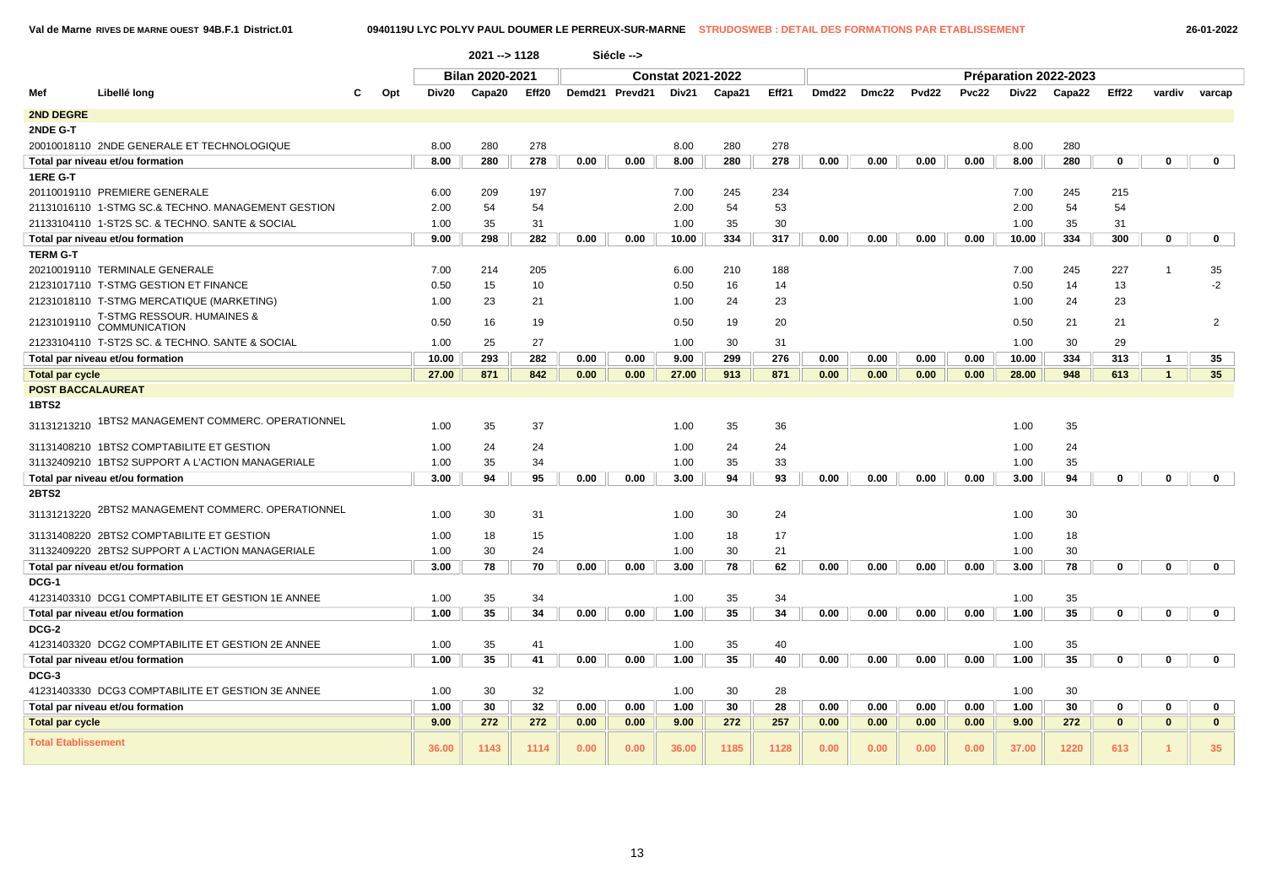**Val de Marne RIVES DE MARNE OUEST 94B.F.1 District.01 0940119U LYC POLYV PAUL DOUMER LE PERREUX-SUR-MARNE STRUDOSWEB : DETAIL DES FORMATIONS PAR ETABLISSEMENT 26-01-2022**

|                            |                                                    |     |       | $2021 - 1128$          |       |      | Siécle -->     |                          |        |       |       |       |       |       |              |                       |              |                      |                |
|----------------------------|----------------------------------------------------|-----|-------|------------------------|-------|------|----------------|--------------------------|--------|-------|-------|-------|-------|-------|--------------|-----------------------|--------------|----------------------|----------------|
|                            |                                                    |     |       | <b>Bilan 2020-2021</b> |       |      |                | <b>Constat 2021-2022</b> |        |       |       |       |       |       |              | Préparation 2022-2023 |              |                      |                |
| Mef                        | Libellé long                                       | Opt | Div20 | Capa20                 | Eff20 |      | Demd21 Prevd21 | Div21                    | Capa21 | Eff21 | Dmd22 | Dmc22 | Pvd22 | Pvc22 | <b>Div22</b> | Capa22                | Eff22        | vardiv               | varcap         |
| 2ND DEGRE                  |                                                    |     |       |                        |       |      |                |                          |        |       |       |       |       |       |              |                       |              |                      |                |
| 2NDE G-T                   |                                                    |     |       |                        |       |      |                |                          |        |       |       |       |       |       |              |                       |              |                      |                |
|                            | 20010018110 2NDE GENERALE ET TECHNOLOGIQUE         |     | 8.00  | 280                    | 278   |      |                | 8.00                     | 280    | 278   |       |       |       |       | 8.00         | 280                   |              |                      |                |
|                            | Total par niveau et/ou formation                   |     | 8.00  | 280                    | 278   | 0.00 | 0.00           | 8.00                     | 280    | 278   | 0.00  | 0.00  | 0.00  | 0.00  | 8.00         | 280                   | $\mathbf 0$  | $\mathbf{0}$         | $\mathbf 0$    |
| 1ERE G-T                   |                                                    |     |       |                        |       |      |                |                          |        |       |       |       |       |       |              |                       |              |                      |                |
|                            | 20110019110 PREMIERE GENERALE                      |     | 6.00  | 209                    | 197   |      |                | 7.00                     | 245    | 234   |       |       |       |       | 7.00         | 245                   | 215          |                      |                |
|                            | 21131016110 1-STMG SC.& TECHNO. MANAGEMENT GESTION |     | 2.00  | 54                     | 54    |      |                | 2.00                     | 54     | 53    |       |       |       |       | 2.00         | 54                    | 54           |                      |                |
|                            | 21133104110 1-ST2S SC. & TECHNO. SANTE & SOCIAL    |     | 1.00  | 35                     | 31    |      |                | 1.00                     | 35     | 30    |       |       |       |       | 1.00         | 35                    | 31           |                      |                |
|                            | Total par niveau et/ou formation                   |     | 9.00  | 298                    | 282   | 0.00 | 0.00           | 10.00                    | 334    | 317   | 0.00  | 0.00  | 0.00  | 0.00  | 10.00        | 334                   | 300          | $\mathbf 0$          | $\mathbf 0$    |
| <b>TERM G-T</b>            |                                                    |     |       |                        |       |      |                |                          |        |       |       |       |       |       |              |                       |              |                      |                |
|                            | 20210019110 TERMINALE GENERALE                     |     | 7.00  | 214                    | 205   |      |                | 6.00                     | 210    | 188   |       |       |       |       | 7.00         | 245                   | 227          |                      | 35             |
|                            | 21231017110 T-STMG GESTION ET FINANCE              |     | 0.50  | 15                     | 10    |      |                | 0.50                     | 16     | 14    |       |       |       |       | 0.50         | 14                    | 13           |                      | $-2$           |
|                            | 21231018110 T-STMG MERCATIQUE (MARKETING)          |     | 1.00  | 23                     | 21    |      |                | 1.00                     | 24     | 23    |       |       |       |       | 1.00         | 24                    | 23           |                      |                |
| 21231019110                | T-STMG RESSOUR. HUMAINES &<br><b>COMMUNICATION</b> |     | 0.50  | 16                     | 19    |      |                | 0.50                     | 19     | 20    |       |       |       |       | 0.50         | 21                    | 21           |                      | $\overline{2}$ |
|                            | 21233104110 T-ST2S SC. & TECHNO. SANTE & SOCIAL    |     | 1.00  | 25                     | 27    |      |                | 1.00                     | 30     | 31    |       |       |       |       | 1.00         | 30                    | 29           |                      |                |
|                            | Total par niveau et/ou formation                   |     | 10.00 | 293                    | 282   | 0.00 | 0.00           | 9.00                     | 299    | 276   | 0.00  | 0.00  | 0.00  | 0.00  | 10.00        | 334                   | 313          | $\mathbf{1}$         | 35             |
| <b>Total par cycle</b>     |                                                    |     | 27.00 | 871                    | 842   | 0.00 | 0.00           | 27.00                    | 913    | 871   | 0.00  | 0.00  | 0.00  | 0.00  | 28.00        | 948                   | 613          | $\mathbf{1}$         | 35             |
| <b>POST BACCALAUREAT</b>   |                                                    |     |       |                        |       |      |                |                          |        |       |       |       |       |       |              |                       |              |                      |                |
| 1BTS2                      |                                                    |     |       |                        |       |      |                |                          |        |       |       |       |       |       |              |                       |              |                      |                |
| 31131213210                | 1BTS2 MANAGEMENT COMMERC. OPERATIONNEL             |     | 1.00  | 35                     | 37    |      |                | 1.00                     | 35     | 36    |       |       |       |       | 1.00         | 35                    |              |                      |                |
|                            | 31131408210 1BTS2 COMPTABILITE ET GESTION          |     | 1.00  | 24                     | 24    |      |                | 1.00                     | 24     | 24    |       |       |       |       | 1.00         | 24                    |              |                      |                |
|                            | 31132409210 1BTS2 SUPPORT A L'ACTION MANAGERIALE   |     | 1.00  | 35                     | 34    |      |                | 1.00                     | 35     | 33    |       |       |       |       | 1.00         | 35                    |              |                      |                |
|                            | Total par niveau et/ou formation                   |     | 3.00  | 94                     | 95    | 0.00 | 0.00           | 3.00                     | 94     | 93    | 0.00  | 0.00  | 0.00  | 0.00  | 3.00         | 94                    | $\mathbf 0$  | $\mathbf 0$          | $\mathbf 0$    |
| <b>2BTS2</b>               |                                                    |     |       |                        |       |      |                |                          |        |       |       |       |       |       |              |                       |              |                      |                |
|                            | 31131213220 2BTS2 MANAGEMENT COMMERC. OPERATIONNEL |     | 1.00  | 30                     | 31    |      |                | 1.00                     | 30     | 24    |       |       |       |       | 1.00         | 30                    |              |                      |                |
|                            | 31131408220 2BTS2 COMPTABILITE ET GESTION          |     | 1.00  | 18                     | 15    |      |                | 1.00                     | 18     | 17    |       |       |       |       | 1.00         | 18                    |              |                      |                |
|                            | 31132409220 2BTS2 SUPPORT A L'ACTION MANAGERIALE   |     | 1.00  | 30                     | 24    |      |                | 1.00                     | 30     | 21    |       |       |       |       | 1.00         | 30                    |              |                      |                |
|                            | Total par niveau et/ou formation                   |     | 3.00  | 78                     | 70    | 0.00 | 0.00           | 3.00                     | 78     | 62    | 0.00  | 0.00  | 0.00  | 0.00  | 3.00         | 78                    | $\mathbf 0$  | $\mathbf 0$          | $\mathbf{0}$   |
| DCG-1                      |                                                    |     |       |                        |       |      |                |                          |        |       |       |       |       |       |              |                       |              |                      |                |
|                            | 41231403310 DCG1 COMPTABILITE ET GESTION 1E ANNEE  |     | 1.00  | 35                     | 34    |      |                | 1.00                     | 35     | 34    |       |       |       |       | 1.00         | 35                    |              |                      |                |
|                            | Total par niveau et/ou formation                   |     | 1.00  | 35                     | 34    | 0.00 | 0.00           | 1.00                     | 35     | 34    | 0.00  | 0.00  | 0.00  | 0.00  | 1.00         | 35                    | $\mathbf 0$  | $\mathbf 0$          | $\mathbf 0$    |
| DCG-2                      |                                                    |     |       |                        |       |      |                |                          |        |       |       |       |       |       |              |                       |              |                      |                |
|                            | 41231403320 DCG2 COMPTABILITE ET GESTION 2E ANNEE  |     | 1.00  | 35                     | 41    |      |                | 1.00                     | 35     | 40    |       |       |       |       | 1.00         | 35                    |              |                      |                |
|                            | Total par niveau et/ou formation                   |     | 1.00  | 35                     | 41    | 0.00 | 0.00           | 1.00                     | 35     | 40    | 0.00  | 0.00  | 0.00  | 0.00  | 1.00         | 35                    | $\mathbf 0$  | $\mathbf 0$          | $\mathbf 0$    |
| DCG-3                      |                                                    |     |       |                        |       |      |                |                          |        |       |       |       |       |       |              |                       |              |                      |                |
|                            | 41231403330 DCG3 COMPTABILITE ET GESTION 3E ANNEE  |     | 1.00  | 30                     | 32    |      |                | 1.00                     | 30     | 28    |       |       |       |       | 1.00         | 30                    |              |                      |                |
|                            | Total par niveau et/ou formation                   |     | 1.00  | 30                     | 32    | 0.00 | 0.00           | 1.00                     | 30     | 28    | 0.00  | 0.00  | 0.00  | 0.00  | 1.00         | 30                    | $\mathbf 0$  | $\mathbf 0$          | $\mathbf 0$    |
| <b>Total par cycle</b>     |                                                    |     | 9.00  | 272                    | 272   | 0.00 | 0.00           | 9.00                     | 272    | 257   | 0.00  | 0.00  | 0.00  | 0.00  | 9.00         | 272                   | $\mathbf{0}$ | $\mathbf{0}$         | $\mathbf{0}$   |
| <b>Total Etablissement</b> |                                                    |     | 36.00 | 1143                   | 1114  | 0.00 | 0.00           | 36.00                    | 1185   | 1128  | 0.00  | 0.00  | 0.00  | 0.00  | 37.00        | 1220                  | 613          | $\blacktriangleleft$ | 35             |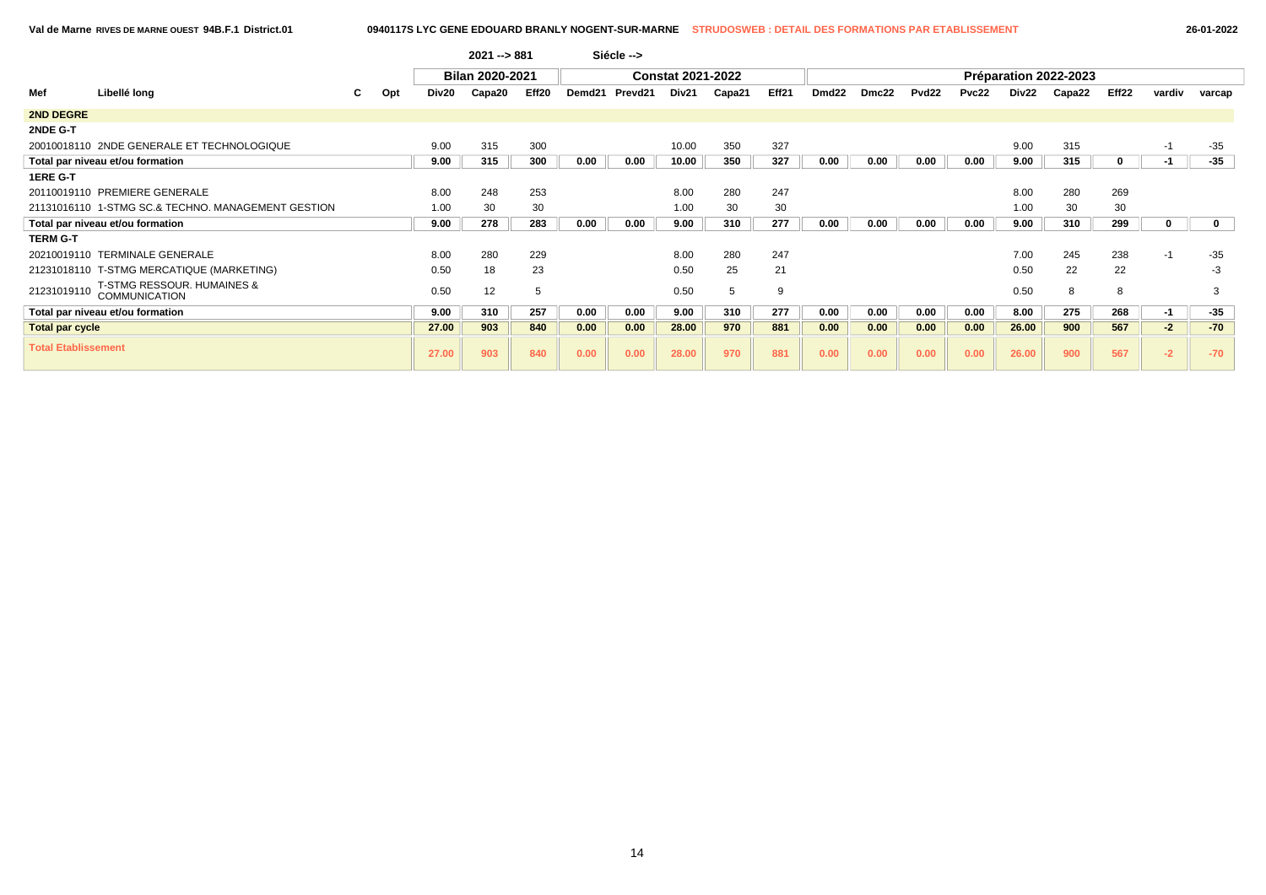|                            |                                                               |    |     |       | $2021 - 881$           |       |        | Siécle --> |                          |        |       |                   |       |                   |       |       |                       |       |        |        |
|----------------------------|---------------------------------------------------------------|----|-----|-------|------------------------|-------|--------|------------|--------------------------|--------|-------|-------------------|-------|-------------------|-------|-------|-----------------------|-------|--------|--------|
|                            |                                                               |    |     |       | <b>Bilan 2020-2021</b> |       |        |            | <b>Constat 2021-2022</b> |        |       |                   |       |                   |       |       | Préparation 2022-2023 |       |        |        |
| Mef                        | Libellé long                                                  | C. | Opt | Div20 | Capa20                 | Eff20 | Demd21 | Prevd21    | Div21                    | Capa21 | Eff21 | Dmd <sub>22</sub> | Dmc22 | Pvd <sub>22</sub> | Pvc22 | Div22 | Capa22                | Eff22 | vardiv | varcap |
| 2ND DEGRE                  |                                                               |    |     |       |                        |       |        |            |                          |        |       |                   |       |                   |       |       |                       |       |        |        |
| 2NDE G-T                   |                                                               |    |     |       |                        |       |        |            |                          |        |       |                   |       |                   |       |       |                       |       |        |        |
|                            | 20010018110 2NDE GENERALE ET TECHNOLOGIQUE                    |    |     | 9.00  | 315                    | 300   |        |            | 10.00                    | 350    | 327   |                   |       |                   |       | 9.00  | 315                   |       | $-1$   | $-35$  |
|                            | Total par niveau et/ou formation                              |    |     | 9.00  | 315                    | 300   | 0.00   | 0.00       | 10.00                    | 350    | 327   | 0.00              | 0.00  | 0.00              | 0.00  | 9.00  | 315                   | 0     | $-1$   | -35    |
| <b>1ERE G-T</b>            |                                                               |    |     |       |                        |       |        |            |                          |        |       |                   |       |                   |       |       |                       |       |        |        |
|                            | 20110019110 PREMIERE GENERALE                                 |    |     | 8.00  | 248                    | 253   |        |            | 8.00                     | 280    | 247   |                   |       |                   |       | 8.00  | 280                   | 269   |        |        |
|                            | 21131016110 1-STMG SC.& TECHNO. MANAGEMENT GESTION            |    |     | 1.00  | 30                     | 30    |        |            | 1.00                     | 30     | 30    |                   |       |                   |       | 1.00  | 30                    | 30    |        |        |
|                            | Total par niveau et/ou formation                              |    |     | 9.00  | 278                    | 283   | 0.00   | 0.00       | 9.00                     | 310    | 277   | 0.00              | 0.00  | 0.00              | 0.00  | 9.00  | 310                   | 299   |        |        |
| <b>TERM G-T</b>            |                                                               |    |     |       |                        |       |        |            |                          |        |       |                   |       |                   |       |       |                       |       |        |        |
|                            | 20210019110 TERMINALE GENERALE                                |    |     | 8.00  | 280                    | 229   |        |            | 8.00                     | 280    | 247   |                   |       |                   |       | 7.00  | 245                   | 238   | $-1$   | $-35$  |
|                            | 21231018110 T-STMG MERCATIQUE (MARKETING)                     |    |     | 0.50  | 18                     | 23    |        |            | 0.50                     | 25     | 21    |                   |       |                   |       | 0.50  | 22                    | 22    |        | -3     |
| 21231019110                | <b>T-STMG RESSOUR. HUMAINES &amp;</b><br><b>COMMUNICATION</b> |    |     | 0.50  | 12                     | 5     |        |            | 0.50                     | 5      | 9     |                   |       |                   |       | 0.50  | 8                     | 8     |        | 3      |
|                            | Total par niveau et/ou formation                              |    |     | 9.00  | 310                    | 257   | 0.00   | 0.00       | 9.00                     | 310    | 277   | 0.00              | 0.00  | 0.00              | 0.00  | 8.00  | 275                   | 268   | $-1$   | $-35$  |
| Total par cycle            |                                                               |    |     | 27.00 | 903                    | 840   | 0.00   | 0.00       | 28.00                    | 970    | 881   | 0.00              | 0.00  | 0.00              | 0.00  | 26.00 | 900                   | 567   | $-2$   | $-70$  |
| <b>Total Etablissement</b> |                                                               |    |     | 27.00 | 903                    | 840   | 0.00   | 0.00       | 28.00                    | 970    | 881   | 0.00              | 0.00  | 0.00              | 0.00  | 26.00 | 900                   | 567   | $-2$   | $-70$  |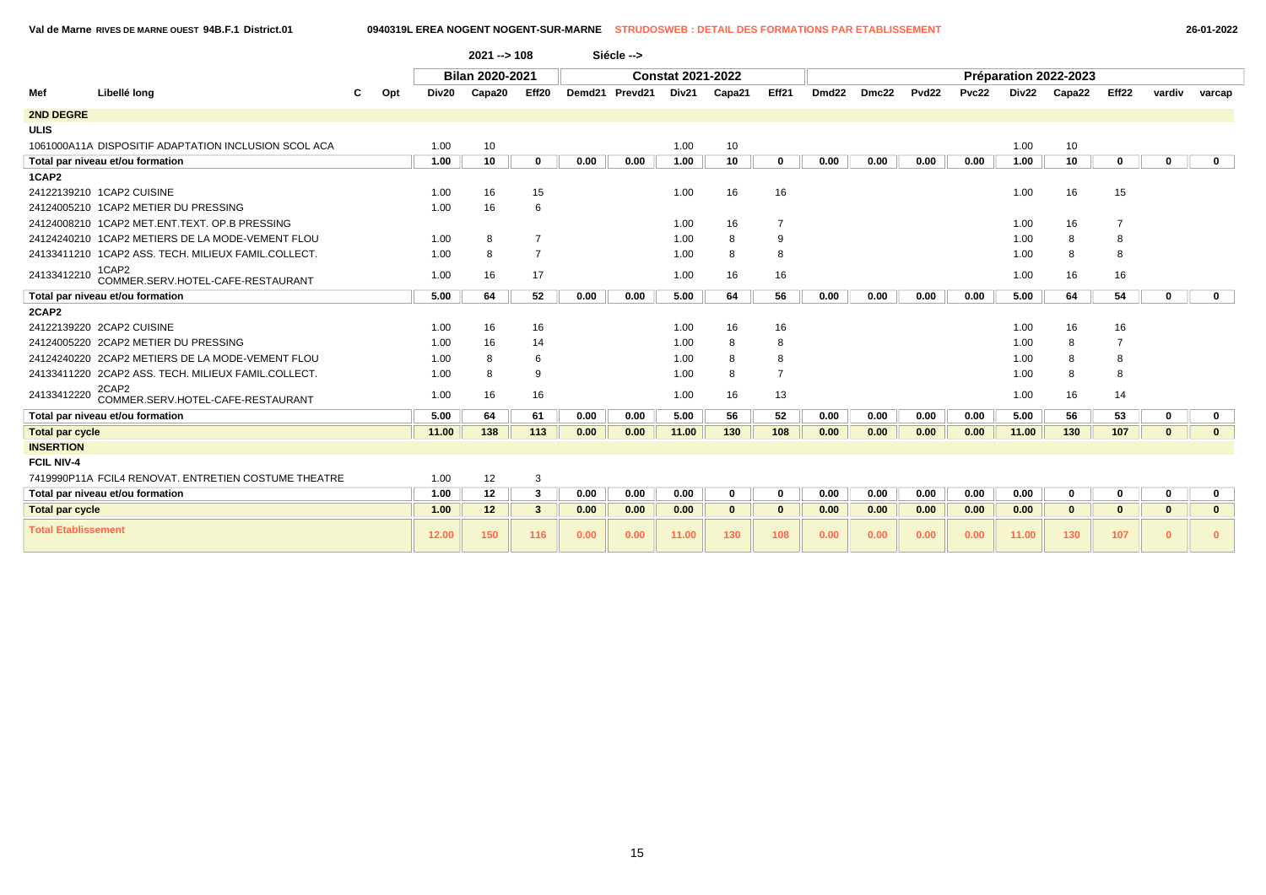**Val de Marne RIVES DE MARNE OUEST 94B.F.1 District.01 0940319L EREA NOGENT NOGENT-SUR-MARNE STRUDOSWEB : DETAIL DES FORMATIONS PAR ETABLISSEMENT 26-01-2022**

|                            |                                                      |              | $2021 - 108$           |                |      | Siécle -->     |                          |              |                |                   |       |                   |              |       |                       |                   |              |              |
|----------------------------|------------------------------------------------------|--------------|------------------------|----------------|------|----------------|--------------------------|--------------|----------------|-------------------|-------|-------------------|--------------|-------|-----------------------|-------------------|--------------|--------------|
|                            |                                                      |              | <b>Bilan 2020-2021</b> |                |      |                | <b>Constat 2021-2022</b> |              |                |                   |       |                   |              |       | Préparation 2022-2023 |                   |              |              |
| Mef                        | Libellé long<br>С                                    | Div20<br>Opt | Capa20                 | Eff20          |      | Demd21 Prevd21 | Div21                    | Capa21       | Eff21          | Dmd <sub>22</sub> | Dmc22 | Pvd <sub>22</sub> | <b>Pvc22</b> | Div22 | Capa22                | Eff <sub>22</sub> | vardiv       | varcap       |
| 2ND DEGRE                  |                                                      |              |                        |                |      |                |                          |              |                |                   |       |                   |              |       |                       |                   |              |              |
| <b>ULIS</b>                |                                                      |              |                        |                |      |                |                          |              |                |                   |       |                   |              |       |                       |                   |              |              |
|                            | 1061000A11A DISPOSITIF ADAPTATION INCLUSION SCOL ACA | 1.00         | 10                     |                |      |                | 1.00                     | 10           |                |                   |       |                   |              | 1.00  | 10                    |                   |              |              |
|                            | Total par niveau et/ou formation                     | 1.00         | 10                     | $\bf{0}$       | 0.00 | 0.00           | 1.00                     | 10           | $\mathbf 0$    | 0.00              | 0.00  | 0.00              | 0.00         | 1.00  | 10                    | $\mathbf 0$       | $\mathbf 0$  | $\mathbf{0}$ |
| 1CAP2                      |                                                      |              |                        |                |      |                |                          |              |                |                   |       |                   |              |       |                       |                   |              |              |
|                            | 24122139210 1CAP2 CUISINE                            | 1.00         | 16                     | 15             |      |                | 1.00                     | 16           | 16             |                   |       |                   |              | 1.00  | 16                    | 15                |              |              |
|                            | 24124005210 1CAP2 METIER DU PRESSING                 | 1.00         | 16                     | 6              |      |                |                          |              |                |                   |       |                   |              |       |                       |                   |              |              |
|                            | 24124008210 1CAP2 MET.ENT.TEXT. OP.B PRESSING        |              |                        |                |      |                | 1.00                     | 16           | $\overline{7}$ |                   |       |                   |              | 1.00  | 16                    | $\overline{7}$    |              |              |
|                            | 24124240210 1CAP2 METIERS DE LA MODE-VEMENT FLOU     | 1.00         | 8                      | $\overline{7}$ |      |                | 1.00                     | 8            | 9              |                   |       |                   |              | 1.00  | 8                     | 8                 |              |              |
|                            | 24133411210 1CAP2 ASS. TECH. MILIEUX FAMIL.COLLECT.  | 1.00         | 8                      | $\overline{7}$ |      |                | 1.00                     | 8            | 8              |                   |       |                   |              | 1.00  | 8                     | 8                 |              |              |
| 24133412210                | 1CAP2<br>COMMER.SERV.HOTEL-CAFE-RESTAURANT           | 1.00         | 16                     | 17             |      |                | 1.00                     | 16           | 16             |                   |       |                   |              | 1.00  | 16                    | 16                |              |              |
|                            | Total par niveau et/ou formation                     | 5.00         | 64                     | 52             | 0.00 | 0.00           | 5.00                     | 64           | 56             | 0.00              | 0.00  | 0.00              | 0.00         | 5.00  | 64                    | 54                | $\mathbf 0$  | $\mathbf{0}$ |
| 2CAP2                      |                                                      |              |                        |                |      |                |                          |              |                |                   |       |                   |              |       |                       |                   |              |              |
|                            | 24122139220 2CAP2 CUISINE                            | 1.00         | 16                     | 16             |      |                | 1.00                     | 16           | 16             |                   |       |                   |              | 1.00  | 16                    | 16                |              |              |
|                            | 24124005220 2CAP2 METIER DU PRESSING                 | 1.00         | 16                     | 14             |      |                | 1.00                     | 8            | 8              |                   |       |                   |              | 1.00  | 8                     | $\overline{7}$    |              |              |
|                            | 24124240220 2CAP2 METIERS DE LA MODE-VEMENT FLOU     | 1.00         | 8                      | 6              |      |                | 1.00                     | 8            | 8              |                   |       |                   |              | 1.00  | 8                     | 8                 |              |              |
|                            | 24133411220 2CAP2 ASS. TECH. MILIEUX FAMIL.COLLECT.  | 1.00         | 8                      | 9              |      |                | 1.00                     | 8            | $\overline{7}$ |                   |       |                   |              | 1.00  | 8                     | 8                 |              |              |
| 24133412220                | 2CAP2<br>COMMER.SERV.HOTEL-CAFE-RESTAURANT           | 1.00         | 16                     | 16             |      |                | 1.00                     | 16           | 13             |                   |       |                   |              | 1.00  | 16                    | 14                |              |              |
|                            | Total par niveau et/ou formation                     | 5.00         | 64                     | 61             | 0.00 | 0.00           | 5.00                     | 56           | 52             | 0.00              | 0.00  | 0.00              | 0.00         | 5.00  | 56                    | 53                | 0            | $\mathbf{0}$ |
| <b>Total par cycle</b>     |                                                      | 11.00        | 138                    | 113            | 0.00 | 0.00           | 11.00                    | 130          | 108            | 0.00              | 0.00  | 0.00              | 0.00         | 11.00 | 130                   | 107               | $\mathbf{0}$ | $\mathbf{0}$ |
| <b>INSERTION</b>           |                                                      |              |                        |                |      |                |                          |              |                |                   |       |                   |              |       |                       |                   |              |              |
| <b>FCIL NIV-4</b>          |                                                      |              |                        |                |      |                |                          |              |                |                   |       |                   |              |       |                       |                   |              |              |
|                            | 7419990P11A FCIL4 RENOVAT. ENTRETIEN COSTUME THEATRE | 1.00         | 12                     | 3              |      |                |                          |              |                |                   |       |                   |              |       |                       |                   |              |              |
|                            | Total par niveau et/ou formation                     | 1.00         | 12                     | 3              | 0.00 | 0.00           | 0.00                     | 0            | $\mathbf 0$    | 0.00              | 0.00  | 0.00              | 0.00         | 0.00  | 0                     | 0                 | $\mathbf 0$  | $\mathbf 0$  |
| <b>Total par cycle</b>     |                                                      | 1.00         | 12 <sub>2</sub>        | $\mathbf{3}$   | 0.00 | 0.00           | 0.00                     | $\mathbf{0}$ | $\mathbf{0}$   | 0.00              | 0.00  | 0.00              | 0.00         | 0.00  | $\mathbf{0}$          | $\mathbf{0}$      | $\mathbf{0}$ | $\mathbf{0}$ |
| <b>Total Etablissement</b> |                                                      | 12.00        | 150                    | 116            | 0.00 | 0.00           | 11.00                    | 130          | 108            | 0.00              | 0.00  | 0.00              | 0.00         | 11.00 | 130                   | 107               | $\mathbf{0}$ | $\mathbf{0}$ |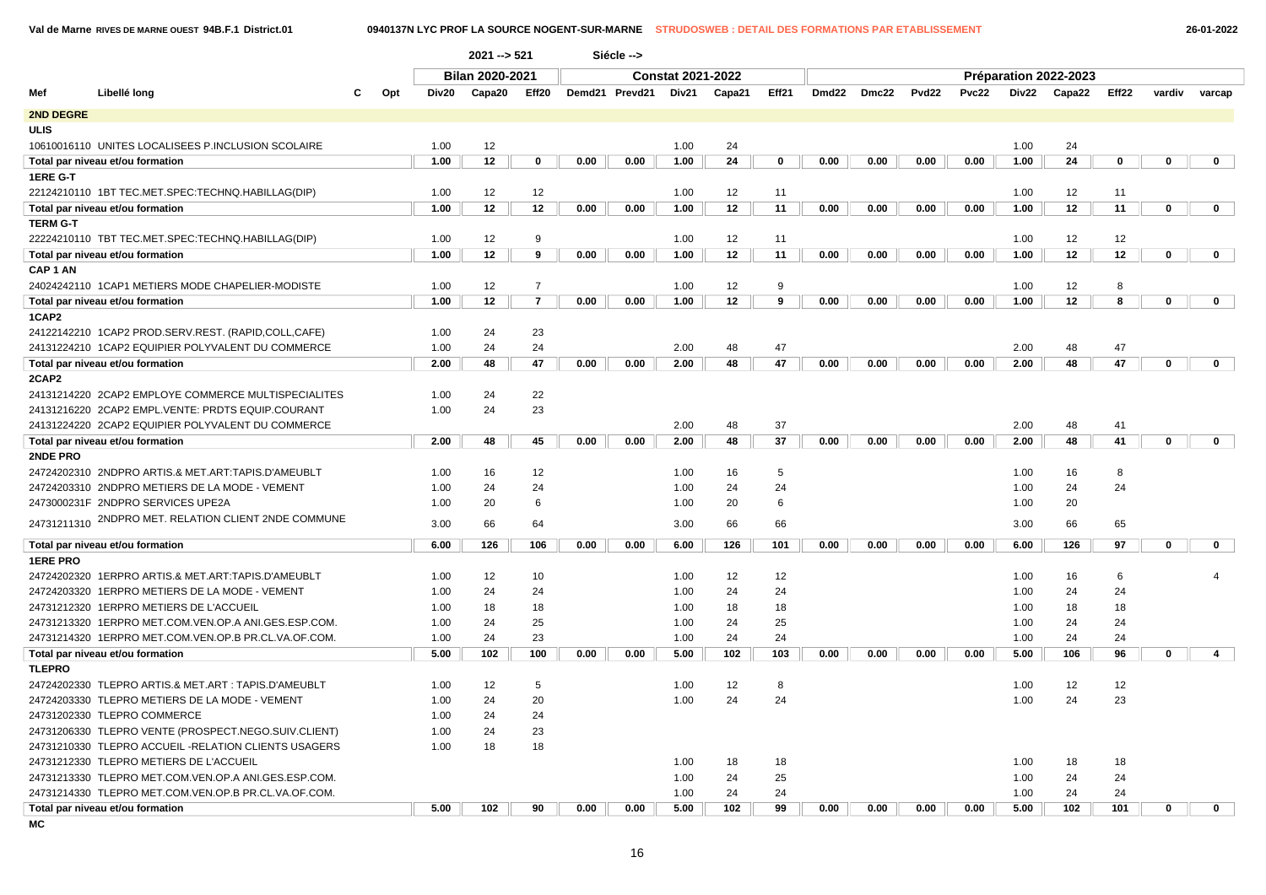**Val de Marne RIVES DE MARNE OUEST 94B.F.1 District.01 0940137N LYC PROF LA SOURCE NOGENT-SUR-MARNE STRUDOSWEB : DETAIL DES FORMATIONS PAR ETABLISSEMENT 26-01-2022**

|                                                         |       | $2021 - 521$    |                |      | Siécle -->     |                          |        |       |       |       |                   |              |       |                       |       |             |                |
|---------------------------------------------------------|-------|-----------------|----------------|------|----------------|--------------------------|--------|-------|-------|-------|-------------------|--------------|-------|-----------------------|-------|-------------|----------------|
|                                                         |       | Bilan 2020-2021 |                |      |                | <b>Constat 2021-2022</b> |        |       |       |       |                   |              |       | Préparation 2022-2023 |       |             |                |
| Mef<br>Libellé long<br>Opt                              | Div20 | Capa20          | Eff20          |      | Demd21 Prevd21 | Div21                    | Capa21 | Eff21 | Dmd22 | Dmc22 | Pvd <sub>22</sub> | <b>Pvc22</b> | Div22 | Capa22                | Eff22 | vardiv      | varcap         |
| 2ND DEGRE                                               |       |                 |                |      |                |                          |        |       |       |       |                   |              |       |                       |       |             |                |
| <b>ULIS</b>                                             |       |                 |                |      |                |                          |        |       |       |       |                   |              |       |                       |       |             |                |
| 10610016110 UNITES LOCALISEES P.INCLUSION SCOLAIRE      | 1.00  | 12              |                |      |                | 1.00                     | 24     |       |       |       |                   |              | 1.00  | 24                    |       |             |                |
| Total par niveau et/ou formation                        | 1.00  | 12              | $\mathbf 0$    | 0.00 | 0.00           | 1.00                     | 24     | 0     | 0.00  | 0.00  | 0.00              | 0.00         | 1.00  | 24                    | 0     | $\mathbf 0$ | $\mathbf 0$    |
| <b>1ERE G-T</b>                                         |       |                 |                |      |                |                          |        |       |       |       |                   |              |       |                       |       |             |                |
| 22124210110 1BT TEC.MET.SPEC:TECHNQ.HABILLAG(DIP)       | 1.00  | 12              | 12             |      |                | 1.00                     | 12     | 11    |       |       |                   |              | 1.00  | 12                    | 11    |             |                |
| Total par niveau et/ou formation                        | 1.00  | 12              | 12             | 0.00 | 0.00           | 1.00                     | 12     | 11    | 0.00  | 0.00  | 0.00              | 0.00         | 1.00  | 12                    | 11    | $\bf{0}$    | $\mathbf{0}$   |
| <b>TERM G-T</b>                                         |       |                 |                |      |                |                          |        |       |       |       |                   |              |       |                       |       |             |                |
| 22224210110 TBT TEC.MET.SPEC:TECHNQ.HABILLAG(DIP)       | 1.00  | 12              | 9              |      |                | 1.00                     | 12     | 11    |       |       |                   |              | 1.00  | 12                    | 12    |             |                |
| Total par niveau et/ou formation                        | 1.00  | 12              | 9              | 0.00 | 0.00           | 1.00                     | 12     | 11    | 0.00  | 0.00  | 0.00              | 0.00         | 1.00  | 12                    | 12    | $\mathbf 0$ | $\mathbf{0}$   |
| CAP <sub>1</sub> AN                                     |       |                 |                |      |                |                          |        |       |       |       |                   |              |       |                       |       |             |                |
| 24024242110 1CAP1 METIERS MODE CHAPELIER-MODISTE        | 1.00  | 12              | $\overline{7}$ |      |                | 1.00                     | 12     | 9     |       |       |                   |              | 1.00  | 12                    | 8     |             |                |
| Total par niveau et/ou formation                        | 1.00  | 12              | $\overline{7}$ | 0.00 | 0.00           | 1.00                     | 12     | 9     | 0.00  | 0.00  | 0.00              | 0.00         | 1.00  | 12                    | 8     | 0           | $\mathbf{0}$   |
| 1CAP2                                                   |       |                 |                |      |                |                          |        |       |       |       |                   |              |       |                       |       |             |                |
| 24122142210 1CAP2 PROD.SERV.REST. (RAPID,COLL,CAFE)     | 1.00  | 24              | 23             |      |                |                          |        |       |       |       |                   |              |       |                       |       |             |                |
| 24131224210 1CAP2 EQUIPIER POLYVALENT DU COMMERCE       | 1.00  | 24              | 24             |      |                | 2.00                     | 48     | 47    |       |       |                   |              | 2.00  | 48                    | 47    |             |                |
| Total par niveau et/ou formation                        | 2.00  | 48              | 47             | 0.00 | 0.00           | 2.00                     | 48     | 47    | 0.00  | 0.00  | 0.00              | 0.00         | 2.00  | 48                    | 47    | $\mathbf 0$ | $\mathbf{0}$   |
| 2CAP2                                                   |       |                 |                |      |                |                          |        |       |       |       |                   |              |       |                       |       |             |                |
| 24131214220 2CAP2 EMPLOYE COMMERCE MULTISPECIALITES     | 1.00  | 24              | 22             |      |                |                          |        |       |       |       |                   |              |       |                       |       |             |                |
| 24131216220 2CAP2 EMPL.VENTE: PRDTS EQUIP.COURANT       | 1.00  | 24              | 23             |      |                |                          |        |       |       |       |                   |              |       |                       |       |             |                |
| 24131224220 2CAP2 EQUIPIER POLYVALENT DU COMMERCE       |       |                 |                |      |                | 2.00                     | 48     | 37    |       |       |                   |              | 2.00  | 48                    | 41    |             |                |
| Total par niveau et/ou formation                        | 2.00  | 48              | 45             | 0.00 | 0.00           | 2.00                     | 48     | 37    | 0.00  | 0.00  | 0.00              | 0.00         | 2.00  | 48                    | 41    | 0           | $\mathbf 0$    |
| 2NDE PRO                                                |       |                 |                |      |                |                          |        |       |       |       |                   |              |       |                       |       |             |                |
| 24724202310 2NDPRO ARTIS.& MET.ART:TAPIS.D'AMEUBLT      | 1.00  | 16              | 12             |      |                | 1.00                     | 16     | 5     |       |       |                   |              | 1.00  | 16                    | 8     |             |                |
| 24724203310 2NDPRO METIERS DE LA MODE - VEMENT          | 1.00  | 24              | 24             |      |                | 1.00                     | 24     | 24    |       |       |                   |              | 1.00  | 24                    | 24    |             |                |
| 2473000231F 2NDPRO SERVICES UPE2A                       | 1.00  | 20              | 6              |      |                | 1.00                     | 20     | 6     |       |       |                   |              | 1.00  | 20                    |       |             |                |
| 2NDPRO MET. RELATION CLIENT 2NDE COMMUNE<br>24731211310 | 3.00  | 66              | 64             |      |                | 3.00                     | 66     | 66    |       |       |                   |              | 3.00  | 66                    | 65    |             |                |
| Total par niveau et/ou formation                        | 6.00  | 126             | 106            | 0.00 | 0.00           | 6.00                     | 126    | 101   | 0.00  | 0.00  | 0.00              | 0.00         | 6.00  | 126                   | 97    | $\bf{0}$    | $\mathbf{0}$   |
| <b>1ERE PRO</b>                                         |       |                 |                |      |                |                          |        |       |       |       |                   |              |       |                       |       |             |                |
| 24724202320 1ERPRO ARTIS.& MET.ART:TAPIS.D'AMEUBLT      | 1.00  | 12              | 10             |      |                | 1.00                     | 12     | 12    |       |       |                   |              | 1.00  | 16                    | 6     |             | Δ              |
| 24724203320 1ERPRO METIERS DE LA MODE - VEMENT          | 1.00  | 24              | 24             |      |                | 1.00                     | 24     | 24    |       |       |                   |              | 1.00  | 24                    | 24    |             |                |
| 24731212320 1ERPRO METIERS DE L'ACCUEIL                 | 1.00  | 18              | 18             |      |                | 1.00                     | 18     | 18    |       |       |                   |              | 1.00  | 18                    | 18    |             |                |
| 24731213320 1ERPRO MET.COM.VEN.OP.A ANI.GES.ESP.COM.    | 1.00  | 24              | 25             |      |                | 1.00                     | 24     | 25    |       |       |                   |              | 1.00  | 24                    | 24    |             |                |
| 24731214320 1ERPRO MET.COM.VEN.OP.B PR.CL.VA.OF.COM.    | 1.00  | 24              | 23             |      |                | 1.00                     | 24     | 24    |       |       |                   |              | 1.00  | 24                    | 24    |             |                |
| Total par niveau et/ou formation                        | 5.00  | 102             | 100            | 0.00 | 0.00           | 5.00                     | 102    | 103   | 0.00  | 0.00  | 0.00              | 0.00         | 5.00  | 106                   | 96    | $\mathbf 0$ | $\overline{4}$ |
| <b>TLEPRO</b>                                           |       |                 |                |      |                |                          |        |       |       |       |                   |              |       |                       |       |             |                |
| 24724202330 TLEPRO ARTIS.& MET.ART: TAPIS.D'AMEUBLT     | 1.00  | 12              | 5              |      |                | 1.00                     | 12     | 8     |       |       |                   |              | 1.00  | 12                    | 12    |             |                |
| 24724203330 TLEPRO METIERS DE LA MODE - VEMENT          | 1.00  | 24              | 20             |      |                | 1.00                     | 24     | 24    |       |       |                   |              | 1.00  | 24                    | 23    |             |                |
| 24731202330 TLEPRO COMMERCE                             | 1.00  | 24              | 24             |      |                |                          |        |       |       |       |                   |              |       |                       |       |             |                |
| 24731206330 TLEPRO VENTE (PROSPECT.NEGO.SUIV.CLIENT)    | 1.00  | 24              | 23             |      |                |                          |        |       |       |       |                   |              |       |                       |       |             |                |
| 24731210330 TLEPRO ACCUEIL -RELATION CLIENTS USAGERS    | 1.00  | 18              | 18             |      |                |                          |        |       |       |       |                   |              |       |                       |       |             |                |
| 24731212330 TLEPRO METIERS DE L'ACCUEIL                 |       |                 |                |      |                | 1.00                     | 18     | 18    |       |       |                   |              | 1.00  | 18                    | 18    |             |                |
| 24731213330 TLEPRO MET.COM.VEN.OP.A ANI.GES.ESP.COM.    |       |                 |                |      |                | 1.00                     | 24     | 25    |       |       |                   |              | 1.00  | 24                    | 24    |             |                |
| 24731214330 TLEPRO MET.COM.VEN.OP.B PR.CL.VA.OF.COM.    |       |                 |                |      |                | 1.00                     | 24     | 24    |       |       |                   |              | 1.00  | 24                    | 24    |             |                |
| Total par niveau et/ou formation                        | 5.00  | 102             | 90             | 0.00 | 0.00           | 5.00                     | 102    | 99    | 0.00  | 0.00  | 0.00              | 0.00         | 5.00  | 102                   | 101   | 0           | 0              |

**MC**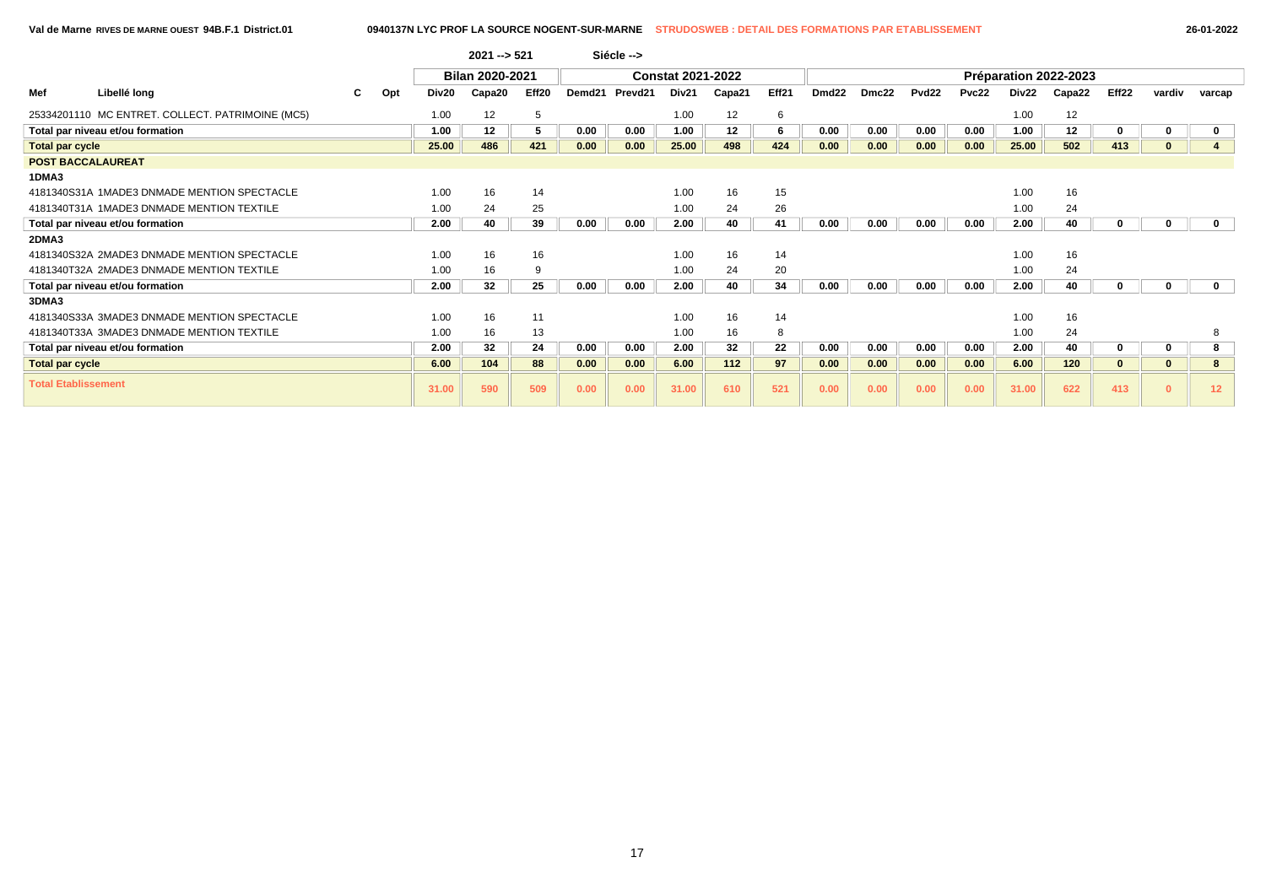|                            |                                                  |   |     |       | $2021 - 521$    |       |                    | Siécle -->          |                          |                  |       |                   |       |                   |       |       |                       |       |        |                 |
|----------------------------|--------------------------------------------------|---|-----|-------|-----------------|-------|--------------------|---------------------|--------------------------|------------------|-------|-------------------|-------|-------------------|-------|-------|-----------------------|-------|--------|-----------------|
|                            |                                                  |   |     |       | Bilan 2020-2021 |       |                    |                     | <b>Constat 2021-2022</b> |                  |       |                   |       |                   |       |       | Préparation 2022-2023 |       |        |                 |
| Mef                        | Libellé long                                     | C | Opt | Div20 | Capa20          | Eff20 | Demd <sub>21</sub> | Prevd <sub>21</sub> | Div21                    | Capa21           | Eff21 | Dmd <sub>22</sub> | Dmc22 | Pvd <sub>22</sub> | Pvc22 | Div22 | Capa22                | Eff22 | vardiv | varcap          |
|                            | 25334201110 MC ENTRET. COLLECT. PATRIMOINE (MC5) |   |     | 1.00  | 12              | 5     |                    |                     | 1.00                     | 12               | 6     |                   |       |                   |       | 1.00  | 12                    |       |        |                 |
|                            | Total par niveau et/ou formation                 |   |     | 1.00  | 12              | 5     | 0.00               | 0.00                | 1.00                     | 12 <sup>12</sup> | 6     | 0.00              | 0.00  | 0.00              | 0.00  | 1.00  | 12                    |       |        |                 |
| <b>Total par cycle</b>     |                                                  |   |     | 25.00 | 486             | 421   | 0.00               | 0.00                | 25.00                    | 498              | 424   | 0.00              | 0.00  | 0.00              | 0.00  | 25.00 | 502                   | 413   |        |                 |
| <b>POST BACCALAUREAT</b>   |                                                  |   |     |       |                 |       |                    |                     |                          |                  |       |                   |       |                   |       |       |                       |       |        |                 |
| 1DMA3                      |                                                  |   |     |       |                 |       |                    |                     |                          |                  |       |                   |       |                   |       |       |                       |       |        |                 |
|                            | 4181340S31A 1MADE3 DNMADE MENTION SPECTACLE      |   |     | 1.00  | 16              | 14    |                    |                     | 1.00                     | 16               | 15    |                   |       |                   |       | 1.00  | 16                    |       |        |                 |
|                            | 4181340T31A 1MADE3 DNMADE MENTION TEXTILE        |   |     | 1.00  | 24              | 25    |                    |                     | 1.00                     | 24               | 26    |                   |       |                   |       | 1.00  | 24                    |       |        |                 |
|                            | Total par niveau et/ou formation                 |   |     | 2.00  | 40              | 39    | 0.00               | 0.00                | 2.00                     | 40               | 41    | 0.00              | 0.00  | 0.00              | 0.00  | 2.00  | 40                    |       |        |                 |
| 2DMA3                      |                                                  |   |     |       |                 |       |                    |                     |                          |                  |       |                   |       |                   |       |       |                       |       |        |                 |
|                            | 4181340S32A 2MADE3 DNMADE MENTION SPECTACLE      |   |     | 1.00  | 16              | 16    |                    |                     | 1.00                     | 16               | 14    |                   |       |                   |       | 1.00  | 16                    |       |        |                 |
|                            | 4181340T32A 2MADE3 DNMADE MENTION TEXTILE        |   |     | 1.00  | 16              | 9     |                    |                     | 1.00                     | 24               | 20    |                   |       |                   |       | 1.00  | 24                    |       |        |                 |
|                            | Total par niveau et/ou formation                 |   |     | 2.00  | 32              | 25    | 0.00               | 0.00                | 2.00                     | 40               | 34    | 0.00              | 0.00  | 0.00              | 0.00  | 2.00  | 40                    |       |        | $\mathbf 0$     |
| 3DMA3                      |                                                  |   |     |       |                 |       |                    |                     |                          |                  |       |                   |       |                   |       |       |                       |       |        |                 |
|                            | 4181340S33A 3MADE3 DNMADE MENTION SPECTACLE      |   |     | 1.00  | 16              | 11    |                    |                     | 1.00                     | 16               | 14    |                   |       |                   |       | 1.00  | 16                    |       |        |                 |
|                            | 4181340T33A 3MADE3 DNMADE MENTION TEXTILE        |   |     | 1.00  | 16              | 13    |                    |                     | 1.00                     | 16               | 8     |                   |       |                   |       | 1.00  | 24                    |       |        |                 |
|                            | Total par niveau et/ou formation                 |   |     | 2.00  | 32              | 24    | 0.00               | 0.00                | 2.00                     | 32               | 22    | 0.00              | 0.00  | 0.00              | 0.00  | 2.00  | 40                    |       |        |                 |
| <b>Total par cycle</b>     |                                                  |   |     | 6.00  | 104             | 88    | 0.00               | 0.00                | 6.00                     | 112              | 97    | 0.00              | 0.00  | 0.00              | 0.00  | 6.00  | 120                   |       |        |                 |
| <b>Total Etablissement</b> |                                                  |   |     | 31.00 | 590             | 509   | 0.00               | 0.00                | 31.00                    | 610              | 521   | 0.00              | 0.00  | 0.00              | 0.00  | 31.00 | 622                   | 413   |        | 12 <sub>2</sub> |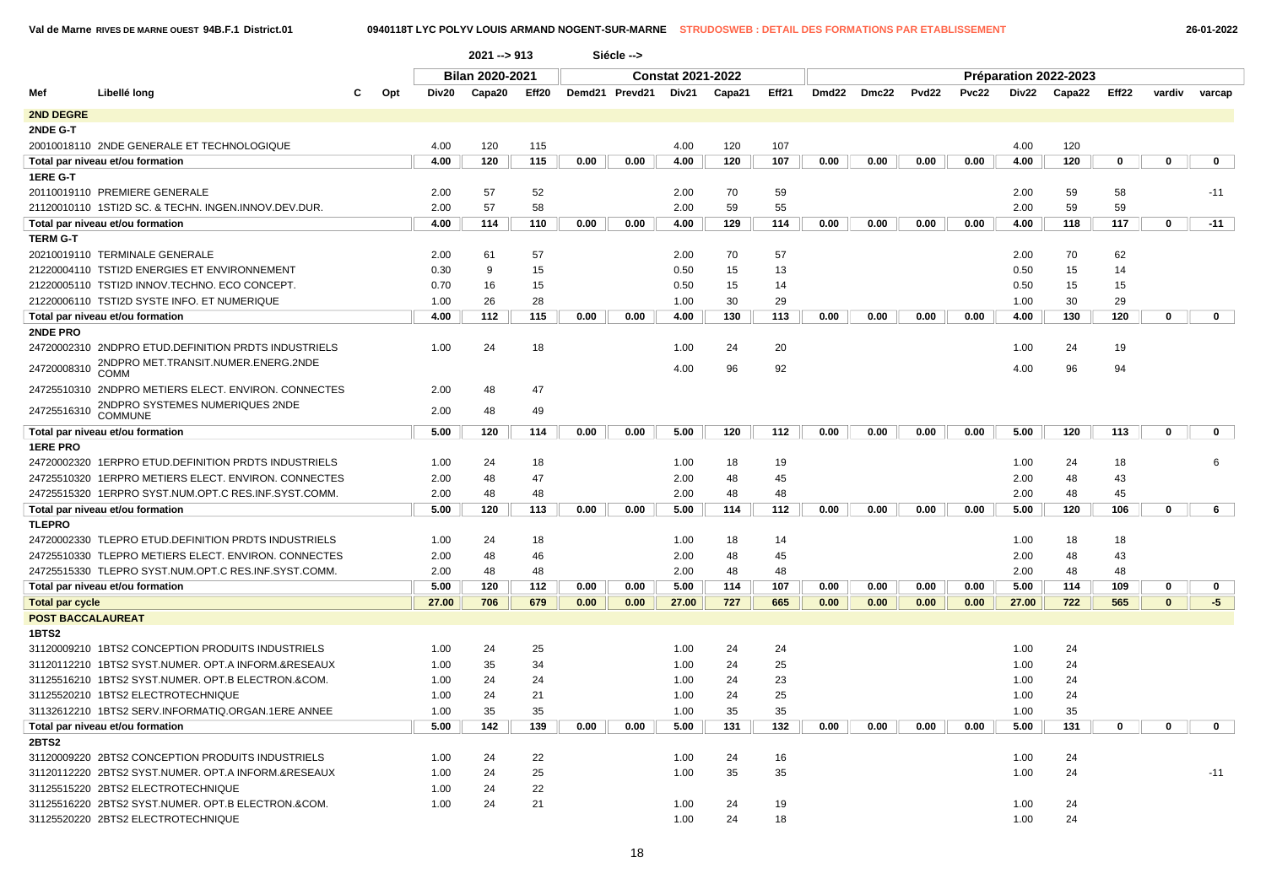**Val de Marne RIVES DE MARNE OUEST 94B.F.1 District.01 0940118T LYC POLYV LOUIS ARMAND NOGENT-SUR-MARNE STRUDOSWEB : DETAIL DES FORMATIONS PAR ETABLISSEMENT 26-01-2022**

|                          |                                                       |     |       | $2021 - 913$    |                   |      | Siécle -->     |                          |        |       |       |       |                   |              |       |                       |       |              |              |
|--------------------------|-------------------------------------------------------|-----|-------|-----------------|-------------------|------|----------------|--------------------------|--------|-------|-------|-------|-------------------|--------------|-------|-----------------------|-------|--------------|--------------|
|                          |                                                       |     |       | Bilan 2020-2021 |                   |      |                | <b>Constat 2021-2022</b> |        |       |       |       |                   |              |       | Préparation 2022-2023 |       |              |              |
| Mef                      | Libellé long                                          | Opt | Div20 | Capa20          | Eff <sub>20</sub> |      | Demd21 Prevd21 | Div21                    | Capa21 | Eff21 | Dmd22 | Dmc22 | Pvd <sub>22</sub> | <b>Pvc22</b> | Div22 | Capa22                | Eff22 | vardiv       | varcap       |
| 2ND DEGRE                |                                                       |     |       |                 |                   |      |                |                          |        |       |       |       |                   |              |       |                       |       |              |              |
| 2NDE G-T                 |                                                       |     |       |                 |                   |      |                |                          |        |       |       |       |                   |              |       |                       |       |              |              |
|                          | 20010018110 2NDE GENERALE ET TECHNOLOGIQUE            |     | 4.00  | 120             | 115               |      |                | 4.00                     | 120    | 107   |       |       |                   |              | 4.00  | 120                   |       |              |              |
|                          | Total par niveau et/ou formation                      |     | 4.00  | 120             | 115               | 0.00 | 0.00           | 4.00                     | 120    | 107   | 0.00  | 0.00  | 0.00              | 0.00         | 4.00  | 120                   | 0     | $\mathbf 0$  | $\mathbf 0$  |
| <b>1ERE G-T</b>          |                                                       |     |       |                 |                   |      |                |                          |        |       |       |       |                   |              |       |                       |       |              |              |
|                          | 20110019110 PREMIERE GENERALE                         |     | 2.00  | 57              | 52                |      |                | 2.00                     | 70     | 59    |       |       |                   |              | 2.00  | 59                    | 58    |              | $-11$        |
|                          | 21120010110 1STI2D SC. & TECHN. INGEN.INNOV.DEV.DUR.  |     | 2.00  | 57              | 58                |      |                | 2.00                     | 59     | 55    |       |       |                   |              | 2.00  | 59                    | 59    |              |              |
|                          | Total par niveau et/ou formation                      |     | 4.00  | 114             | 110               | 0.00 | 0.00           | 4.00                     | 129    | 114   | 0.00  | 0.00  | 0.00              | 0.00         | 4.00  | 118                   | 117   | 0            | $-11$        |
| <b>TERM G-T</b>          |                                                       |     |       |                 |                   |      |                |                          |        |       |       |       |                   |              |       |                       |       |              |              |
|                          | 20210019110 TERMINALE GENERALE                        |     | 2.00  | 61              | 57                |      |                | 2.00                     | 70     | 57    |       |       |                   |              | 2.00  | 70                    | 62    |              |              |
|                          | 21220004110 TSTI2D ENERGIES ET ENVIRONNEMENT          |     | 0.30  | 9               | 15                |      |                | 0.50                     | 15     | 13    |       |       |                   |              | 0.50  | 15                    | 14    |              |              |
|                          | 21220005110 TSTI2D INNOV.TECHNO. ECO CONCEPT.         |     | 0.70  | 16              | 15                |      |                | 0.50                     | 15     | 14    |       |       |                   |              | 0.50  | 15                    | 15    |              |              |
|                          | 21220006110 TSTI2D SYSTE INFO. ET NUMERIQUE           |     | 1.00  | 26              | 28                |      |                | 1.00                     | 30     | 29    |       |       |                   |              | 1.00  | 30                    | 29    |              |              |
|                          | Total par niveau et/ou formation                      |     | 4.00  | 112             | 115               | 0.00 | 0.00           | 4.00                     | 130    | 113   | 0.00  | 0.00  | 0.00              | 0.00         | 4.00  | 130                   | 120   | $\mathbf 0$  | $\mathbf 0$  |
| 2NDE PRO                 |                                                       |     |       |                 |                   |      |                |                          |        |       |       |       |                   |              |       |                       |       |              |              |
|                          | 24720002310 2NDPRO ETUD. DEFINITION PRDTS INDUSTRIELS |     | 1.00  | 24              | 18                |      |                | 1.00                     | 24     | 20    |       |       |                   |              | 1.00  | 24                    | 19    |              |              |
| 24720008310              | 2NDPRO MET.TRANSIT.NUMER.ENERG.2NDE<br>COMM           |     |       |                 |                   |      |                | 4.00                     | 96     | 92    |       |       |                   |              | 4.00  | 96                    | 94    |              |              |
|                          | 24725510310 2NDPRO METIERS ELECT. ENVIRON. CONNECTES  |     | 2.00  | 48              | 47                |      |                |                          |        |       |       |       |                   |              |       |                       |       |              |              |
| 24725516310              | 2NDPRO SYSTEMES NUMERIQUES 2NDE<br><b>COMMUNE</b>     |     | 2.00  | 48              | 49                |      |                |                          |        |       |       |       |                   |              |       |                       |       |              |              |
|                          | Total par niveau et/ou formation                      |     | 5.00  | 120             | 114               | 0.00 | 0.00           | 5.00                     | 120    | 112   | 0.00  | 0.00  | 0.00              | 0.00         | 5.00  | 120                   | 113   | $\mathbf 0$  | $\mathbf 0$  |
| <b>1ERE PRO</b>          |                                                       |     |       |                 |                   |      |                |                          |        |       |       |       |                   |              |       |                       |       |              |              |
|                          | 24720002320 1ERPRO ETUD.DEFINITION PRDTS INDUSTRIELS  |     | 1.00  | 24              | 18                |      |                | 1.00                     | 18     | 19    |       |       |                   |              | 1.00  | 24                    | 18    |              | 6            |
|                          | 24725510320 1ERPRO METIERS ELECT. ENVIRON. CONNECTES  |     | 2.00  | 48              | 47                |      |                | 2.00                     | 48     | 45    |       |       |                   |              | 2.00  | 48                    | 43    |              |              |
|                          | 24725515320 1ERPRO SYST.NUM.OPT.C RES.INF.SYST.COMM.  |     | 2.00  | 48              | 48                |      |                | 2.00                     | 48     | 48    |       |       |                   |              | 2.00  | 48                    | 45    |              |              |
|                          | Total par niveau et/ou formation                      |     | 5.00  | 120             | 113               | 0.00 | 0.00           | 5.00                     | 114    | 112   | 0.00  | 0.00  | 0.00              | 0.00         | 5.00  | 120                   | 106   | 0            | 6            |
| <b>TLEPRO</b>            |                                                       |     |       |                 |                   |      |                |                          |        |       |       |       |                   |              |       |                       |       |              |              |
|                          | 24720002330 TLEPRO ETUD.DEFINITION PRDTS INDUSTRIELS  |     | 1.00  | 24              | 18                |      |                | 1.00                     | 18     | 14    |       |       |                   |              | 1.00  | 18                    | 18    |              |              |
|                          | 24725510330 TLEPRO METIERS ELECT. ENVIRON. CONNECTES  |     | 2.00  | 48              | 46                |      |                | 2.00                     | 48     | 45    |       |       |                   |              | 2.00  | 48                    | 43    |              |              |
|                          | 24725515330 TLEPRO SYST.NUM.OPT.C RES.INF.SYST.COMM.  |     | 2.00  | 48              | 48                |      |                | 2.00                     | 48     | 48    |       |       |                   |              | 2.00  | 48                    | 48    |              |              |
|                          | Total par niveau et/ou formation                      |     | 5.00  | 120             | 112               | 0.00 | 0.00           | 5.00                     | 114    | 107   | 0.00  | 0.00  | 0.00              | 0.00         | 5.00  | 114                   | 109   | 0            | $\mathbf{0}$ |
| <b>Total par cycle</b>   |                                                       |     | 27.00 | 706             | 679               | 0.00 | 0.00           | 27.00                    | 727    | 665   | 0.00  | 0.00  | 0.00              | 0.00         | 27.00 | 722                   | 565   | $\mathbf{0}$ | $-5$         |
| <b>POST BACCALAUREAT</b> |                                                       |     |       |                 |                   |      |                |                          |        |       |       |       |                   |              |       |                       |       |              |              |
| 1BTS2                    |                                                       |     |       |                 |                   |      |                |                          |        |       |       |       |                   |              |       |                       |       |              |              |
|                          | 31120009210 1BTS2 CONCEPTION PRODUITS INDUSTRIELS     |     | 1.00  | 24              | 25                |      |                | 1.00                     | 24     | 24    |       |       |                   |              | 1.00  | 24                    |       |              |              |
|                          | 31120112210 1BTS2 SYST.NUMER. OPT.A INFORM.&RESEAUX   |     | 1.00  | 35              | 34                |      |                | 1.00                     | 24     | 25    |       |       |                   |              | 1.00  | 24                    |       |              |              |
|                          | 31125516210 1BTS2 SYST.NUMER. OPT.B ELECTRON.&COM.    |     | 1.00  | 24              | 24                |      |                | 1.00                     | 24     | 23    |       |       |                   |              | 1.00  | 24                    |       |              |              |
|                          | 31125520210 1BTS2 ELECTROTECHNIQUE                    |     | 1.00  | 24              | 21                |      |                | 1.00                     | 24     | 25    |       |       |                   |              | 1.00  | 24                    |       |              |              |
|                          | 31132612210 1BTS2 SERV.INFORMATIQ.ORGAN.1ERE ANNEE    |     | 1.00  | 35              | 35                |      |                | 1.00                     | 35     | 35    |       |       |                   |              | 1.00  | 35                    |       |              |              |
|                          | Total par niveau et/ou formation                      |     | 5.00  | 142             | 139               | 0.00 | 0.00           | 5.00                     | 131    | 132   | 0.00  | 0.00  | 0.00              | 0.00         | 5.00  | 131                   | 0     | 0            | $\mathbf{0}$ |
| <b>2BTS2</b>             |                                                       |     |       |                 |                   |      |                |                          |        |       |       |       |                   |              |       |                       |       |              |              |
|                          | 31120009220 2BTS2 CONCEPTION PRODUITS INDUSTRIELS     |     | 1.00  | 24              | 22                |      |                | 1.00                     | 24     | 16    |       |       |                   |              | 1.00  | 24                    |       |              |              |
|                          | 31120112220 2BTS2 SYST.NUMER. OPT.A INFORM.&RESEAUX   |     | 1.00  | 24              | 25                |      |                | 1.00                     | 35     | 35    |       |       |                   |              | 1.00  | 24                    |       |              | $-11$        |
|                          | 31125515220 2BTS2 ELECTROTECHNIQUE                    |     | 1.00  | 24              | 22                |      |                |                          |        |       |       |       |                   |              |       |                       |       |              |              |
|                          | 31125516220 2BTS2 SYST.NUMER. OPT.B ELECTRON.&COM.    |     | 1.00  | 24              | 21                |      |                | 1.00                     | 24     | 19    |       |       |                   |              | 1.00  | 24                    |       |              |              |
|                          | 31125520220 2BTS2 ELECTROTECHNIQUE                    |     |       |                 |                   |      |                | 1.00                     | 24     | 18    |       |       |                   |              | 1.00  | 24                    |       |              |              |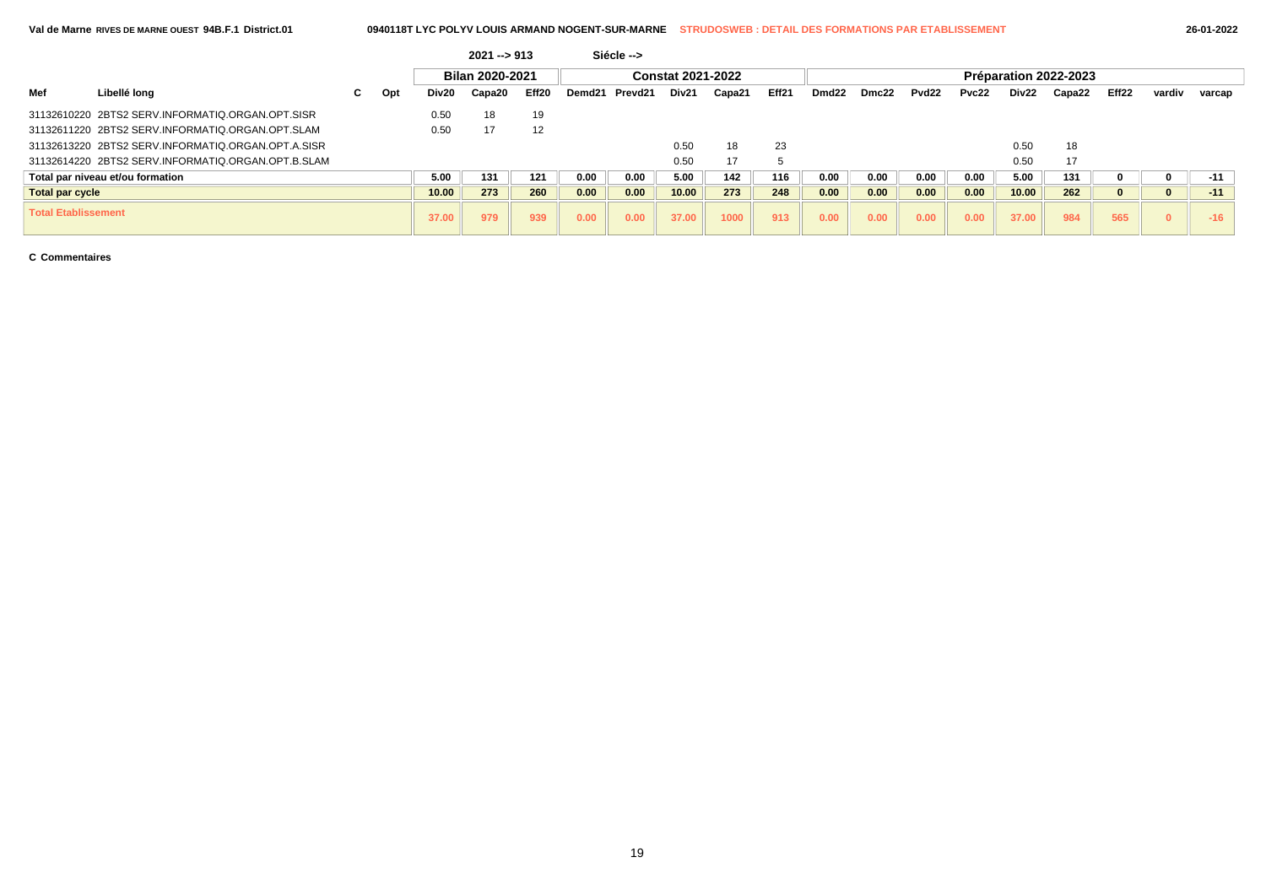| 26-01-202 |  |  |  |
|-----------|--|--|--|
|-----------|--|--|--|

|                            |                                                    |   |     |       | $2021 - 913$    |       |        | Siécle --> |                          |        |                   |                   |       |                   |       |       |                       |       |        |        |
|----------------------------|----------------------------------------------------|---|-----|-------|-----------------|-------|--------|------------|--------------------------|--------|-------------------|-------------------|-------|-------------------|-------|-------|-----------------------|-------|--------|--------|
|                            |                                                    |   |     |       | Bilan 2020-2021 |       |        |            | <b>Constat 2021-2022</b> |        |                   |                   |       |                   |       |       | Préparation 2022-2023 |       |        |        |
| Mef                        | Libellé long                                       | C | Opt | Div20 | Capa20          | Eff20 | Demd21 | Prevd21    | Div21                    | Capa21 | Eff <sub>21</sub> | Dmd <sub>22</sub> | Dmc22 | Pvd <sub>22</sub> | Pvc22 | Div22 | Capa22                | Eff22 | vardiv | varcap |
|                            | 31132610220 2BTS2 SERV.INFORMATIQ.ORGAN.OPT.SISR   |   |     | 0.50  | 18              | 19    |        |            |                          |        |                   |                   |       |                   |       |       |                       |       |        |        |
|                            | 31132611220 2BTS2 SERV.INFORMATIO.ORGAN.OPT.SLAM   |   |     | 0.50  | 17              | 12    |        |            |                          |        |                   |                   |       |                   |       |       |                       |       |        |        |
|                            | 31132613220 2BTS2 SERV INFORMATIO ORGAN OPT A SISR |   |     |       |                 |       |        |            | 0.50                     | 18     | 23                |                   |       |                   |       | 0.50  | 18                    |       |        |        |
|                            | 31132614220 2BTS2 SERV.INFORMATIQ.ORGAN.OPT.B.SLAM |   |     |       |                 |       |        |            | 0.50                     | 17     |                   |                   |       |                   |       | 0.50  | 17                    |       |        |        |
|                            | Total par niveau et/ou formation                   |   |     | 5.00  | 131             | 121   | 0.00   | 0.00       | 5.00                     | 142    | 116               | 0.00              | 0.00  | 0.00              | 0.00  | 5.00  | 131                   |       |        | $-11$  |
| <b>Total par cycle</b>     |                                                    |   |     | 10.00 | 273             | 260   | 0.00   | 0.00       | 10.00                    | 273    | 248               | 0.00              | 0.00  | 0.00              | 0.00  | 10.00 | 262                   |       | u      | $-11$  |
| <b>Total Etablissement</b> |                                                    |   |     | 37.00 | 979             | 939   | 0.00   | 0.00       | 37.00                    | 1000   | 913               | 0.00              | 0.00  | 0.00              | 0.00  | 37.00 | 984                   | 565   |        | $-16$  |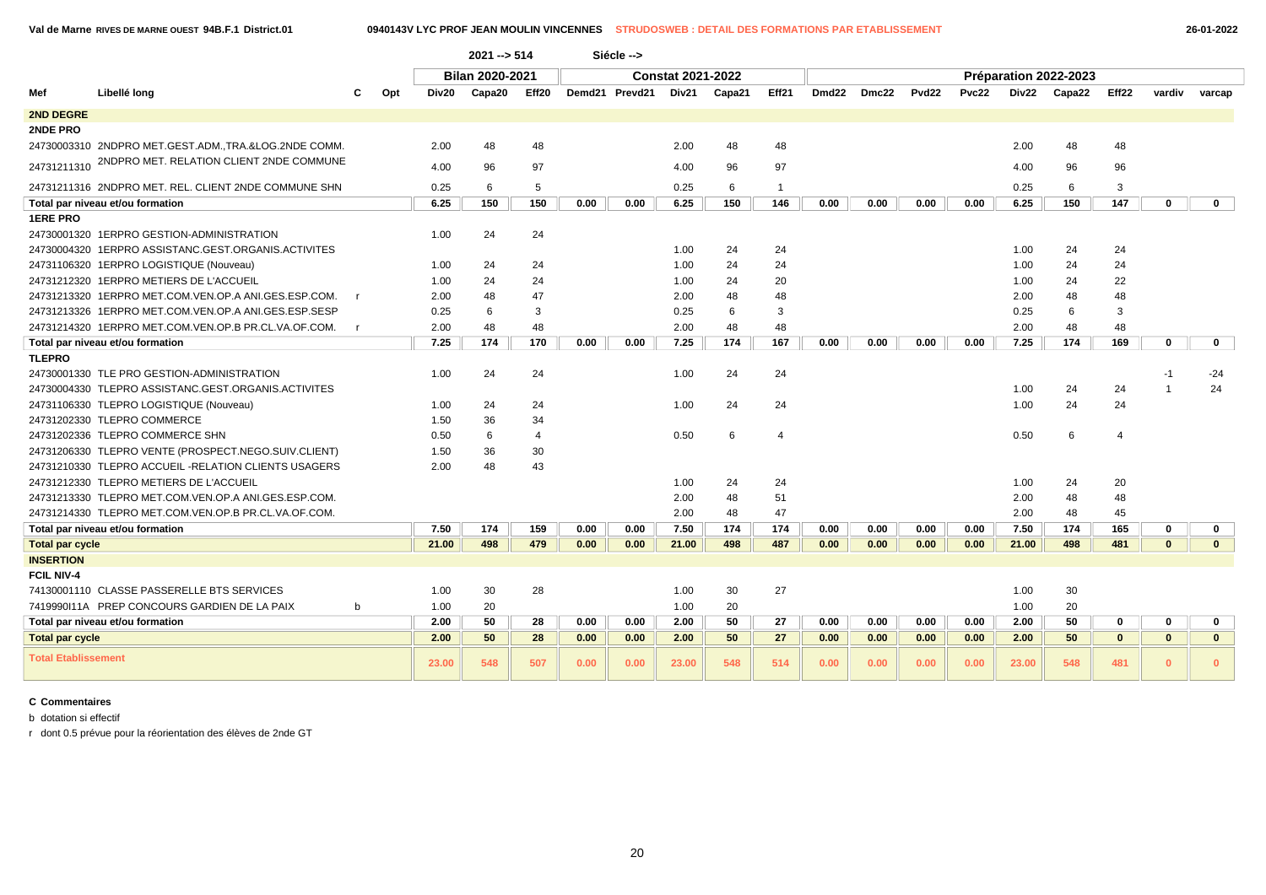|                            |                                                       |              |       | $2021 - 514$           |                         |      | Siécle -->     |                          |        |                |       |       |                   |       |              |                       |              |              |              |
|----------------------------|-------------------------------------------------------|--------------|-------|------------------------|-------------------------|------|----------------|--------------------------|--------|----------------|-------|-------|-------------------|-------|--------------|-----------------------|--------------|--------------|--------------|
|                            |                                                       |              |       | <b>Bilan 2020-2021</b> |                         |      |                | <b>Constat 2021-2022</b> |        |                |       |       |                   |       |              | Préparation 2022-2023 |              |              |              |
| Mef                        | Libellé long                                          | Opt<br>С     | Div20 | Capa20                 | Eff20                   |      | Demd21 Prevd21 | Div21                    | Capa21 | Eff21          | Dmd22 | Dmc22 | Pvd <sub>22</sub> | Pvc22 | <b>Div22</b> | Capa22                | Eff22        | vardiv       | varcap       |
| 2ND DEGRE                  |                                                       |              |       |                        |                         |      |                |                          |        |                |       |       |                   |       |              |                       |              |              |              |
| 2NDE PRO                   |                                                       |              |       |                        |                         |      |                |                          |        |                |       |       |                   |       |              |                       |              |              |              |
|                            | 24730003310 2NDPRO MET.GEST.ADM., TRA.&LOG.2NDE COMM. |              | 2.00  | 48                     | 48                      |      |                | 2.00                     | 48     | 48             |       |       |                   |       | 2.00         | 48                    | 48           |              |              |
| 24731211310                | 2NDPRO MET. RELATION CLIENT 2NDE COMMUNE              |              | 4.00  | 96                     | 97                      |      |                | 4.00                     | 96     | 97             |       |       |                   |       | 4.00         | 96                    | 96           |              |              |
|                            | 24731211316 2NDPRO MET. REL. CLIENT 2NDE COMMUNE SHN  |              | 0.25  | 6                      | 5                       |      |                | 0.25                     | 6      | $\overline{1}$ |       |       |                   |       | 0.25         | 6                     | 3            |              |              |
|                            | Total par niveau et/ou formation                      |              | 6.25  | 150                    | 150                     | 0.00 | 0.00           | 6.25                     | 150    | 146            | 0.00  | 0.00  | 0.00              | 0.00  | 6.25         | 150                   | 147          | $\mathbf 0$  | $\mathbf{0}$ |
| <b>1ERE PRO</b>            |                                                       |              |       |                        |                         |      |                |                          |        |                |       |       |                   |       |              |                       |              |              |              |
|                            | 24730001320 1ERPRO GESTION-ADMINISTRATION             |              | 1.00  | 24                     | 24                      |      |                |                          |        |                |       |       |                   |       |              |                       |              |              |              |
|                            | 24730004320 1ERPRO ASSISTANC.GEST.ORGANIS.ACTIVITES   |              |       |                        |                         |      |                | 1.00                     | 24     | 24             |       |       |                   |       | 1.00         | 24                    | 24           |              |              |
|                            | 24731106320 1ERPRO LOGISTIQUE (Nouveau)               |              | 1.00  | 24                     | 24                      |      |                | 1.00                     | 24     | 24             |       |       |                   |       | 1.00         | 24                    | 24           |              |              |
|                            | 24731212320 1ERPRO METIERS DE L'ACCUEIL               |              | 1.00  | 24                     | 24                      |      |                | 1.00                     | 24     | 20             |       |       |                   |       | 1.00         | 24                    | 22           |              |              |
|                            | 24731213320 1ERPRO MET.COM.VEN.OP.A ANI.GES.ESP.COM.  | $\mathsf{r}$ | 2.00  | 48                     | 47                      |      |                | 2.00                     | 48     | 48             |       |       |                   |       | 2.00         | 48                    | 48           |              |              |
|                            | 24731213326 1ERPRO MET.COM.VEN.OP.A ANI.GES.ESP.SESP  |              | 0.25  | 6                      | 3                       |      |                | 0.25                     | 6      | 3              |       |       |                   |       | 0.25         | 6                     | 3            |              |              |
|                            | 24731214320 1ERPRO MET.COM.VEN.OP.B PR.CL.VA.OF.COM.  |              | 2.00  | 48                     | 48                      |      |                | 2.00                     | 48     | 48             |       |       |                   |       | 2.00         | 48                    | 48           |              |              |
|                            | Total par niveau et/ou formation                      |              | 7.25  | 174                    | 170                     | 0.00 | 0.00           | 7.25                     | 174    | 167            | 0.00  | 0.00  | 0.00              | 0.00  | 7.25         | 174                   | 169          | $\bf{0}$     | $\mathbf 0$  |
| <b>TLEPRO</b>              |                                                       |              |       |                        |                         |      |                |                          |        |                |       |       |                   |       |              |                       |              |              |              |
|                            | 24730001330 TLE PRO GESTION-ADMINISTRATION            |              | 1.00  | 24                     | 24                      |      |                | 1.00                     | 24     | 24             |       |       |                   |       |              |                       |              | $-1$         | $-24$        |
|                            | 24730004330 TLEPRO ASSISTANC.GEST.ORGANIS.ACTIVITES   |              |       |                        |                         |      |                |                          |        |                |       |       |                   |       | 1.00         | 24                    | 24           |              | 24           |
|                            | 24731106330 TLEPRO LOGISTIQUE (Nouveau)               |              | 1.00  | 24                     | 24                      |      |                | 1.00                     | 24     | 24             |       |       |                   |       | 1.00         | 24                    | 24           |              |              |
|                            | 24731202330 TLEPRO COMMERCE                           |              | 1.50  | 36                     | 34                      |      |                |                          |        |                |       |       |                   |       |              |                       |              |              |              |
|                            | 24731202336 TLEPRO COMMERCE SHN                       |              | 0.50  | 6                      | $\overline{\mathbf{4}}$ |      |                | 0.50                     | 6      | $\overline{4}$ |       |       |                   |       | 0.50         | 6                     | 4            |              |              |
|                            | 24731206330 TLEPRO VENTE (PROSPECT.NEGO.SUIV.CLIENT)  |              | 1.50  | 36                     | 30                      |      |                |                          |        |                |       |       |                   |       |              |                       |              |              |              |
|                            | 24731210330 TLEPRO ACCUEIL -RELATION CLIENTS USAGERS  |              | 2.00  | 48                     | 43                      |      |                |                          |        |                |       |       |                   |       |              |                       |              |              |              |
|                            | 24731212330 TLEPRO METIERS DE L'ACCUEIL               |              |       |                        |                         |      |                | 1.00                     | 24     | 24             |       |       |                   |       | 1.00         | 24                    | 20           |              |              |
|                            | 24731213330 TLEPRO MET.COM.VEN.OP.A ANI.GES.ESP.COM.  |              |       |                        |                         |      |                | 2.00                     | 48     | 51             |       |       |                   |       | 2.00         | 48                    | 48           |              |              |
|                            | 24731214330 TLEPRO MET.COM.VEN.OP.B PR.CL.VA.OF.COM.  |              |       |                        |                         |      |                | 2.00                     | 48     | 47             |       |       |                   |       | 2.00         | 48                    | 45           |              |              |
|                            | Total par niveau et/ou formation                      |              | 7.50  | 174                    | 159                     | 0.00 | 0.00           | 7.50                     | 174    | 174            | 0.00  | 0.00  | 0.00              | 0.00  | 7.50         | 174                   | 165          | $\mathbf 0$  | 0            |
| <b>Total par cycle</b>     |                                                       |              | 21.00 | 498                    | 479                     | 0.00 | 0.00           | 21.00                    | 498    | 487            | 0.00  | 0.00  | 0.00              | 0.00  | 21.00        | 498                   | 481          | $\mathbf{0}$ | $\mathbf{0}$ |
| <b>INSERTION</b>           |                                                       |              |       |                        |                         |      |                |                          |        |                |       |       |                   |       |              |                       |              |              |              |
| FCIL NIV-4                 |                                                       |              |       |                        |                         |      |                |                          |        |                |       |       |                   |       |              |                       |              |              |              |
|                            | 74130001110 CLASSE PASSERELLE BTS SERVICES            |              | 1.00  | 30                     | 28                      |      |                | 1.00                     | 30     | 27             |       |       |                   |       | 1.00         | 30                    |              |              |              |
|                            | 7419990111A PREP CONCOURS GARDIEN DE LA PAIX          | b            | 1.00  | 20                     |                         |      |                | 1.00                     | 20     |                |       |       |                   |       | 1.00         | 20                    |              |              |              |
|                            | Total par niveau et/ou formation                      |              | 2.00  | 50                     | 28                      | 0.00 | 0.00           | 2.00                     | 50     | 27             | 0.00  | 0.00  | 0.00              | 0.00  | 2.00         | 50                    | $\mathbf 0$  | $\mathbf 0$  | 0            |
| <b>Total par cycle</b>     |                                                       |              | 2.00  | 50                     | 28                      | 0.00 | 0.00           | 2.00                     | 50     | 27             | 0.00  | 0.00  | 0.00              | 0.00  | 2.00         | 50                    | $\mathbf{0}$ | $\mathbf{0}$ | $\mathbf{0}$ |
| <b>Total Etablissement</b> |                                                       |              | 23.00 | 548                    | 507                     | 0.00 | 0.00           | 23.00                    | 548    | 514            | 0.00  | 0.00  | 0.00              | 0.00  | 23.00        | 548                   | 481          | $\mathbf{0}$ | $\mathbf{0}$ |

b dotation si effectif

r dont 0.5 prévue pour la réorientation des élèves de 2nde GT